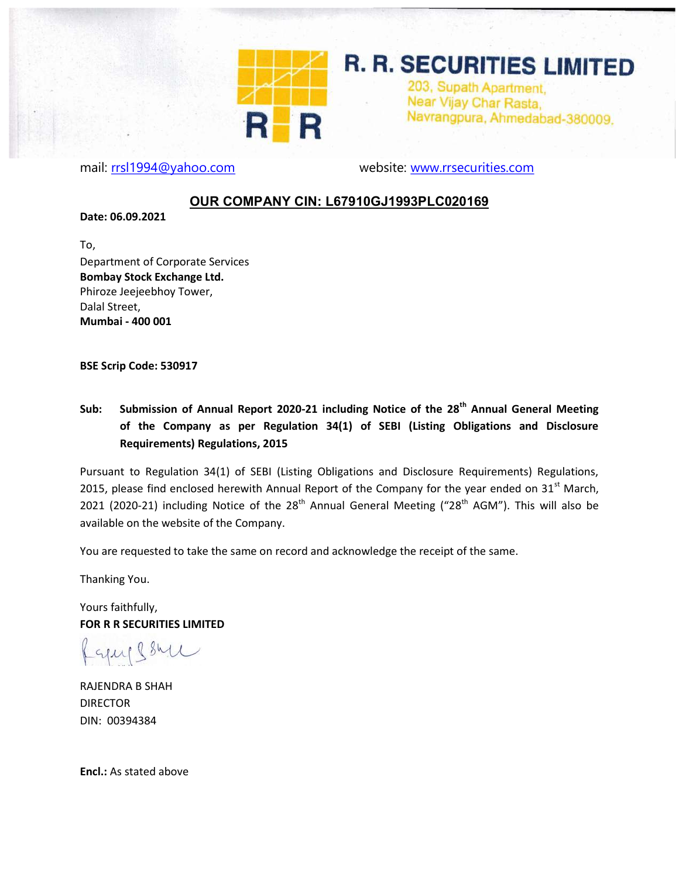

# **R. R. SECURITIES LIMITED**

203, Supath Apartment, Near Vijay Char Rasta, Navrangpura, Ahmedabad-380009.

mail: rrsl1994@yahoo.com website: www.rrsecurities.com

### OUR COMPANY CIN: L67910GJ1993PLC020169

Date: 06.09.2021

To, Department of Corporate Services Bombay Stock Exchange Ltd. Phiroze Jeejeebhoy Tower, Dalal Street, Mumbai - 400 001

BSE Scrip Code: 530917

Sub: Submission of Annual Report 2020-21 including Notice of the  $28<sup>th</sup>$  Annual General Meeting of the Company as per Regulation 34(1) of SEBI (Listing Obligations and Disclosure Requirements) Regulations, 2015

Pursuant to Regulation 34(1) of SEBI (Listing Obligations and Disclosure Requirements) Regulations, 2015, please find enclosed herewith Annual Report of the Company for the year ended on  $31<sup>st</sup>$  March, 2021 (2020-21) including Notice of the 28<sup>th</sup> Annual General Meeting ("28<sup>th</sup> AGM"). This will also be available on the website of the Company.

You are requested to take the same on record and acknowledge the receipt of the same.

Thanking You.

Yours faithfully, FOR R R SECURITIES LIMITED

Kapup Soul

RAJENDRA B SHAH DIRECTOR DIN: 00394384

Encl.: As stated above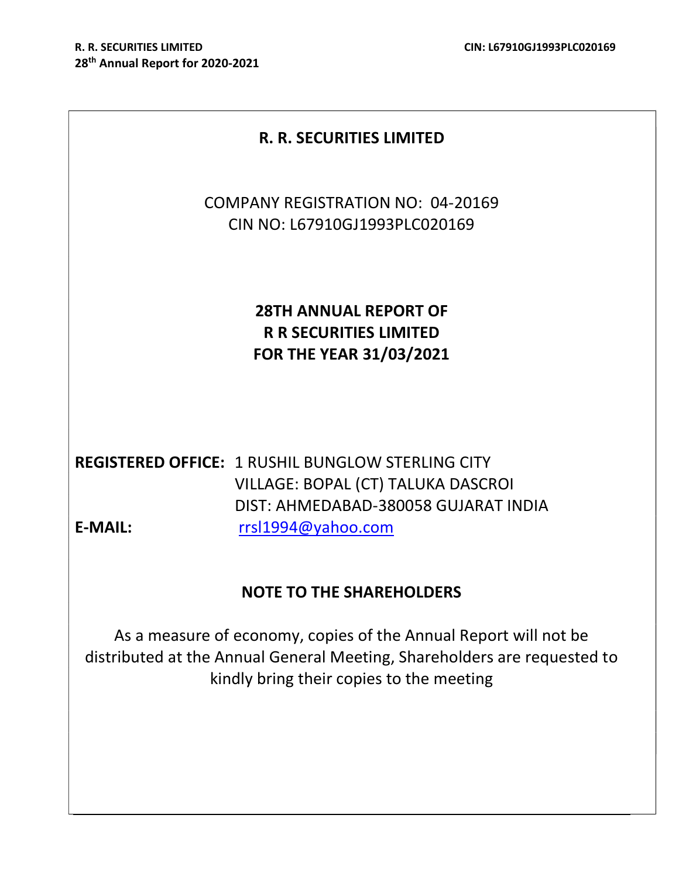

As a measure of economy, copies of the Annual Report will not be distributed at the Annual General Meeting, Shareholders are requested to kindly bring their copies to the meeting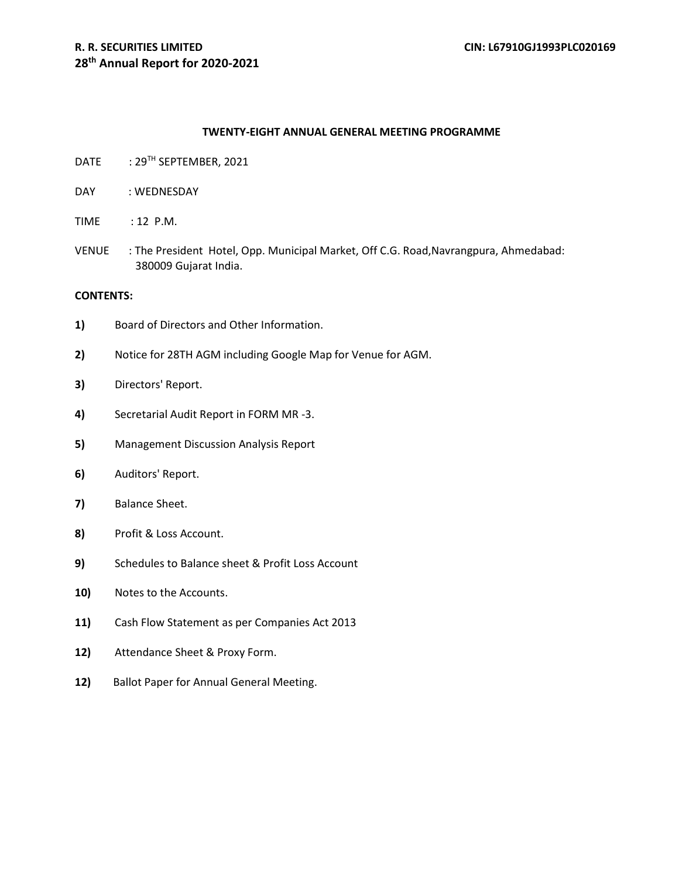#### TWENTY-EIGHT ANNUAL GENERAL MEETING PROGRAMME

- DATE : 29TH SEPTEMBER, 2021
- DAY : WEDNESDAY
- TIME : 12 P.M.
- VENUE : The President Hotel, Opp. Municipal Market, Off C.G. Road,Navrangpura, Ahmedabad: 380009 Gujarat India.

#### CONTENTS:

- 1) Board of Directors and Other Information.
- 2) Notice for 28TH AGM including Google Map for Venue for AGM.
- 3) Directors' Report.
- 4) Secretarial Audit Report in FORM MR -3.
- 5) Management Discussion Analysis Report
- 6) Auditors' Report.
- 7) Balance Sheet.
- 8) Profit & Loss Account.
- 9) Schedules to Balance sheet & Profit Loss Account
- 10) Notes to the Accounts.
- 11) Cash Flow Statement as per Companies Act 2013
- 12) Attendance Sheet & Proxy Form.
- 12) Ballot Paper for Annual General Meeting.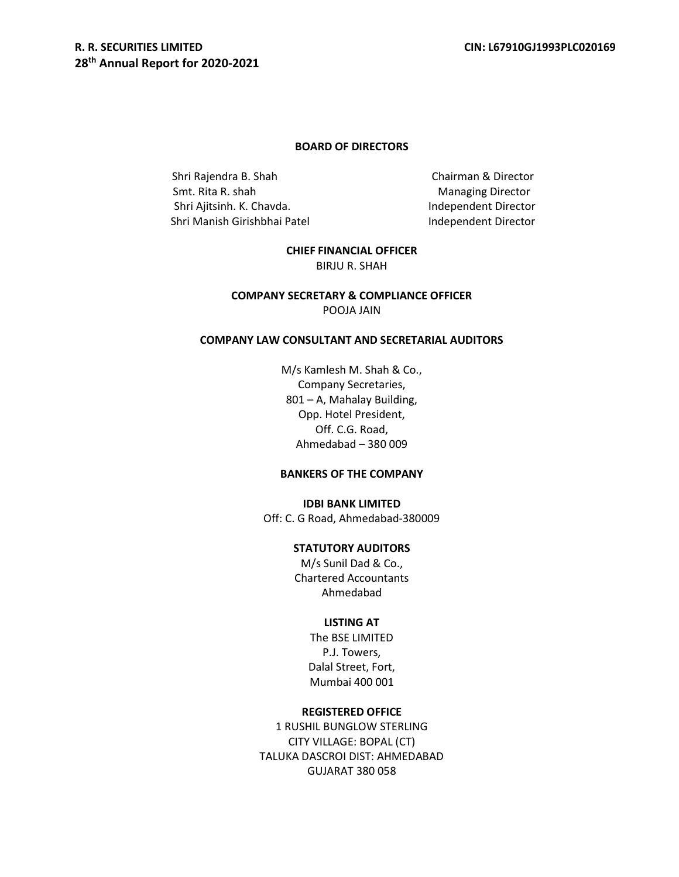#### BOARD OF DIRECTORS

 Shri Rajendra B. Shah Chairman & Director Smt. Rita R. shah Managing Director Shri Ajitsinh. K. Chavda. **Independent Director** Shri Manish Girishbhai Patel **Independent Director** 

#### CHIEF FINANCIAL OFFICER

BIRJU R. SHAH

### COMPANY SECRETARY & COMPLIANCE OFFICER POOJA JAIN

#### COMPANY LAW CONSULTANT AND SECRETARIAL AUDITORS

M/s Kamlesh M. Shah & Co., Company Secretaries, 801 – A, Mahalay Building, Opp. Hotel President, Off. C.G. Road, Ahmedabad – 380 009

#### BANKERS OF THE COMPANY

IDBI BANK LIMITED Off: C. G Road, Ahmedabad-380009

### STATUTORY AUDITORS

M/s Sunil Dad & Co., Chartered Accountants Ahmedabad

#### LISTING AT

The BSE LIMITED P.J. Towers, Dalal Street, Fort, Mumbai 400 001

#### REGISTERED OFFICE

1 RUSHIL BUNGLOW STERLING CITY VILLAGE: BOPAL (CT) TALUKA DASCROI DIST: AHMEDABAD GUJARAT 380 058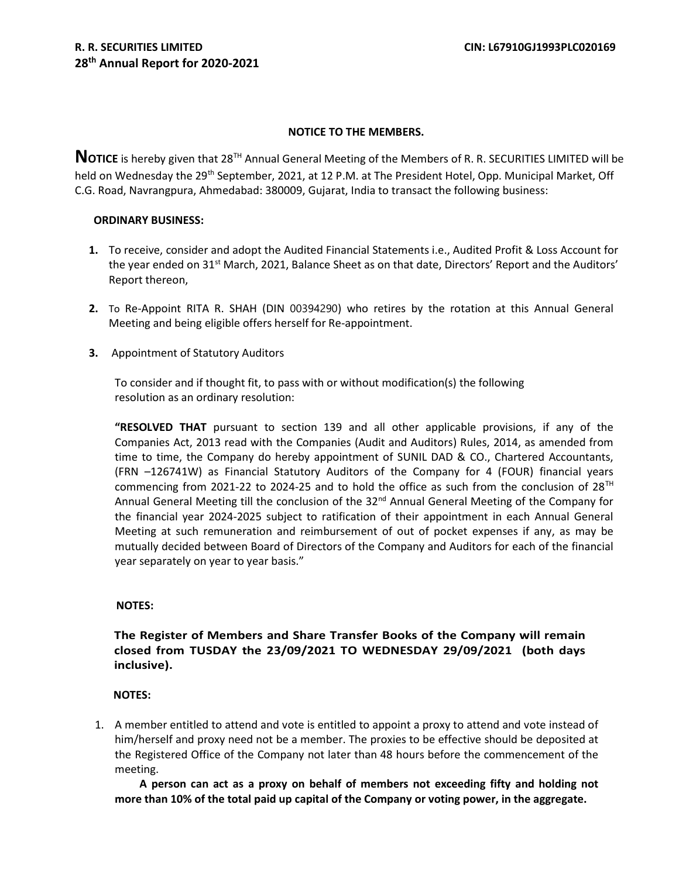### NOTICE TO THE MEMBERS.

NOTICE is hereby given that 28<sup>TH</sup> Annual General Meeting of the Members of R. R. SECURITIES LIMITED will be held on Wednesday the 29<sup>th</sup> September, 2021, at 12 P.M. at The President Hotel, Opp. Municipal Market, Off C.G. Road, Navrangpura, Ahmedabad: 380009, Gujarat, India to transact the following business:

### ORDINARY BUSINESS:

- 1. To receive, consider and adopt the Audited Financial Statements i.e., Audited Profit & Loss Account for the year ended on 31<sup>st</sup> March, 2021, Balance Sheet as on that date, Directors' Report and the Auditors' Report thereon,
- 2. To Re-Appoint RITA R. SHAH (DIN 00394290) who retires by the rotation at this Annual General Meeting and being eligible offers herself for Re-appointment.
- 3. Appointment of Statutory Auditors

To consider and if thought fit, to pass with or without modification(s) the following resolution as an ordinary resolution:

"RESOLVED THAT pursuant to section 139 and all other applicable provisions, if any of the Companies Act, 2013 read with the Companies (Audit and Auditors) Rules, 2014, as amended from time to time, the Company do hereby appointment of SUNIL DAD & CO., Chartered Accountants, (FRN –126741W) as Financial Statutory Auditors of the Company for 4 (FOUR) financial years commencing from 2021-22 to 2024-25 and to hold the office as such from the conclusion of  $28^{TH}$ Annual General Meeting till the conclusion of the  $32<sup>nd</sup>$  Annual General Meeting of the Company for the financial year 2024-2025 subject to ratification of their appointment in each Annual General Meeting at such remuneration and reimbursement of out of pocket expenses if any, as may be mutually decided between Board of Directors of the Company and Auditors for each of the financial year separately on year to year basis."

### NOTES:

 The Register of Members and Share Transfer Books of the Company will remain closed from TUSDAY the 23/09/2021 TO WEDNESDAY 29/09/2021 (both days inclusive).

### NOTES:

1. A member entitled to attend and vote is entitled to appoint a proxy to attend and vote instead of him/herself and proxy need not be a member. The proxies to be effective should be deposited at the Registered Office of the Company not later than 48 hours before the commencement of the meeting.

A person can act as a proxy on behalf of members not exceeding fifty and holding not more than 10% of the total paid up capital of the Company or voting power, in the aggregate.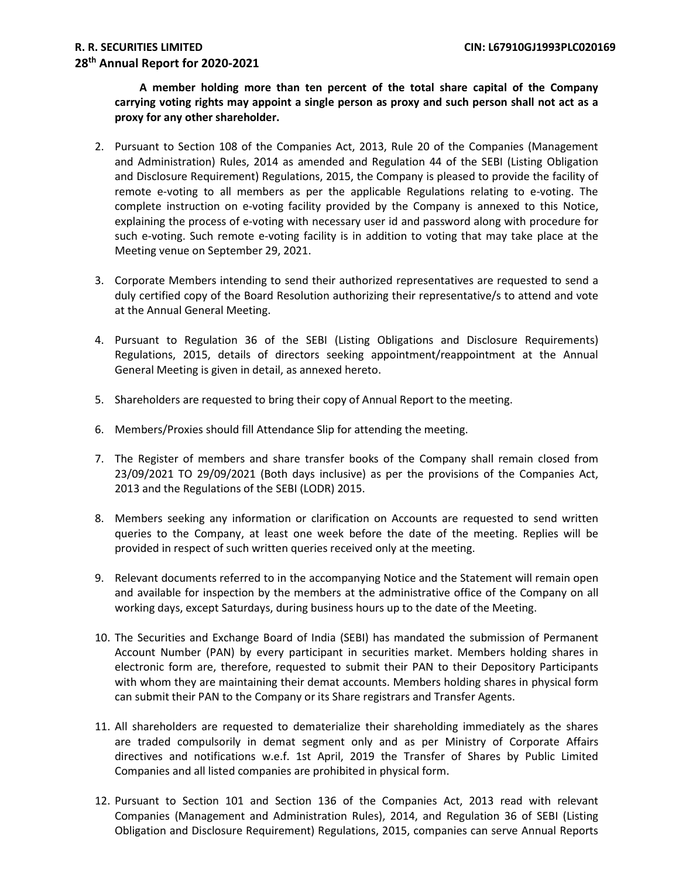A member holding more than ten percent of the total share capital of the Company carrying voting rights may appoint a single person as proxy and such person shall not act as a proxy for any other shareholder.

- 2. Pursuant to Section 108 of the Companies Act, 2013, Rule 20 of the Companies (Management and Administration) Rules, 2014 as amended and Regulation 44 of the SEBI (Listing Obligation and Disclosure Requirement) Regulations, 2015, the Company is pleased to provide the facility of remote e-voting to all members as per the applicable Regulations relating to e-voting. The complete instruction on e-voting facility provided by the Company is annexed to this Notice, explaining the process of e-voting with necessary user id and password along with procedure for such e-voting. Such remote e-voting facility is in addition to voting that may take place at the Meeting venue on September 29, 2021.
- 3. Corporate Members intending to send their authorized representatives are requested to send a duly certified copy of the Board Resolution authorizing their representative/s to attend and vote at the Annual General Meeting.
- 4. Pursuant to Regulation 36 of the SEBI (Listing Obligations and Disclosure Requirements) Regulations, 2015, details of directors seeking appointment/reappointment at the Annual General Meeting is given in detail, as annexed hereto.
- 5. Shareholders are requested to bring their copy of Annual Report to the meeting.
- 6. Members/Proxies should fill Attendance Slip for attending the meeting.
- 7. The Register of members and share transfer books of the Company shall remain closed from 23/09/2021 TO 29/09/2021 (Both days inclusive) as per the provisions of the Companies Act, 2013 and the Regulations of the SEBI (LODR) 2015.
- 8. Members seeking any information or clarification on Accounts are requested to send written queries to the Company, at least one week before the date of the meeting. Replies will be provided in respect of such written queries received only at the meeting.
- 9. Relevant documents referred to in the accompanying Notice and the Statement will remain open and available for inspection by the members at the administrative office of the Company on all working days, except Saturdays, during business hours up to the date of the Meeting.
- 10. The Securities and Exchange Board of India (SEBI) has mandated the submission of Permanent Account Number (PAN) by every participant in securities market. Members holding shares in electronic form are, therefore, requested to submit their PAN to their Depository Participants with whom they are maintaining their demat accounts. Members holding shares in physical form can submit their PAN to the Company or its Share registrars and Transfer Agents.
- 11. All shareholders are requested to dematerialize their shareholding immediately as the shares are traded compulsorily in demat segment only and as per Ministry of Corporate Affairs directives and notifications w.e.f. 1st April, 2019 the Transfer of Shares by Public Limited Companies and all listed companies are prohibited in physical form.
- 12. Pursuant to Section 101 and Section 136 of the Companies Act, 2013 read with relevant Companies (Management and Administration Rules), 2014, and Regulation 36 of SEBI (Listing Obligation and Disclosure Requirement) Regulations, 2015, companies can serve Annual Reports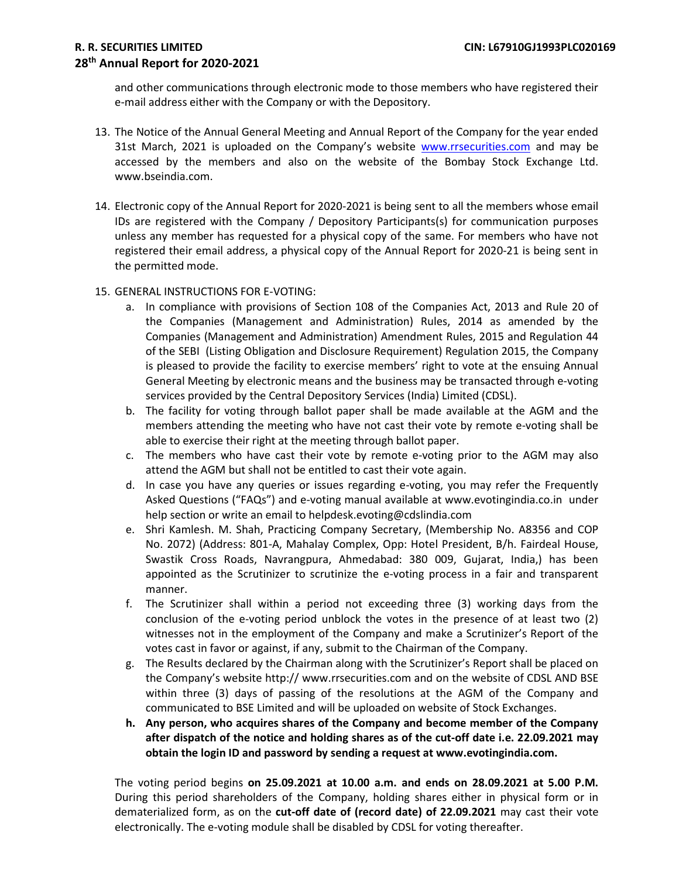and other communications through electronic mode to those members who have registered their e-mail address either with the Company or with the Depository.

- 13. The Notice of the Annual General Meeting and Annual Report of the Company for the year ended 31st March, 2021 is uploaded on the Company's website www.rrsecurities.com and may be accessed by the members and also on the website of the Bombay Stock Exchange Ltd. www.bseindia.com.
- 14. Electronic copy of the Annual Report for 2020-2021 is being sent to all the members whose email IDs are registered with the Company / Depository Participants(s) for communication purposes unless any member has requested for a physical copy of the same. For members who have not registered their email address, a physical copy of the Annual Report for 2020-21 is being sent in the permitted mode.
- 15. GENERAL INSTRUCTIONS FOR E-VOTING:
	- a. In compliance with provisions of Section 108 of the Companies Act, 2013 and Rule 20 of the Companies (Management and Administration) Rules, 2014 as amended by the Companies (Management and Administration) Amendment Rules, 2015 and Regulation 44 of the SEBI (Listing Obligation and Disclosure Requirement) Regulation 2015, the Company is pleased to provide the facility to exercise members' right to vote at the ensuing Annual General Meeting by electronic means and the business may be transacted through e-voting services provided by the Central Depository Services (India) Limited (CDSL).
	- b. The facility for voting through ballot paper shall be made available at the AGM and the members attending the meeting who have not cast their vote by remote e-voting shall be able to exercise their right at the meeting through ballot paper.
	- c. The members who have cast their vote by remote e-voting prior to the AGM may also attend the AGM but shall not be entitled to cast their vote again.
	- d. In case you have any queries or issues regarding e-voting, you may refer the Frequently Asked Questions ("FAQs") and e-voting manual available at www.evotingindia.co.in under help section or write an email to helpdesk.evoting@cdslindia.com
	- e. Shri Kamlesh. M. Shah, Practicing Company Secretary, (Membership No. A8356 and COP No. 2072) (Address: 801-A, Mahalay Complex, Opp: Hotel President, B/h. Fairdeal House, Swastik Cross Roads, Navrangpura, Ahmedabad: 380 009, Gujarat, India,) has been appointed as the Scrutinizer to scrutinize the e-voting process in a fair and transparent manner.
	- f. The Scrutinizer shall within a period not exceeding three (3) working days from the conclusion of the e-voting period unblock the votes in the presence of at least two (2) witnesses not in the employment of the Company and make a Scrutinizer's Report of the votes cast in favor or against, if any, submit to the Chairman of the Company.
	- g. The Results declared by the Chairman along with the Scrutinizer's Report shall be placed on the Company's website http:// www.rrsecurities.com and on the website of CDSL AND BSE within three (3) days of passing of the resolutions at the AGM of the Company and communicated to BSE Limited and will be uploaded on website of Stock Exchanges.
	- h. Any person, who acquires shares of the Company and become member of the Company after dispatch of the notice and holding shares as of the cut-off date i.e. 22.09.2021 may obtain the login ID and password by sending a request at www.evotingindia.com.

The voting period begins on 25.09.2021 at 10.00 a.m. and ends on 28.09.2021 at 5.00 P.M. During this period shareholders of the Company, holding shares either in physical form or in dematerialized form, as on the cut-off date of (record date) of 22.09.2021 may cast their vote electronically. The e-voting module shall be disabled by CDSL for voting thereafter.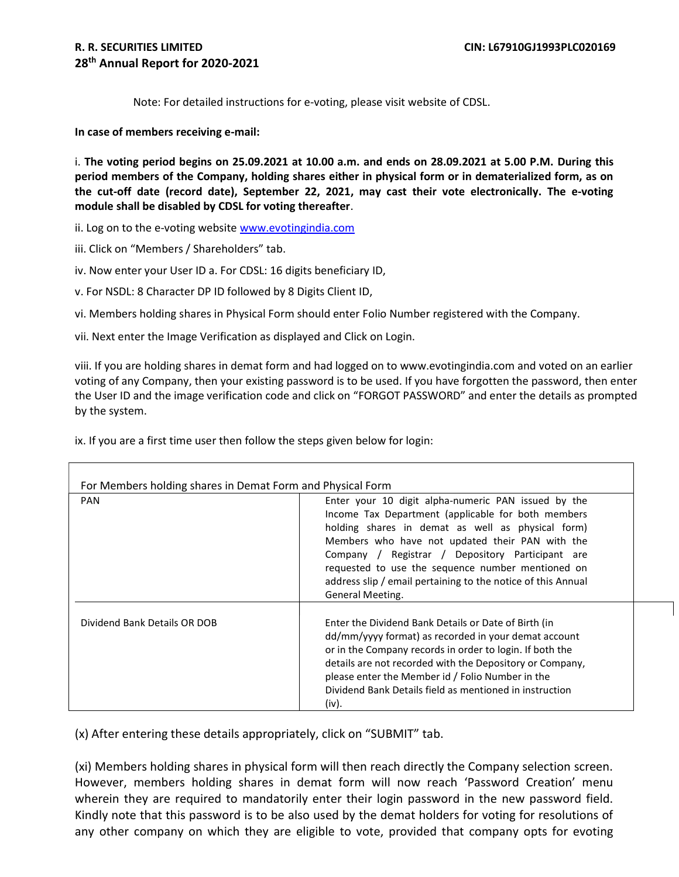Note: For detailed instructions for e-voting, please visit website of CDSL.

In case of members receiving e-mail:

i. The voting period begins on 25.09.2021 at 10.00 a.m. and ends on 28.09.2021 at 5.00 P.M. During this period members of the Company, holding shares either in physical form or in dematerialized form, as on the cut-off date (record date), September 22, 2021, may cast their vote electronically. The e-voting module shall be disabled by CDSL for voting thereafter.

ii. Log on to the e-voting website www.evotingindia.com

iii. Click on "Members / Shareholders" tab.

iv. Now enter your User ID a. For CDSL: 16 digits beneficiary ID,

v. For NSDL: 8 Character DP ID followed by 8 Digits Client ID,

vi. Members holding shares in Physical Form should enter Folio Number registered with the Company.

vii. Next enter the Image Verification as displayed and Click on Login.

viii. If you are holding shares in demat form and had logged on to www.evotingindia.com and voted on an earlier voting of any Company, then your existing password is to be used. If you have forgotten the password, then enter the User ID and the image verification code and click on "FORGOT PASSWORD" and enter the details as prompted by the system.

ix. If you are a first time user then follow the steps given below for login:

| For Members holding shares in Demat Form and Physical Form |                                                                                                                                                                                                                                                                                                                                                                                                                |
|------------------------------------------------------------|----------------------------------------------------------------------------------------------------------------------------------------------------------------------------------------------------------------------------------------------------------------------------------------------------------------------------------------------------------------------------------------------------------------|
| <b>PAN</b>                                                 | Enter your 10 digit alpha-numeric PAN issued by the<br>Income Tax Department (applicable for both members<br>holding shares in demat as well as physical form)<br>Members who have not updated their PAN with the<br>Company / Registrar / Depository Participant are<br>requested to use the sequence number mentioned on<br>address slip / email pertaining to the notice of this Annual<br>General Meeting. |
| Dividend Bank Details OR DOB                               | Enter the Dividend Bank Details or Date of Birth (in<br>dd/mm/yyyy format) as recorded in your demat account<br>or in the Company records in order to login. If both the<br>details are not recorded with the Depository or Company,<br>please enter the Member id / Folio Number in the<br>Dividend Bank Details field as mentioned in instruction<br>(iv).                                                   |

(x) After entering these details appropriately, click on "SUBMIT" tab.

(xi) Members holding shares in physical form will then reach directly the Company selection screen. However, members holding shares in demat form will now reach 'Password Creation' menu wherein they are required to mandatorily enter their login password in the new password field. Kindly note that this password is to be also used by the demat holders for voting for resolutions of any other company on which they are eligible to vote, provided that company opts for evoting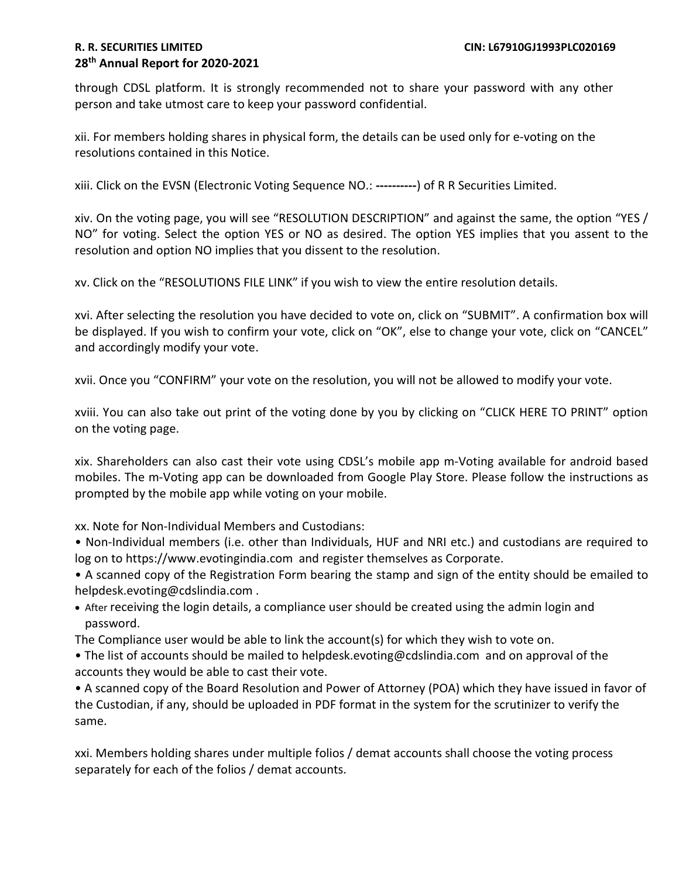through CDSL platform. It is strongly recommended not to share your password with any other person and take utmost care to keep your password confidential.

xii. For members holding shares in physical form, the details can be used only for e-voting on the resolutions contained in this Notice.

xiii. Click on the EVSN (Electronic Voting Sequence NO.: ----------) of R R Securities Limited.

xiv. On the voting page, you will see "RESOLUTION DESCRIPTION" and against the same, the option "YES / NO" for voting. Select the option YES or NO as desired. The option YES implies that you assent to the resolution and option NO implies that you dissent to the resolution.

xv. Click on the "RESOLUTIONS FILE LINK" if you wish to view the entire resolution details.

xvi. After selecting the resolution you have decided to vote on, click on "SUBMIT". A confirmation box will be displayed. If you wish to confirm your vote, click on "OK", else to change your vote, click on "CANCEL" and accordingly modify your vote.

xvii. Once you "CONFIRM" your vote on the resolution, you will not be allowed to modify your vote.

xviii. You can also take out print of the voting done by you by clicking on "CLICK HERE TO PRINT" option on the voting page.

xix. Shareholders can also cast their vote using CDSL's mobile app m-Voting available for android based mobiles. The m-Voting app can be downloaded from Google Play Store. Please follow the instructions as prompted by the mobile app while voting on your mobile.

xx. Note for Non-Individual Members and Custodians:

• Non-Individual members (i.e. other than Individuals, HUF and NRI etc.) and custodians are required to log on to https://www.evotingindia.com and register themselves as Corporate.

• A scanned copy of the Registration Form bearing the stamp and sign of the entity should be emailed to helpdesk.evoting@cdslindia.com .

 After receiving the login details, a compliance user should be created using the admin login and password.

The Compliance user would be able to link the account(s) for which they wish to vote on.

• The list of accounts should be mailed to helpdesk.evoting@cdslindia.com and on approval of the accounts they would be able to cast their vote.

• A scanned copy of the Board Resolution and Power of Attorney (POA) which they have issued in favor of the Custodian, if any, should be uploaded in PDF format in the system for the scrutinizer to verify the same.

xxi. Members holding shares under multiple folios / demat accounts shall choose the voting process separately for each of the folios / demat accounts.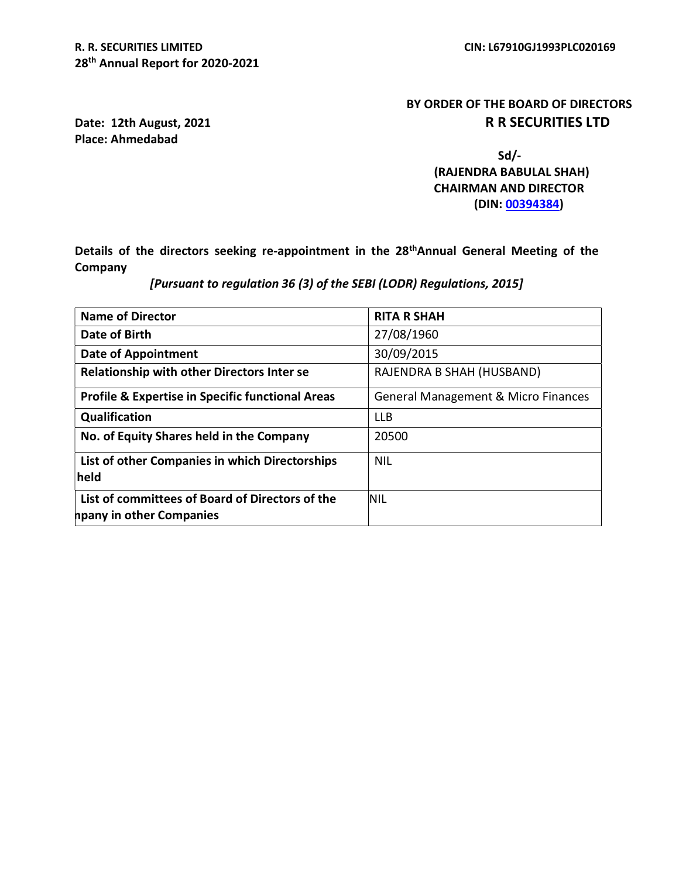### BY ORDER OF THE BOARD OF DIRECTORS Date: 12th August, 2021 **R R SECURITIES LTD**

Place: Ahmedabad

 Sd/- (RAJENDRA BABULAL SHAH) CHAIRMAN AND DIRECTOR (DIN: 00394384)

Details of the directors seeking re-appointment in the 28<sup>th</sup>Annual General Meeting of the Company

[Pursuant to regulation 36 (3) of the SEBI (LODR) Regulations, 2015]

| <b>Name of Director</b>                                                     | <b>RITA R SHAH</b>                             |
|-----------------------------------------------------------------------------|------------------------------------------------|
| Date of Birth                                                               | 27/08/1960                                     |
| <b>Date of Appointment</b>                                                  | 30/09/2015                                     |
| <b>Relationship with other Directors Inter se</b>                           | RAJENDRA B SHAH (HUSBAND)                      |
| <b>Profile &amp; Expertise in Specific functional Areas</b>                 | <b>General Management &amp; Micro Finances</b> |
| Qualification                                                               | <b>LLB</b>                                     |
| No. of Equity Shares held in the Company                                    | 20500                                          |
| List of other Companies in which Directorships<br>held                      | <b>NIL</b>                                     |
| List of committees of Board of Directors of the<br>hpany in other Companies | INIL                                           |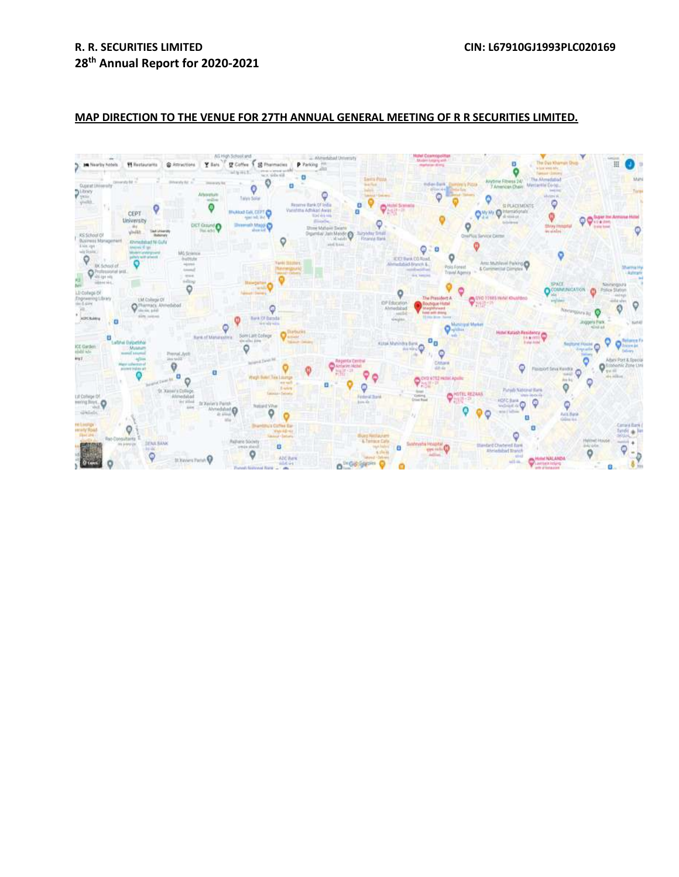### MAP DIRECTION TO THE VENUE FOR 27TH ANNUAL GENERAL MEETING OF R R SECURITIES LIMITED.

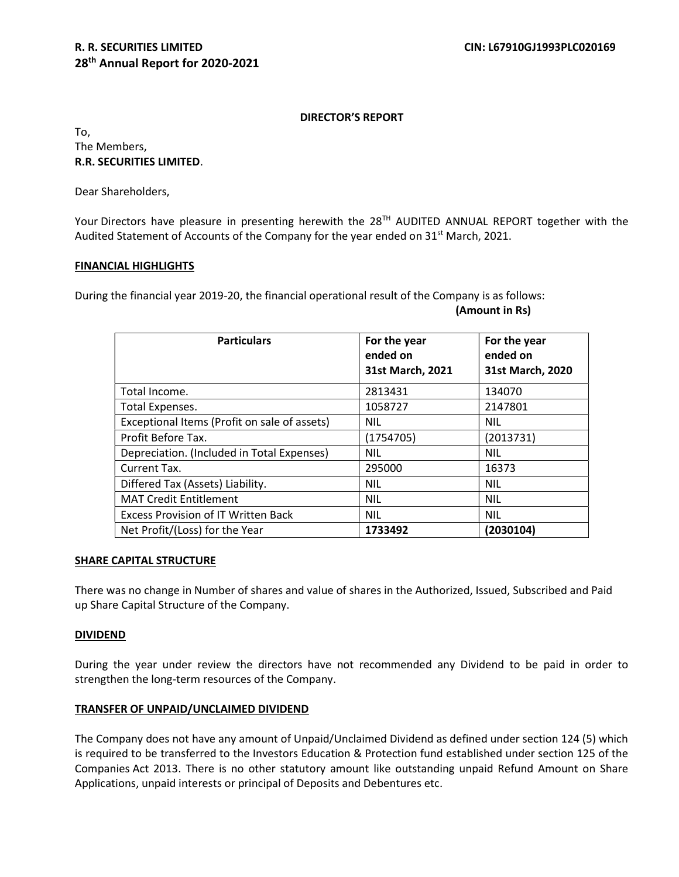### DIRECTOR'S REPORT

To, The Members, R.R. SECURITIES LIMITED.

Dear Shareholders,

Your Directors have pleasure in presenting herewith the 28<sup>TH</sup> AUDITED ANNUAL REPORT together with the Audited Statement of Accounts of the Company for the year ended on  $31<sup>st</sup>$  March, 2021.

### FINANCIAL HIGHLIGHTS

During the financial year 2019-20, the financial operational result of the Company is as follows: (Amount in Rs)

| <b>Particulars</b>                           | For the year<br>ended on<br>31st March, 2021 | For the year<br>ended on<br>31st March, 2020 |
|----------------------------------------------|----------------------------------------------|----------------------------------------------|
| Total Income.                                | 2813431                                      | 134070                                       |
| Total Expenses.                              | 1058727                                      | 2147801                                      |
| Exceptional Items (Profit on sale of assets) | <b>NIL</b>                                   | <b>NIL</b>                                   |
| Profit Before Tax.                           | (1754705)                                    | (2013731)                                    |
| Depreciation. (Included in Total Expenses)   | <b>NIL</b>                                   | <b>NIL</b>                                   |
| Current Tax.                                 | 295000                                       | 16373                                        |
| Differed Tax (Assets) Liability.             | <b>NIL</b>                                   | <b>NIL</b>                                   |
| <b>MAT Credit Entitlement</b>                | <b>NIL</b>                                   | <b>NIL</b>                                   |
| <b>Excess Provision of IT Written Back</b>   | <b>NIL</b>                                   | <b>NIL</b>                                   |
| Net Profit/(Loss) for the Year               | 1733492                                      | (2030104)                                    |

#### **SHARE CAPITAL STRUCTURE**

There was no change in Number of shares and value of shares in the Authorized, Issued, Subscribed and Paid up Share Capital Structure of the Company.

### DIVIDEND

During the year under review the directors have not recommended any Dividend to be paid in order to strengthen the long-term resources of the Company.

### TRANSFER OF UNPAID/UNCLAIMED DIVIDEND

The Company does not have any amount of Unpaid/Unclaimed Dividend as defined under section 124 (5) which is required to be transferred to the Investors Education & Protection fund established under section 125 of the Companies Act 2013. There is no other statutory amount like outstanding unpaid Refund Amount on Share Applications, unpaid interests or principal of Deposits and Debentures etc.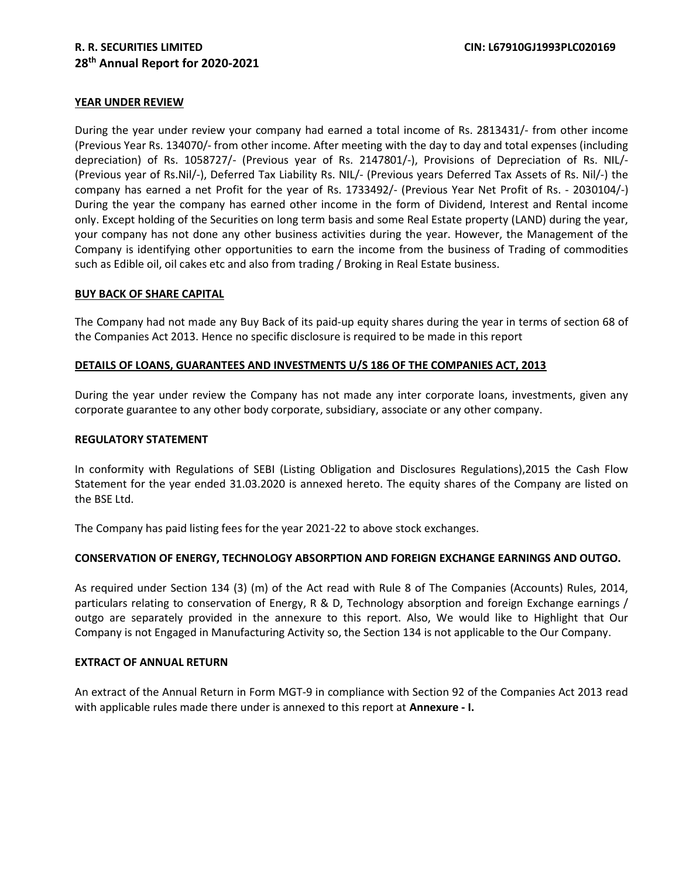### YEAR UNDER REVIEW

During the year under review your company had earned a total income of Rs. 2813431/- from other income (Previous Year Rs. 134070/- from other income. After meeting with the day to day and total expenses (including depreciation) of Rs. 1058727/- (Previous year of Rs. 2147801/-), Provisions of Depreciation of Rs. NIL/- (Previous year of Rs.Nil/-), Deferred Tax Liability Rs. NIL/- (Previous years Deferred Tax Assets of Rs. Nil/-) the company has earned a net Profit for the year of Rs. 1733492/- (Previous Year Net Profit of Rs. - 2030104/-) During the year the company has earned other income in the form of Dividend, Interest and Rental income only. Except holding of the Securities on long term basis and some Real Estate property (LAND) during the year, your company has not done any other business activities during the year. However, the Management of the Company is identifying other opportunities to earn the income from the business of Trading of commodities such as Edible oil, oil cakes etc and also from trading / Broking in Real Estate business.

#### BUY BACK OF SHARE CAPITAL

The Company had not made any Buy Back of its paid-up equity shares during the year in terms of section 68 of the Companies Act 2013. Hence no specific disclosure is required to be made in this report

### DETAILS OF LOANS, GUARANTEES AND INVESTMENTS U/S 186 OF THE COMPANIES ACT, 2013

During the year under review the Company has not made any inter corporate loans, investments, given any corporate guarantee to any other body corporate, subsidiary, associate or any other company.

#### REGULATORY STATEMENT

In conformity with Regulations of SEBI (Listing Obligation and Disclosures Regulations),2015 the Cash Flow Statement for the year ended 31.03.2020 is annexed hereto. The equity shares of the Company are listed on the BSE Ltd.

The Company has paid listing fees for the year 2021-22 to above stock exchanges.

### CONSERVATION OF ENERGY, TECHNOLOGY ABSORPTION AND FOREIGN EXCHANGE EARNINGS AND OUTGO.

As required under Section 134 (3) (m) of the Act read with Rule 8 of The Companies (Accounts) Rules, 2014, particulars relating to conservation of Energy, R & D, Technology absorption and foreign Exchange earnings / outgo are separately provided in the annexure to this report. Also, We would like to Highlight that Our Company is not Engaged in Manufacturing Activity so, the Section 134 is not applicable to the Our Company.

#### EXTRACT OF ANNUAL RETURN

An extract of the Annual Return in Form MGT-9 in compliance with Section 92 of the Companies Act 2013 read with applicable rules made there under is annexed to this report at Annexure - I.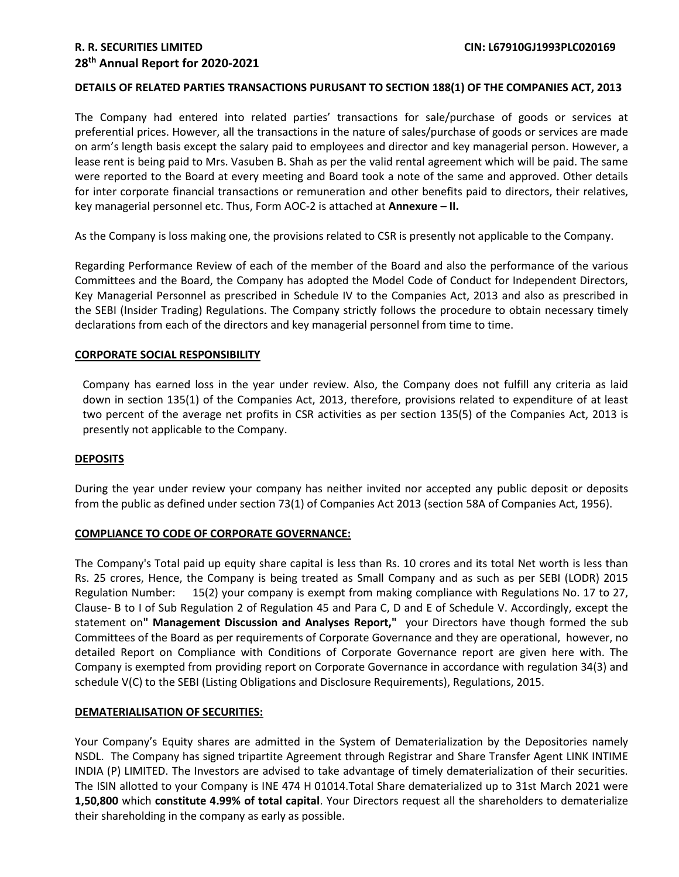### DETAILS OF RELATED PARTIES TRANSACTIONS PURUSANT TO SECTION 188(1) OF THE COMPANIES ACT, 2013

The Company had entered into related parties' transactions for sale/purchase of goods or services at preferential prices. However, all the transactions in the nature of sales/purchase of goods or services are made on arm's length basis except the salary paid to employees and director and key managerial person. However, a lease rent is being paid to Mrs. Vasuben B. Shah as per the valid rental agreement which will be paid. The same were reported to the Board at every meeting and Board took a note of the same and approved. Other details for inter corporate financial transactions or remuneration and other benefits paid to directors, their relatives, key managerial personnel etc. Thus, Form AOC-2 is attached at Annexure - II.

As the Company is loss making one, the provisions related to CSR is presently not applicable to the Company.

Regarding Performance Review of each of the member of the Board and also the performance of the various Committees and the Board, the Company has adopted the Model Code of Conduct for Independent Directors, Key Managerial Personnel as prescribed in Schedule IV to the Companies Act, 2013 and also as prescribed in the SEBI (Insider Trading) Regulations. The Company strictly follows the procedure to obtain necessary timely declarations from each of the directors and key managerial personnel from time to time.

#### CORPORATE SOCIAL RESPONSIBILITY

Company has earned loss in the year under review. Also, the Company does not fulfill any criteria as laid down in section 135(1) of the Companies Act, 2013, therefore, provisions related to expenditure of at least two percent of the average net profits in CSR activities as per section 135(5) of the Companies Act, 2013 is presently not applicable to the Company.

#### **DEPOSITS**

During the year under review your company has neither invited nor accepted any public deposit or deposits from the public as defined under section 73(1) of Companies Act 2013 (section 58A of Companies Act, 1956).

#### COMPLIANCE TO CODE OF CORPORATE GOVERNANCE:

The Company's Total paid up equity share capital is less than Rs. 10 crores and its total Net worth is less than Rs. 25 crores, Hence, the Company is being treated as Small Company and as such as per SEBI (LODR) 2015 Regulation Number: 15(2) your company is exempt from making compliance with Regulations No. 17 to 27, Clause- B to I of Sub Regulation 2 of Regulation 45 and Para C, D and E of Schedule V. Accordingly, except the statement on" Management Discussion and Analyses Report," your Directors have though formed the sub Committees of the Board as per requirements of Corporate Governance and they are operational, however, no detailed Report on Compliance with Conditions of Corporate Governance report are given here with. The Company is exempted from providing report on Corporate Governance in accordance with regulation 34(3) and schedule V(C) to the SEBI (Listing Obligations and Disclosure Requirements), Regulations, 2015.

### DEMATERIALISATION OF SECURITIES:

Your Company's Equity shares are admitted in the System of Dematerialization by the Depositories namely NSDL. The Company has signed tripartite Agreement through Registrar and Share Transfer Agent LINK INTIME INDIA (P) LIMITED. The Investors are advised to take advantage of timely dematerialization of their securities. The ISIN allotted to your Company is INE 474 H 01014.Total Share dematerialized up to 31st March 2021 were 1,50,800 which constitute 4.99% of total capital. Your Directors request all the shareholders to dematerialize their shareholding in the company as early as possible.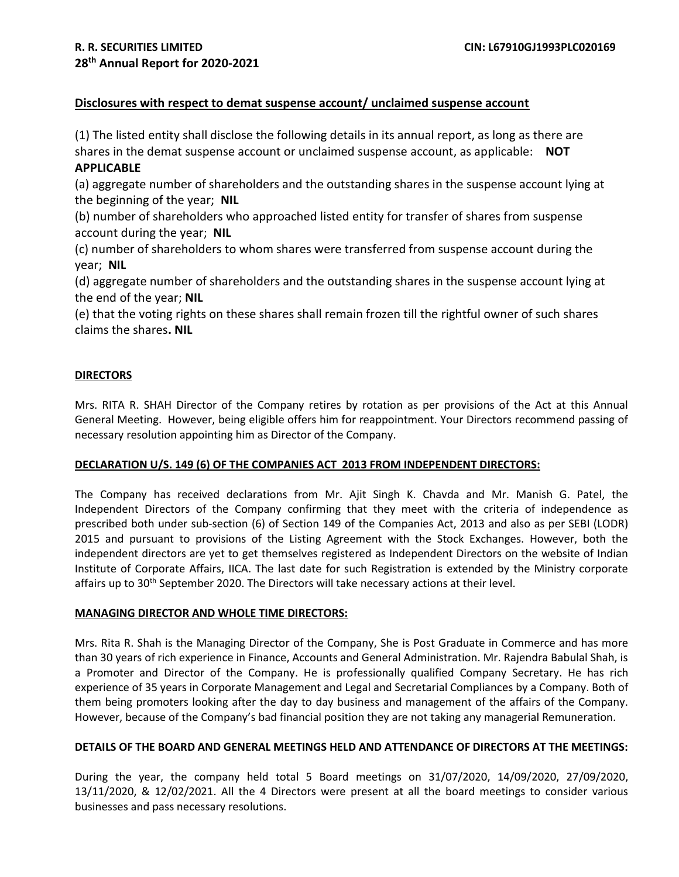### Disclosures with respect to demat suspense account/ unclaimed suspense account

(1) The listed entity shall disclose the following details in its annual report, as long as there are shares in the demat suspense account or unclaimed suspense account, as applicable:  $NOT$ APPLICABLE

(a) aggregate number of shareholders and the outstanding shares in the suspense account lying at the beginning of the year; NIL

(b) number of shareholders who approached listed entity for transfer of shares from suspense account during the year; NIL

(c) number of shareholders to whom shares were transferred from suspense account during the year; NIL

(d) aggregate number of shareholders and the outstanding shares in the suspense account lying at the end of the year; NIL

(e) that the voting rights on these shares shall remain frozen till the rightful owner of such shares claims the shares. NIL

### **DIRECTORS**

Mrs. RITA R. SHAH Director of the Company retires by rotation as per provisions of the Act at this Annual General Meeting. However, being eligible offers him for reappointment. Your Directors recommend passing of necessary resolution appointing him as Director of the Company.

### DECLARATION U/S. 149 (6) OF THE COMPANIES ACT 2013 FROM INDEPENDENT DIRECTORS:

The Company has received declarations from Mr. Ajit Singh K. Chavda and Mr. Manish G. Patel, the Independent Directors of the Company confirming that they meet with the criteria of independence as prescribed both under sub-section (6) of Section 149 of the Companies Act, 2013 and also as per SEBI (LODR) 2015 and pursuant to provisions of the Listing Agreement with the Stock Exchanges. However, both the independent directors are yet to get themselves registered as Independent Directors on the website of Indian Institute of Corporate Affairs, IICA. The last date for such Registration is extended by the Ministry corporate affairs up to 30<sup>th</sup> September 2020. The Directors will take necessary actions at their level.

#### MANAGING DIRECTOR AND WHOLE TIME DIRECTORS:

Mrs. Rita R. Shah is the Managing Director of the Company, She is Post Graduate in Commerce and has more than 30 years of rich experience in Finance, Accounts and General Administration. Mr. Rajendra Babulal Shah, is a Promoter and Director of the Company. He is professionally qualified Company Secretary. He has rich experience of 35 years in Corporate Management and Legal and Secretarial Compliances by a Company. Both of them being promoters looking after the day to day business and management of the affairs of the Company. However, because of the Company's bad financial position they are not taking any managerial Remuneration.

### DETAILS OF THE BOARD AND GENERAL MEETINGS HELD AND ATTENDANCE OF DIRECTORS AT THE MEETINGS:

During the year, the company held total 5 Board meetings on 31/07/2020, 14/09/2020, 27/09/2020, 13/11/2020, & 12/02/2021. All the 4 Directors were present at all the board meetings to consider various businesses and pass necessary resolutions.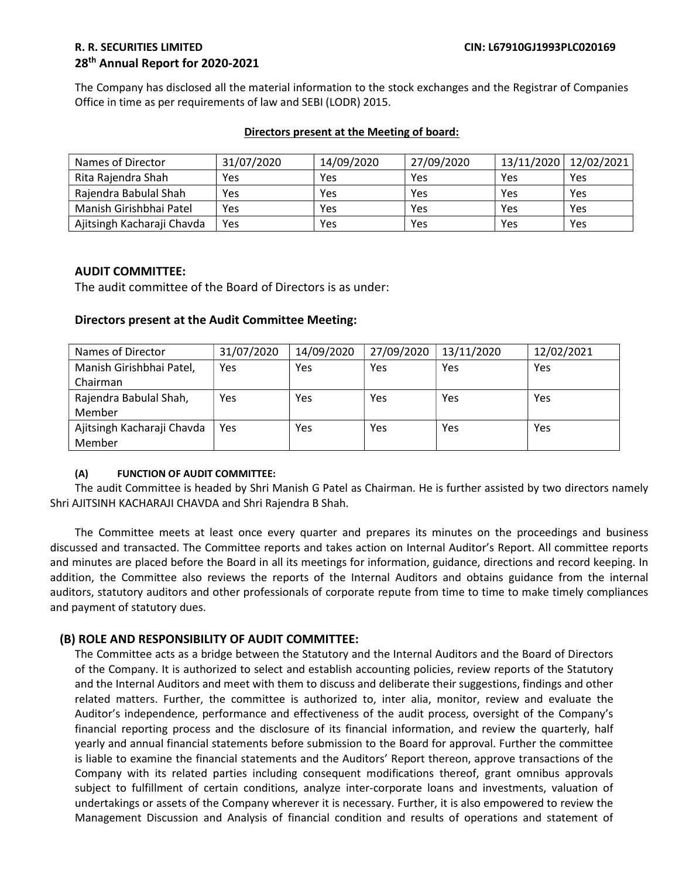The Company has disclosed all the material information to the stock exchanges and the Registrar of Companies Office in time as per requirements of law and SEBI (LODR) 2015.

| Names of Director          | 31/07/2020 | 14/09/2020 | 27/09/2020 | 13/11/2020 | 12/02/2021 |
|----------------------------|------------|------------|------------|------------|------------|
| Rita Rajendra Shah         | <b>Yes</b> | Yes        | Yes        | Yes        | Yes        |
| Rajendra Babulal Shah      | Yes        | Yes        | Yes        | Yes        | Yes        |
| Manish Girishbhai Patel    | Yes        | Yes        | Yes        | Yes        | Yes        |
| Ajitsingh Kacharaji Chavda | Yes        | Yes        | Yes        | Yes        | Yes        |

### Directors present at the Meeting of board:

### AUDIT COMMITTEE:

The audit committee of the Board of Directors is as under:

### Directors present at the Audit Committee Meeting:

| Names of Director          | 31/07/2020 | 14/09/2020 | 27/09/2020 | 13/11/2020 | 12/02/2021 |
|----------------------------|------------|------------|------------|------------|------------|
| Manish Girishbhai Patel,   | Yes        | Yes        | Yes        | Yes        | Yes        |
| Chairman                   |            |            |            |            |            |
| Rajendra Babulal Shah,     | Yes        | Yes        | Yes        | Yes        | Yes        |
| Member                     |            |            |            |            |            |
| Ajitsingh Kacharaji Chavda | Yes        | Yes        | Yes        | Yes        | Yes        |
| Member                     |            |            |            |            |            |

### (A) FUNCTION OF AUDIT COMMITTEE:

The audit Committee is headed by Shri Manish G Patel as Chairman. He is further assisted by two directors namely Shri AJITSINH KACHARAJI CHAVDA and Shri Rajendra B Shah.

The Committee meets at least once every quarter and prepares its minutes on the proceedings and business discussed and transacted. The Committee reports and takes action on Internal Auditor's Report. All committee reports and minutes are placed before the Board in all its meetings for information, guidance, directions and record keeping. In addition, the Committee also reviews the reports of the Internal Auditors and obtains guidance from the internal auditors, statutory auditors and other professionals of corporate repute from time to time to make timely compliances and payment of statutory dues.

### (B) ROLE AND RESPONSIBILITY OF AUDIT COMMITTEE:

The Committee acts as a bridge between the Statutory and the Internal Auditors and the Board of Directors of the Company. It is authorized to select and establish accounting policies, review reports of the Statutory and the Internal Auditors and meet with them to discuss and deliberate their suggestions, findings and other related matters. Further, the committee is authorized to, inter alia, monitor, review and evaluate the Auditor's independence, performance and effectiveness of the audit process, oversight of the Company's financial reporting process and the disclosure of its financial information, and review the quarterly, half yearly and annual financial statements before submission to the Board for approval. Further the committee is liable to examine the financial statements and the Auditors' Report thereon, approve transactions of the Company with its related parties including consequent modifications thereof, grant omnibus approvals subject to fulfillment of certain conditions, analyze inter-corporate loans and investments, valuation of undertakings or assets of the Company wherever it is necessary. Further, it is also empowered to review the Management Discussion and Analysis of financial condition and results of operations and statement of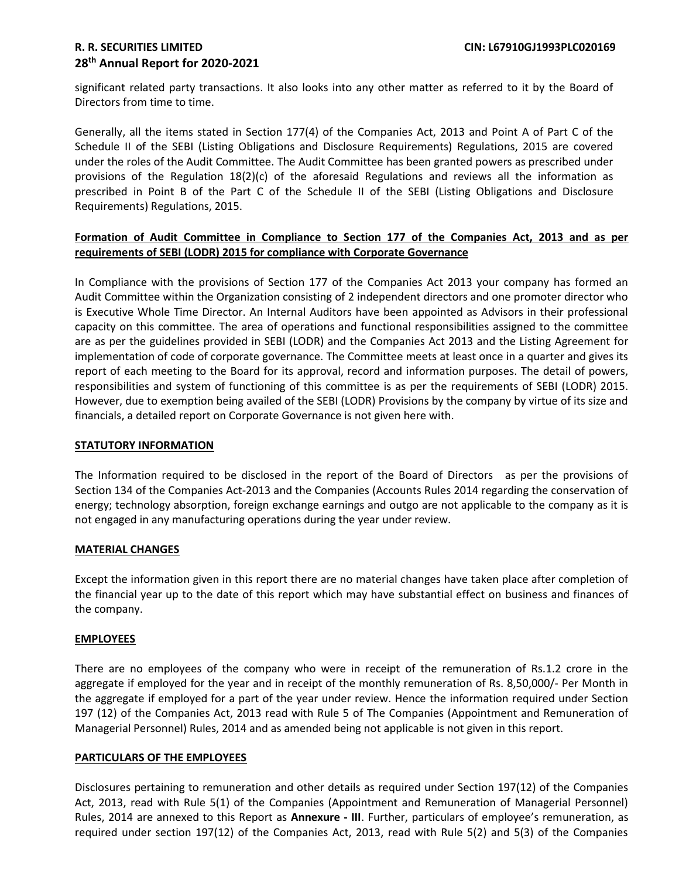significant related party transactions. It also looks into any other matter as referred to it by the Board of Directors from time to time.

Generally, all the items stated in Section 177(4) of the Companies Act, 2013 and Point A of Part C of the Schedule II of the SEBI (Listing Obligations and Disclosure Requirements) Regulations, 2015 are covered under the roles of the Audit Committee. The Audit Committee has been granted powers as prescribed under provisions of the Regulation 18(2)(c) of the aforesaid Regulations and reviews all the information as prescribed in Point B of the Part C of the Schedule II of the SEBI (Listing Obligations and Disclosure Requirements) Regulations, 2015.

### Formation of Audit Committee in Compliance to Section 177 of the Companies Act, 2013 and as per requirements of SEBI (LODR) 2015 for compliance with Corporate Governance

In Compliance with the provisions of Section 177 of the Companies Act 2013 your company has formed an Audit Committee within the Organization consisting of 2 independent directors and one promoter director who is Executive Whole Time Director. An Internal Auditors have been appointed as Advisors in their professional capacity on this committee. The area of operations and functional responsibilities assigned to the committee are as per the guidelines provided in SEBI (LODR) and the Companies Act 2013 and the Listing Agreement for implementation of code of corporate governance. The Committee meets at least once in a quarter and gives its report of each meeting to the Board for its approval, record and information purposes. The detail of powers, responsibilities and system of functioning of this committee is as per the requirements of SEBI (LODR) 2015. However, due to exemption being availed of the SEBI (LODR) Provisions by the company by virtue of its size and financials, a detailed report on Corporate Governance is not given here with.

#### STATUTORY INFORMATION

The Information required to be disclosed in the report of the Board of Directors as per the provisions of Section 134 of the Companies Act-2013 and the Companies (Accounts Rules 2014 regarding the conservation of energy; technology absorption, foreign exchange earnings and outgo are not applicable to the company as it is not engaged in any manufacturing operations during the year under review.

#### MATERIAL CHANGES

Except the information given in this report there are no material changes have taken place after completion of the financial year up to the date of this report which may have substantial effect on business and finances of the company.

### **EMPLOYEES**

There are no employees of the company who were in receipt of the remuneration of Rs.1.2 crore in the aggregate if employed for the year and in receipt of the monthly remuneration of Rs. 8,50,000/- Per Month in the aggregate if employed for a part of the year under review. Hence the information required under Section 197 (12) of the Companies Act, 2013 read with Rule 5 of The Companies (Appointment and Remuneration of Managerial Personnel) Rules, 2014 and as amended being not applicable is not given in this report.

#### PARTICULARS OF THE EMPLOYEES

Disclosures pertaining to remuneration and other details as required under Section 197(12) of the Companies Act, 2013, read with Rule 5(1) of the Companies (Appointment and Remuneration of Managerial Personnel) Rules, 2014 are annexed to this Report as Annexure - III. Further, particulars of employee's remuneration, as required under section 197(12) of the Companies Act, 2013, read with Rule 5(2) and 5(3) of the Companies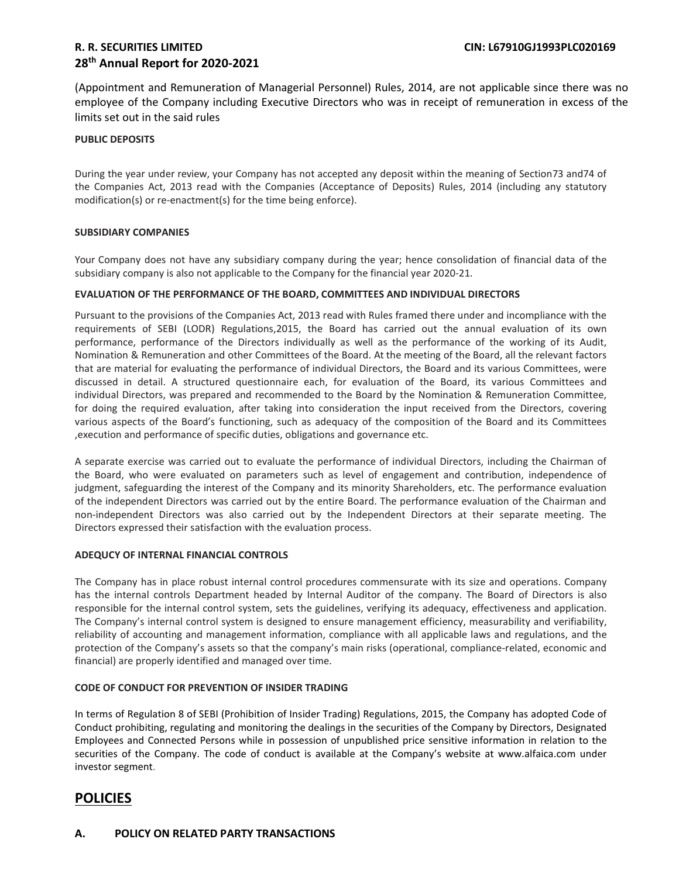(Appointment and Remuneration of Managerial Personnel) Rules, 2014, are not applicable since there was no employee of the Company including Executive Directors who was in receipt of remuneration in excess of the limits set out in the said rules

#### PUBLIC DEPOSITS

During the year under review, your Company has not accepted any deposit within the meaning of Section73 and74 of the Companies Act, 2013 read with the Companies (Acceptance of Deposits) Rules, 2014 (including any statutory modification(s) or re-enactment(s) for the time being enforce).

#### SUBSIDIARY COMPANIES

Your Company does not have any subsidiary company during the year; hence consolidation of financial data of the subsidiary company is also not applicable to the Company for the financial year 2020-21.

#### EVALUATION OF THE PERFORMANCE OF THE BOARD, COMMITTEES AND INDIVIDUAL DIRECTORS

Pursuant to the provisions of the Companies Act, 2013 read with Rules framed there under and incompliance with the requirements of SEBI (LODR) Regulations,2015, the Board has carried out the annual evaluation of its own performance, performance of the Directors individually as well as the performance of the working of its Audit, Nomination & Remuneration and other Committees of the Board. At the meeting of the Board, all the relevant factors that are material for evaluating the performance of individual Directors, the Board and its various Committees, were discussed in detail. A structured questionnaire each, for evaluation of the Board, its various Committees and individual Directors, was prepared and recommended to the Board by the Nomination & Remuneration Committee, for doing the required evaluation, after taking into consideration the input received from the Directors, covering various aspects of the Board's functioning, such as adequacy of the composition of the Board and its Committees ,execution and performance of specific duties, obligations and governance etc.

A separate exercise was carried out to evaluate the performance of individual Directors, including the Chairman of the Board, who were evaluated on parameters such as level of engagement and contribution, independence of judgment, safeguarding the interest of the Company and its minority Shareholders, etc. The performance evaluation of the independent Directors was carried out by the entire Board. The performance evaluation of the Chairman and non-independent Directors was also carried out by the Independent Directors at their separate meeting. The Directors expressed their satisfaction with the evaluation process.

#### ADEQUCY OF INTERNAL FINANCIAL CONTROLS

The Company has in place robust internal control procedures commensurate with its size and operations. Company has the internal controls Department headed by Internal Auditor of the company. The Board of Directors is also responsible for the internal control system, sets the guidelines, verifying its adequacy, effectiveness and application. The Company's internal control system is designed to ensure management efficiency, measurability and verifiability, reliability of accounting and management information, compliance with all applicable laws and regulations, and the protection of the Company's assets so that the company's main risks (operational, compliance-related, economic and financial) are properly identified and managed over time.

#### CODE OF CONDUCT FOR PREVENTION OF INSIDER TRADING

In terms of Regulation 8 of SEBI (Prohibition of Insider Trading) Regulations, 2015, the Company has adopted Code of Conduct prohibiting, regulating and monitoring the dealings in the securities of the Company by Directors, Designated Employees and Connected Persons while in possession of unpublished price sensitive information in relation to the securities of the Company. The code of conduct is available at the Company's website at www.alfaica.com under investor segment.

### POLICIES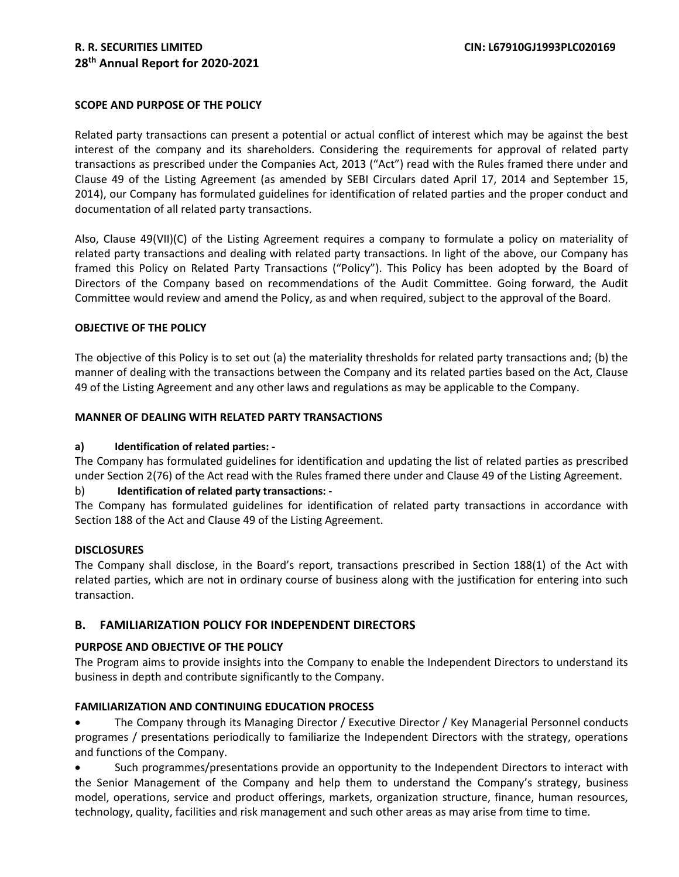### SCOPE AND PURPOSE OF THE POLICY

Related party transactions can present a potential or actual conflict of interest which may be against the best interest of the company and its shareholders. Considering the requirements for approval of related party transactions as prescribed under the Companies Act, 2013 ("Act") read with the Rules framed there under and Clause 49 of the Listing Agreement (as amended by SEBI Circulars dated April 17, 2014 and September 15, 2014), our Company has formulated guidelines for identification of related parties and the proper conduct and documentation of all related party transactions.

Also, Clause 49(VII)(C) of the Listing Agreement requires a company to formulate a policy on materiality of related party transactions and dealing with related party transactions. In light of the above, our Company has framed this Policy on Related Party Transactions ("Policy"). This Policy has been adopted by the Board of Directors of the Company based on recommendations of the Audit Committee. Going forward, the Audit Committee would review and amend the Policy, as and when required, subject to the approval of the Board.

### OBJECTIVE OF THE POLICY

The objective of this Policy is to set out (a) the materiality thresholds for related party transactions and; (b) the manner of dealing with the transactions between the Company and its related parties based on the Act, Clause 49 of the Listing Agreement and any other laws and regulations as may be applicable to the Company.

### MANNER OF DEALING WITH RELATED PARTY TRANSACTIONS

#### a) Identification of related parties: -

The Company has formulated guidelines for identification and updating the list of related parties as prescribed under Section 2(76) of the Act read with the Rules framed there under and Clause 49 of the Listing Agreement.

#### b) Identification of related party transactions: -

The Company has formulated guidelines for identification of related party transactions in accordance with Section 188 of the Act and Clause 49 of the Listing Agreement.

#### **DISCLOSURES**

The Company shall disclose, in the Board's report, transactions prescribed in Section 188(1) of the Act with related parties, which are not in ordinary course of business along with the justification for entering into such transaction.

### B. FAMILIARIZATION POLICY FOR INDEPENDENT DIRECTORS

#### PURPOSE AND OBJECTIVE OF THE POLICY

The Program aims to provide insights into the Company to enable the Independent Directors to understand its business in depth and contribute significantly to the Company.

#### FAMILIARIZATION AND CONTINUING EDUCATION PROCESS

 The Company through its Managing Director / Executive Director / Key Managerial Personnel conducts programes / presentations periodically to familiarize the Independent Directors with the strategy, operations and functions of the Company.

 Such programmes/presentations provide an opportunity to the Independent Directors to interact with the Senior Management of the Company and help them to understand the Company's strategy, business model, operations, service and product offerings, markets, organization structure, finance, human resources, technology, quality, facilities and risk management and such other areas as may arise from time to time.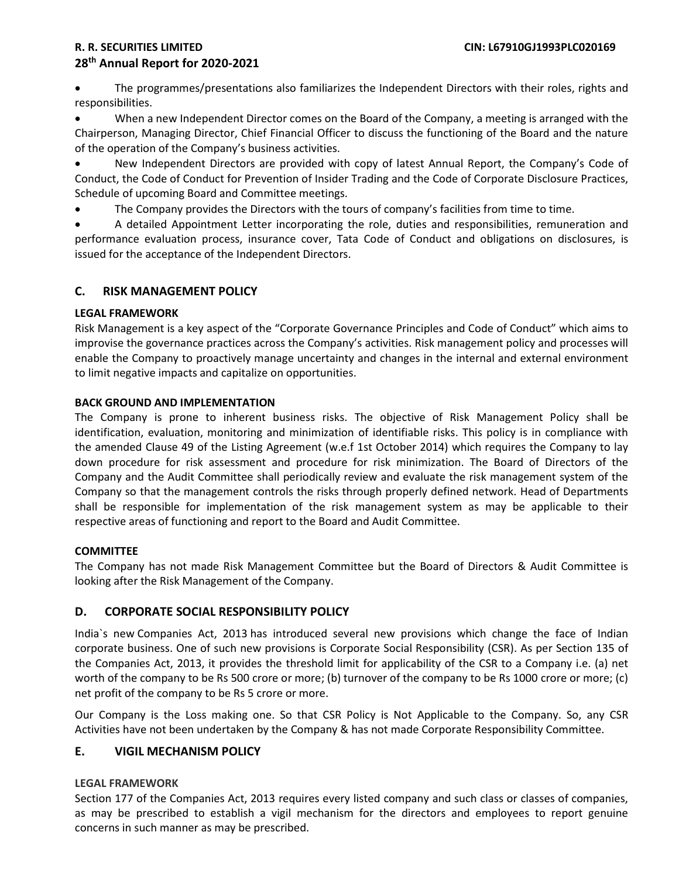The programmes/presentations also familiarizes the Independent Directors with their roles, rights and responsibilities.

 When a new Independent Director comes on the Board of the Company, a meeting is arranged with the Chairperson, Managing Director, Chief Financial Officer to discuss the functioning of the Board and the nature of the operation of the Company's business activities.

 New Independent Directors are provided with copy of latest Annual Report, the Company's Code of Conduct, the Code of Conduct for Prevention of Insider Trading and the Code of Corporate Disclosure Practices, Schedule of upcoming Board and Committee meetings.

The Company provides the Directors with the tours of company's facilities from time to time.

 A detailed Appointment Letter incorporating the role, duties and responsibilities, remuneration and performance evaluation process, insurance cover, Tata Code of Conduct and obligations on disclosures, is issued for the acceptance of the Independent Directors.

### C. RISK MANAGEMENT POLICY

### LEGAL FRAMEWORK

Risk Management is a key aspect of the "Corporate Governance Principles and Code of Conduct" which aims to improvise the governance practices across the Company's activities. Risk management policy and processes will enable the Company to proactively manage uncertainty and changes in the internal and external environment to limit negative impacts and capitalize on opportunities.

### BACK GROUND AND IMPLEMENTATION

The Company is prone to inherent business risks. The objective of Risk Management Policy shall be identification, evaluation, monitoring and minimization of identifiable risks. This policy is in compliance with the amended Clause 49 of the Listing Agreement (w.e.f 1st October 2014) which requires the Company to lay down procedure for risk assessment and procedure for risk minimization. The Board of Directors of the Company and the Audit Committee shall periodically review and evaluate the risk management system of the Company so that the management controls the risks through properly defined network. Head of Departments shall be responsible for implementation of the risk management system as may be applicable to their respective areas of functioning and report to the Board and Audit Committee.

### **COMMITTEE**

The Company has not made Risk Management Committee but the Board of Directors & Audit Committee is looking after the Risk Management of the Company.

### D. CORPORATE SOCIAL RESPONSIBILITY POLICY

India`s new Companies Act, 2013 has introduced several new provisions which change the face of Indian corporate business. One of such new provisions is Corporate Social Responsibility (CSR). As per Section 135 of the Companies Act, 2013, it provides the threshold limit for applicability of the CSR to a Company i.e. (a) net worth of the company to be Rs 500 crore or more; (b) turnover of the company to be Rs 1000 crore or more; (c) net profit of the company to be Rs 5 crore or more.

Our Company is the Loss making one. So that CSR Policy is Not Applicable to the Company. So, any CSR Activities have not been undertaken by the Company & has not made Corporate Responsibility Committee.

### E. VIGIL MECHANISM POLICY

### LEGAL FRAMEWORK

Section 177 of the Companies Act, 2013 requires every listed company and such class or classes of companies, as may be prescribed to establish a vigil mechanism for the directors and employees to report genuine concerns in such manner as may be prescribed.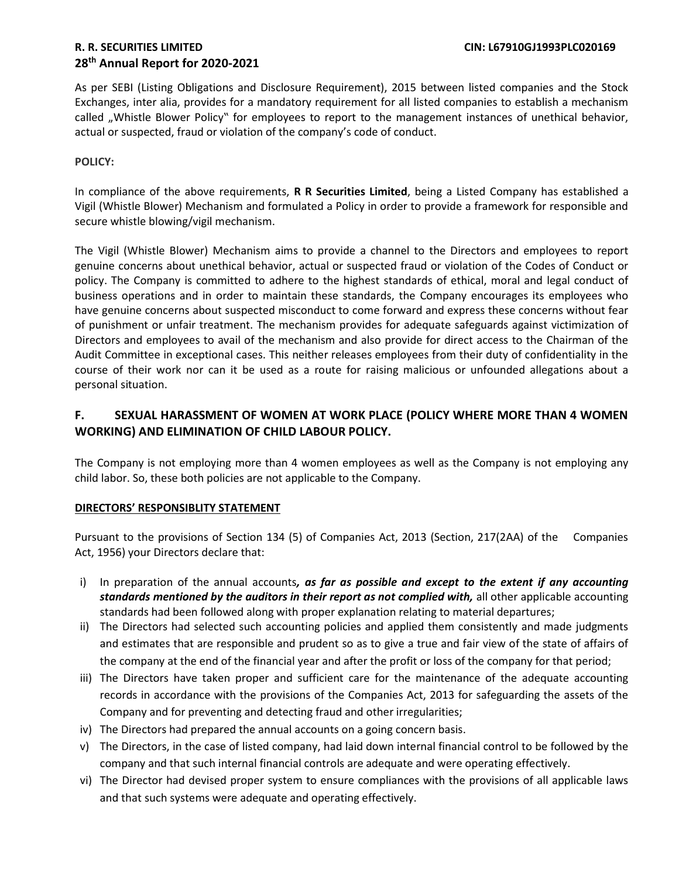As per SEBI (Listing Obligations and Disclosure Requirement), 2015 between listed companies and the Stock Exchanges, inter alia, provides for a mandatory requirement for all listed companies to establish a mechanism called "Whistle Blower Policy" for employees to report to the management instances of unethical behavior, actual or suspected, fraud or violation of the company's code of conduct.

### POLICY:

In compliance of the above requirements, R R Securities Limited, being a Listed Company has established a Vigil (Whistle Blower) Mechanism and formulated a Policy in order to provide a framework for responsible and secure whistle blowing/vigil mechanism.

The Vigil (Whistle Blower) Mechanism aims to provide a channel to the Directors and employees to report genuine concerns about unethical behavior, actual or suspected fraud or violation of the Codes of Conduct or policy. The Company is committed to adhere to the highest standards of ethical, moral and legal conduct of business operations and in order to maintain these standards, the Company encourages its employees who have genuine concerns about suspected misconduct to come forward and express these concerns without fear of punishment or unfair treatment. The mechanism provides for adequate safeguards against victimization of Directors and employees to avail of the mechanism and also provide for direct access to the Chairman of the Audit Committee in exceptional cases. This neither releases employees from their duty of confidentiality in the course of their work nor can it be used as a route for raising malicious or unfounded allegations about a personal situation.

### F. SEXUAL HARASSMENT OF WOMEN AT WORK PLACE (POLICY WHERE MORE THAN 4 WOMEN WORKING) AND ELIMINATION OF CHILD LABOUR POLICY.

The Company is not employing more than 4 women employees as well as the Company is not employing any child labor. So, these both policies are not applicable to the Company.

### DIRECTORS' RESPONSIBLITY STATEMENT

Pursuant to the provisions of Section 134 (5) of Companies Act, 2013 (Section, 217(2AA) of the Companies Act, 1956) your Directors declare that:

- i) In preparation of the annual accounts, as far as possible and except to the extent if any accounting standards mentioned by the auditors in their report as not complied with, all other applicable accounting standards had been followed along with proper explanation relating to material departures;
- ii) The Directors had selected such accounting policies and applied them consistently and made judgments and estimates that are responsible and prudent so as to give a true and fair view of the state of affairs of the company at the end of the financial year and after the profit or loss of the company for that period;
- iii) The Directors have taken proper and sufficient care for the maintenance of the adequate accounting records in accordance with the provisions of the Companies Act, 2013 for safeguarding the assets of the Company and for preventing and detecting fraud and other irregularities;
- iv) The Directors had prepared the annual accounts on a going concern basis.
- v) The Directors, in the case of listed company, had laid down internal financial control to be followed by the company and that such internal financial controls are adequate and were operating effectively.
- vi) The Director had devised proper system to ensure compliances with the provisions of all applicable laws and that such systems were adequate and operating effectively.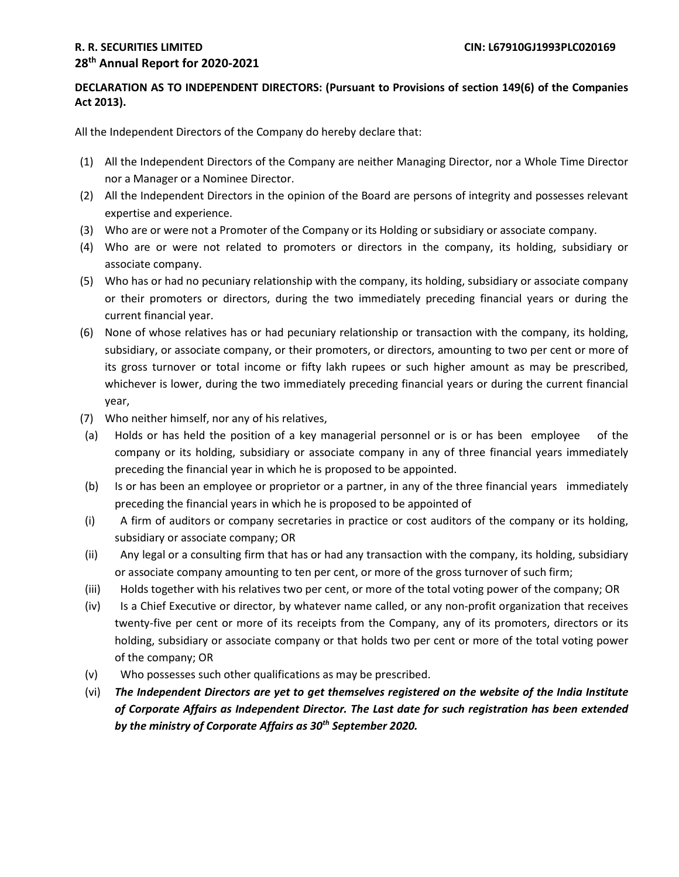### DECLARATION AS TO INDEPENDENT DIRECTORS: (Pursuant to Provisions of section 149(6) of the Companies Act 2013).

All the Independent Directors of the Company do hereby declare that:

- (1) All the Independent Directors of the Company are neither Managing Director, nor a Whole Time Director nor a Manager or a Nominee Director.
- (2) All the Independent Directors in the opinion of the Board are persons of integrity and possesses relevant expertise and experience.
- (3) Who are or were not a Promoter of the Company or its Holding or subsidiary or associate company.
- (4) Who are or were not related to promoters or directors in the company, its holding, subsidiary or associate company.
- (5) Who has or had no pecuniary relationship with the company, its holding, subsidiary or associate company or their promoters or directors, during the two immediately preceding financial years or during the current financial year.
- (6) None of whose relatives has or had pecuniary relationship or transaction with the company, its holding, subsidiary, or associate company, or their promoters, or directors, amounting to two per cent or more of its gross turnover or total income or fifty lakh rupees or such higher amount as may be prescribed, whichever is lower, during the two immediately preceding financial years or during the current financial year,
- (7) Who neither himself, nor any of his relatives,
- (a) Holds or has held the position of a key managerial personnel or is or has been employee of the company or its holding, subsidiary or associate company in any of three financial years immediately preceding the financial year in which he is proposed to be appointed.
- (b) Is or has been an employee or proprietor or a partner, in any of the three financial years immediately preceding the financial years in which he is proposed to be appointed of
- (i) A firm of auditors or company secretaries in practice or cost auditors of the company or its holding, subsidiary or associate company; OR
- (ii) Any legal or a consulting firm that has or had any transaction with the company, its holding, subsidiary or associate company amounting to ten per cent, or more of the gross turnover of such firm;
- (iii) Holds together with his relatives two per cent, or more of the total voting power of the company; OR
- (iv) Is a Chief Executive or director, by whatever name called, or any non-profit organization that receives twenty-five per cent or more of its receipts from the Company, any of its promoters, directors or its holding, subsidiary or associate company or that holds two per cent or more of the total voting power of the company; OR
- (v) Who possesses such other qualifications as may be prescribed.
- (vi) The Independent Directors are yet to get themselves registered on the website of the India Institute of Corporate Affairs as Independent Director. The Last date for such registration has been extended by the ministry of Corporate Affairs as  $30<sup>th</sup>$  September 2020.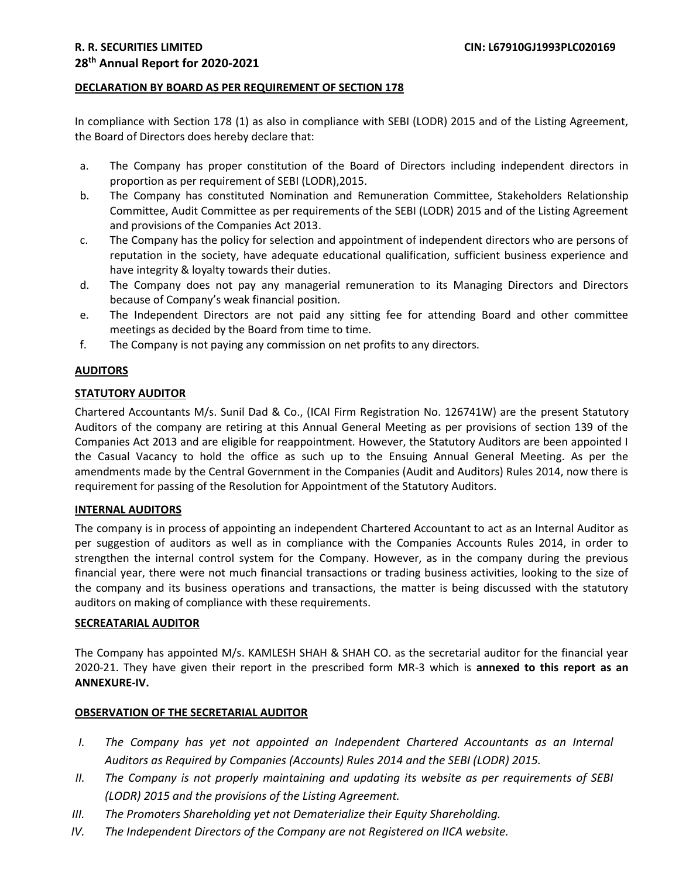### DECLARATION BY BOARD AS PER REQUIREMENT OF SECTION 178

In compliance with Section 178 (1) as also in compliance with SEBI (LODR) 2015 and of the Listing Agreement, the Board of Directors does hereby declare that:

- a. The Company has proper constitution of the Board of Directors including independent directors in proportion as per requirement of SEBI (LODR),2015.
- b. The Company has constituted Nomination and Remuneration Committee, Stakeholders Relationship Committee, Audit Committee as per requirements of the SEBI (LODR) 2015 and of the Listing Agreement and provisions of the Companies Act 2013.
- c. The Company has the policy for selection and appointment of independent directors who are persons of reputation in the society, have adequate educational qualification, sufficient business experience and have integrity & loyalty towards their duties.
- d. The Company does not pay any managerial remuneration to its Managing Directors and Directors because of Company's weak financial position.
- e. The Independent Directors are not paid any sitting fee for attending Board and other committee meetings as decided by the Board from time to time.
- f. The Company is not paying any commission on net profits to any directors.

### AUDITORS

### STATUTORY AUDITOR

Chartered Accountants M/s. Sunil Dad & Co., (ICAI Firm Registration No. 126741W) are the present Statutory Auditors of the company are retiring at this Annual General Meeting as per provisions of section 139 of the Companies Act 2013 and are eligible for reappointment. However, the Statutory Auditors are been appointed I the Casual Vacancy to hold the office as such up to the Ensuing Annual General Meeting. As per the amendments made by the Central Government in the Companies (Audit and Auditors) Rules 2014, now there is requirement for passing of the Resolution for Appointment of the Statutory Auditors.

#### INTERNAL AUDITORS

The company is in process of appointing an independent Chartered Accountant to act as an Internal Auditor as per suggestion of auditors as well as in compliance with the Companies Accounts Rules 2014, in order to strengthen the internal control system for the Company. However, as in the company during the previous financial year, there were not much financial transactions or trading business activities, looking to the size of the company and its business operations and transactions, the matter is being discussed with the statutory auditors on making of compliance with these requirements.

#### SECREATARIAL AUDITOR

The Company has appointed M/s. KAMLESH SHAH & SHAH CO. as the secretarial auditor for the financial year 2020-21. They have given their report in the prescribed form MR-3 which is annexed to this report as an ANNEXURE-IV.

### OBSERVATION OF THE SECRETARIAL AUDITOR

- I. The Company has yet not appointed an Independent Chartered Accountants as an Internal Auditors as Required by Companies (Accounts) Rules 2014 and the SEBI (LODR) 2015.
- II. The Company is not properly maintaining and updating its website as per requirements of SEBI (LODR) 2015 and the provisions of the Listing Agreement.
- III. The Promoters Shareholding yet not Dematerialize their Equity Shareholding.
- IV. The Independent Directors of the Company are not Registered on IICA website.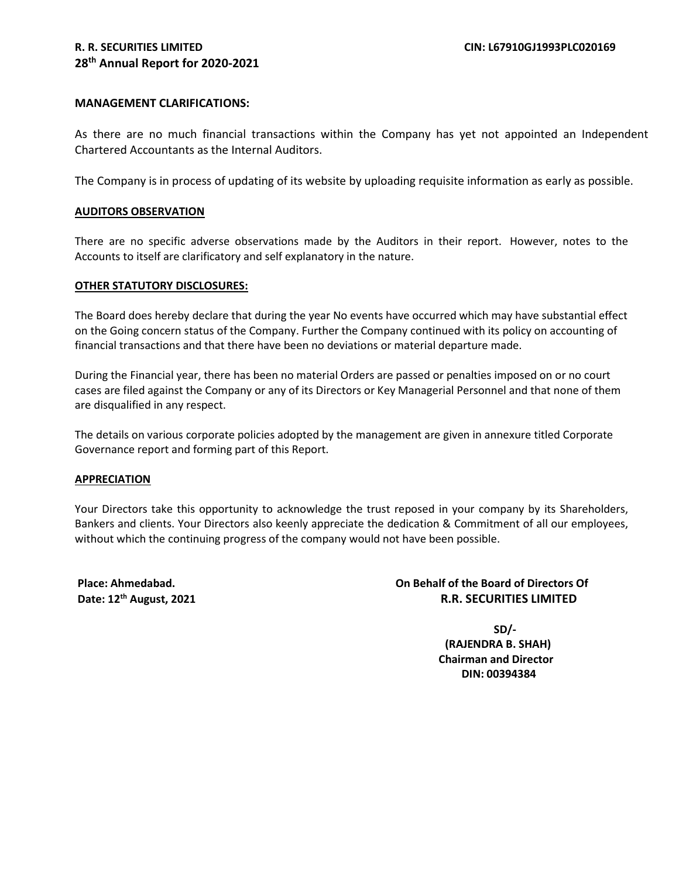### MANAGEMENT CLARIFICATIONS:

As there are no much financial transactions within the Company has yet not appointed an Independent Chartered Accountants as the Internal Auditors.

The Company is in process of updating of its website by uploading requisite information as early as possible.

#### AUDITORS OBSERVATION

There are no specific adverse observations made by the Auditors in their report. However, notes to the Accounts to itself are clarificatory and self explanatory in the nature.

#### OTHER STATUTORY DISCLOSURES:

The Board does hereby declare that during the year No events have occurred which may have substantial effect on the Going concern status of the Company. Further the Company continued with its policy on accounting of financial transactions and that there have been no deviations or material departure made.

During the Financial year, there has been no material Orders are passed or penalties imposed on or no court cases are filed against the Company or any of its Directors or Key Managerial Personnel and that none of them are disqualified in any respect.

The details on various corporate policies adopted by the management are given in annexure titled Corporate Governance report and forming part of this Report.

#### APPRECIATION

Your Directors take this opportunity to acknowledge the trust reposed in your company by its Shareholders, Bankers and clients. Your Directors also keenly appreciate the dedication & Commitment of all our employees, without which the continuing progress of the company would not have been possible.

### Place: Ahmedabad. On Behalf of the Board of Directors Of Date: 12<sup>th</sup> August, 2021 **R.R. SECURITIES LIMITED**

 $SD/-$  (RAJENDRA B. SHAH) Chairman and Director DIN: 00394384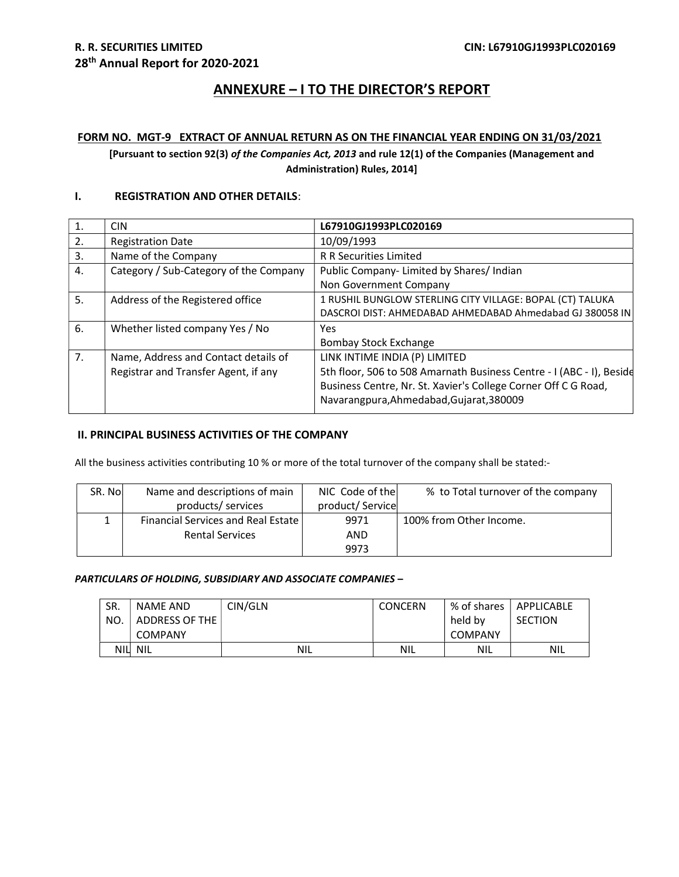## ANNEXURE – I TO THE DIRECTOR'S REPORT

### FORM NO. MGT-9 EXTRACT OF ANNUAL RETURN AS ON THE FINANCIAL YEAR ENDING ON 31/03/2021

[Pursuant to section 92(3) of the Companies Act, 2013 and rule 12(1) of the Companies (Management and Administration) Rules, 2014]

### I. REGISTRATION AND OTHER DETAILS:

| 1. | <b>CIN</b>                             | L67910GJ1993PLC020169                                                |
|----|----------------------------------------|----------------------------------------------------------------------|
| 2. | <b>Registration Date</b>               | 10/09/1993                                                           |
| 3. | Name of the Company                    | R R Securities Limited                                               |
| 4. | Category / Sub-Category of the Company | Public Company-Limited by Shares/Indian                              |
|    |                                        | Non Government Company                                               |
| 5. | Address of the Registered office       | 1 RUSHIL BUNGLOW STERLING CITY VILLAGE: BOPAL (CT) TALUKA            |
|    |                                        | DASCROI DIST: AHMEDABAD AHMEDABAD Ahmedabad GJ 380058 IN             |
| 6. | Whether listed company Yes / No        | Yes                                                                  |
|    |                                        | <b>Bombay Stock Exchange</b>                                         |
| 7. | Name, Address and Contact details of   | LINK INTIME INDIA (P) LIMITED                                        |
|    | Registrar and Transfer Agent, if any   | 5th floor, 506 to 508 Amarnath Business Centre - I (ABC - I), Beside |
|    |                                        | Business Centre, Nr. St. Xavier's College Corner Off C G Road,       |
|    |                                        | Navarangpura, Ahmedabad, Gujarat, 380009                             |

### II. PRINCIPAL BUSINESS ACTIVITIES OF THE COMPANY

All the business activities contributing 10 % or more of the total turnover of the company shall be stated:-

| SR. No | Name and descriptions of main               | NIC Code of the | % to Total turnover of the company |
|--------|---------------------------------------------|-----------------|------------------------------------|
|        | products/ services                          | product/Service |                                    |
|        | <b>Financial Services and Real Estate I</b> | 9971            | 100% from Other Income.            |
|        | <b>Rental Services</b>                      | AND             |                                    |
|        |                                             | 9973            |                                    |

#### PARTICULARS OF HOLDING, SUBSIDIARY AND ASSOCIATE COMPANIES –

| SR. | NAME AND       | CIN/GLN | <b>CONCERN</b> | % of shares | APPLICABLE |
|-----|----------------|---------|----------------|-------------|------------|
| NO. | ADDRESS OF THE |         |                | held by     | SECTION    |
|     | <b>COMPANY</b> |         |                | COMPANY     |            |
| NIL | NIL            | NIL     | <b>NIL</b>     | NIL         | NIL        |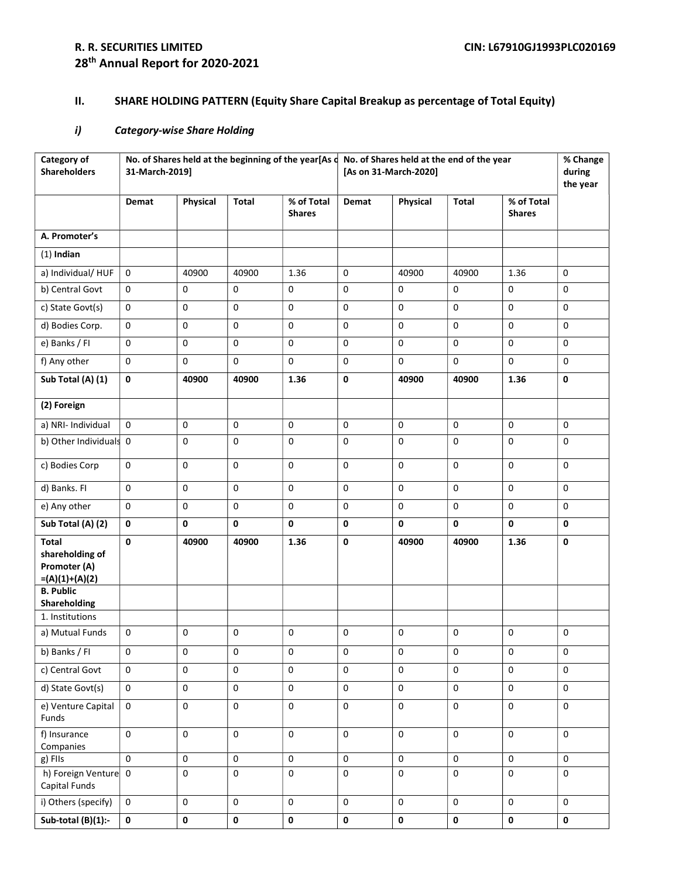## II. SHARE HOLDING PATTERN (Equity Share Capital Breakup as percentage of Total Equity)

### i) Category-wise Share Holding

| Category of<br><b>Shareholders</b>                                                      | No. of Shares held at the beginning of the year[As $d$ No. of Shares held at the end of the year<br>31-March-2019] |                         |                     |                             | [As on 31-March-2020] |                     |                     |                             | % Change<br>during<br>the year |
|-----------------------------------------------------------------------------------------|--------------------------------------------------------------------------------------------------------------------|-------------------------|---------------------|-----------------------------|-----------------------|---------------------|---------------------|-----------------------------|--------------------------------|
|                                                                                         | Demat                                                                                                              | Physical                | Total               | % of Total<br><b>Shares</b> | Demat                 | Physical            | <b>Total</b>        | % of Total<br><b>Shares</b> |                                |
| A. Promoter's                                                                           |                                                                                                                    |                         |                     |                             |                       |                     |                     |                             |                                |
| $(1)$ Indian                                                                            |                                                                                                                    |                         |                     |                             |                       |                     |                     |                             |                                |
| a) Individual/HUF                                                                       | 0                                                                                                                  | 40900                   | 40900               | 1.36                        | 0                     | 40900               | 40900               | 1.36                        | 0                              |
| b) Central Govt                                                                         | 0                                                                                                                  | 0                       | 0                   | 0                           | 0                     | 0                   | 0                   | 0                           | 0                              |
| c) State Govt(s)                                                                        | 0                                                                                                                  | 0                       | 0                   | 0                           | 0                     | $\mathbf 0$         | 0                   | 0                           | 0                              |
| d) Bodies Corp.                                                                         | $\mathbf 0$                                                                                                        | $\mathbf 0$             | $\mathbf 0$         | $\mathbf 0$                 | $\mathbf 0$           | $\mathsf{o}$        | 0                   | $\mathbf 0$                 | $\mathbf 0$                    |
| e) Banks / FI                                                                           | 0                                                                                                                  | 0                       | 0                   | 0                           | $\mathbf 0$           | 0                   | 0                   | 0                           | 0                              |
| f) Any other                                                                            | 0                                                                                                                  | 0                       | 0                   | 0                           | 0                     | $\mathsf 0$         | 0                   | 0                           | 0                              |
| Sub Total (A) (1)                                                                       | 0                                                                                                                  | 40900                   | 40900               | 1.36                        | $\mathbf 0$           | 40900               | 40900               | 1.36                        | 0                              |
| (2) Foreign                                                                             |                                                                                                                    |                         |                     |                             |                       |                     |                     |                             |                                |
| a) NRI- Individual                                                                      | $\mathbf 0$                                                                                                        | 0                       | $\mathbf 0$         | $\mathbf 0$                 | $\mathbf 0$           | $\mathbf 0$         | $\pmb{0}$           | $\mathbf 0$                 | $\mathbf 0$                    |
| b) Other Individuals 0                                                                  |                                                                                                                    | 0                       | $\mathsf{O}\xspace$ | 0                           | 0                     | $\mathsf{O}$        | 0                   | 0                           | 0                              |
| c) Bodies Corp                                                                          | 0                                                                                                                  | 0                       | $\mathbf 0$         | 0                           | 0                     | $\mathbf 0$         | 0                   | 0                           | 0                              |
| d) Banks. FI                                                                            | 0                                                                                                                  | $\mathbf 0$             | $\mathbf 0$         | 0                           | 0                     | $\mathsf 0$         | $\mathsf{O}\xspace$ | 0                           | 0                              |
| e) Any other                                                                            | 0                                                                                                                  | 0                       | $\mathbf 0$         | 0                           | $\mathbf 0$           | $\mathbf 0$         | 0                   | 0                           | 0                              |
| Sub Total (A) (2)                                                                       | 0                                                                                                                  | $\mathbf 0$             | $\mathbf 0$         | 0                           | 0                     | $\mathbf 0$         | $\mathbf 0$         | 0                           | 0                              |
| <b>Total</b><br>shareholding of<br>Promoter (A)<br>$=(A)(1)+(A)(2)$<br><b>B. Public</b> | $\mathbf 0$                                                                                                        | 40900                   | 40900               | 1.36                        | 0                     | 40900               | 40900               | 1.36                        | 0                              |
| Shareholding                                                                            |                                                                                                                    |                         |                     |                             |                       |                     |                     |                             |                                |
| 1. Institutions                                                                         |                                                                                                                    |                         |                     |                             |                       |                     |                     |                             |                                |
| a) Mutual Funds                                                                         | 0                                                                                                                  | 0                       | 0                   | 0                           | 0                     | 0                   | 0                   | 0                           | 0                              |
| b) Banks / Fl                                                                           | 0                                                                                                                  | $\mathsf 0$             | $\pmb{0}$           | $\mathsf{O}\xspace$         | $\pmb{0}$             | $\mathsf{O}\xspace$ | $\pmb{0}$           | $\mathsf{O}\xspace$         | 0                              |
| c) Central Govt                                                                         | $\mathbf 0$                                                                                                        | $\mathsf{O}\xspace$     | $\mathbf 0$         | $\mathbf 0$                 | $\mathbf 0$           | $\mathsf 0$         | $\mathsf{O}\xspace$ | $\mathsf{O}\xspace$         | $\mathbf 0$                    |
| d) State Govt(s)                                                                        | $\pmb{0}$                                                                                                          | $\mathsf{O}\xspace$     | $\pmb{0}$           | $\mathsf{O}\xspace$         | $\mathbf 0$           | $\mathsf 0$         | $\mathsf{O}\xspace$ | $\mathsf{O}\xspace$         | $\mathsf{O}\xspace$            |
| e) Venture Capital<br>Funds                                                             | $\mathsf 0$                                                                                                        | $\mathsf{O}$            | $\pmb{0}$           | $\mathsf{O}\xspace$         | $\mathsf 0$           | $\mathsf{O}\xspace$ | $\mathsf{O}\xspace$ | $\pmb{0}$                   | $\pmb{0}$                      |
| f) Insurance<br>Companies                                                               | $\pmb{0}$                                                                                                          | $\mathsf{O}$            | $\pmb{0}$           | $\mathsf{O}\xspace$         | $\mathsf 0$           | $\mathsf{O}\xspace$ | $\mathsf 0$         | $\pmb{0}$                   | $\pmb{0}$                      |
| g) FIIs                                                                                 | $\pmb{0}$                                                                                                          | $\mathsf{O}\xspace$     | $\pmb{0}$           | $\mathsf 0$                 | $\mathsf 0$           | $\mathbf 0$         | $\mathsf 0$         | $\pmb{0}$                   | $\mathsf{O}\xspace$            |
| h) Foreign Venture 0<br>Capital Funds                                                   |                                                                                                                    | $\mathsf{O}\xspace$     | $\mathsf{O}\xspace$ | $\pmb{0}$                   | $\mathsf 0$           | $\mathsf{O}\xspace$ | $\pmb{0}$           | 0                           | $\mathsf{O}\xspace$            |
| i) Others (specify)                                                                     | 0                                                                                                                  | $\mathsf{O}\phantom{0}$ | $\mathsf{O}\xspace$ | $\mathsf{O}\xspace$         | $\mathbf 0$           | $\mathbf 0$         | $\mathsf{O}\xspace$ | $\mathsf 0$                 | $\mathsf 0$                    |
| Sub-total (B)(1):-                                                                      | $\pmb{0}$                                                                                                          | $\mathbf 0$             | $\pmb{0}$           | $\pmb{0}$                   | $\pmb{0}$             | $\pmb{0}$           | $\pmb{0}$           | $\pmb{0}$                   | $\pmb{0}$                      |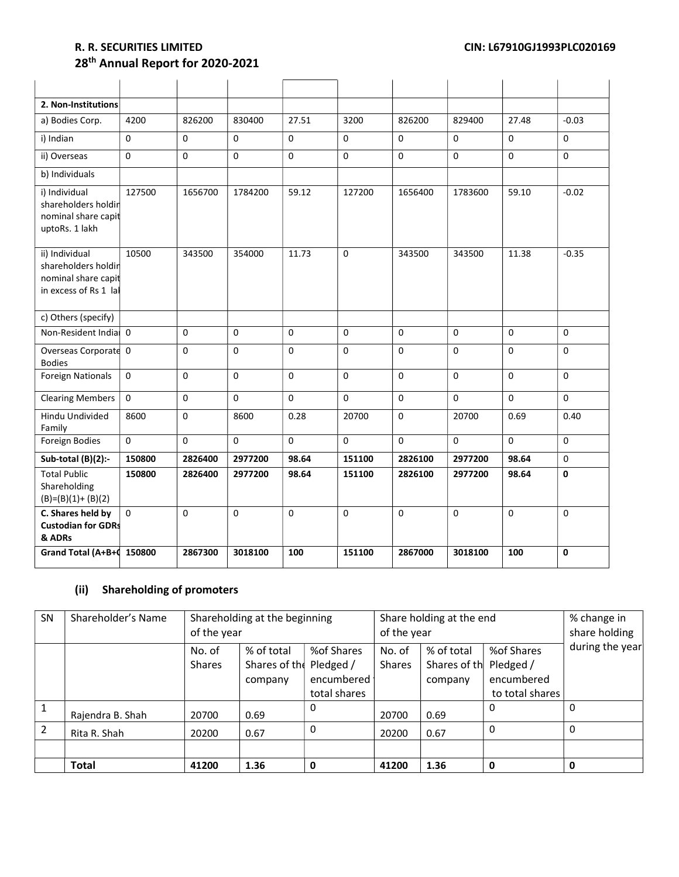| 2. Non-Institutions                                                                   |          |             |             |              |          |          |          |             |             |
|---------------------------------------------------------------------------------------|----------|-------------|-------------|--------------|----------|----------|----------|-------------|-------------|
| a) Bodies Corp.                                                                       | 4200     | 826200      | 830400      | 27.51        | 3200     | 826200   | 829400   | 27.48       | $-0.03$     |
| i) Indian                                                                             | $\Omega$ | 0           | $\Omega$    | $\Omega$     | $\Omega$ | $\Omega$ | $\Omega$ | 0           | 0           |
| ii) Overseas                                                                          | $\Omega$ | $\Omega$    | $\Omega$    | $\Omega$     | $\Omega$ | $\Omega$ | $\Omega$ | $\Omega$    | $\Omega$    |
| b) Individuals                                                                        |          |             |             |              |          |          |          |             |             |
| i) Individual<br>shareholders holdir<br>nominal share capit<br>uptoRs. 1 lakh         | 127500   | 1656700     | 1784200     | 59.12        | 127200   | 1656400  | 1783600  | 59.10       | $-0.02$     |
| ii) Individual<br>shareholders holdir<br>nominal share capit<br>in excess of Rs 1 lal | 10500    | 343500      | 354000      | 11.73        | $\Omega$ | 343500   | 343500   | 11.38       | $-0.35$     |
| c) Others (specify)                                                                   |          |             |             |              |          |          |          |             |             |
| Non-Resident Indial 0                                                                 |          | $\Omega$    | $\Omega$    | $\Omega$     | $\Omega$ | $\Omega$ | $\Omega$ | $\Omega$    | $\Omega$    |
| Overseas Corporate 0<br><b>Bodies</b>                                                 |          | $\Omega$    | $\Omega$    | $\Omega$     | $\Omega$ | $\Omega$ | $\Omega$ | $\Omega$    | $\Omega$    |
| <b>Foreign Nationals</b>                                                              | $\Omega$ | $\Omega$    | $\Omega$    | $\Omega$     | $\Omega$ | $\Omega$ | $\Omega$ | $\Omega$    | $\Omega$    |
| <b>Clearing Members</b>                                                               | 0        | $\mathbf 0$ | $\Omega$    | $\mathbf{0}$ | 0        | $\Omega$ | $\Omega$ | $\mathbf 0$ | $\Omega$    |
| Hindu Undivided<br>Family                                                             | 8600     | $\Omega$    | 8600        | 0.28         | 20700    | $\Omega$ | 20700    | 0.69        | 0.40        |
| Foreign Bodies                                                                        | $\Omega$ | $\Omega$    | $\mathbf 0$ | $\Omega$     | $\Omega$ | $\Omega$ | $\Omega$ | $\mathbf 0$ | $\Omega$    |
| Sub-total $(B)(2)$ :-                                                                 | 150800   | 2826400     | 2977200     | 98.64        | 151100   | 2826100  | 2977200  | 98.64       | $\mathbf 0$ |
| <b>Total Public</b><br>Shareholding<br>$(B)=(B)(1)+(B)(2)$                            | 150800   | 2826400     | 2977200     | 98.64        | 151100   | 2826100  | 2977200  | 98.64       | 0           |
| C. Shares held by<br><b>Custodian for GDRs</b><br>& ADRs                              | $\Omega$ | $\Omega$    | $\Omega$    | $\Omega$     | $\Omega$ | $\Omega$ | $\Omega$ | $\Omega$    | $\Omega$    |
| Grand Total (A+B+0 150800                                                             |          | 2867300     | 3018100     | 100          | 151100   | 2867000  | 3018100  | 100         | 0           |

### (ii) Shareholding of promoters

| <b>SN</b> | Shareholder's Name | Share holding at the end<br>Shareholding at the beginning<br>of the year<br>of the year |                                                  |                                          |                         | % change in<br>share holding                     |                                             |                 |
|-----------|--------------------|-----------------------------------------------------------------------------------------|--------------------------------------------------|------------------------------------------|-------------------------|--------------------------------------------------|---------------------------------------------|-----------------|
|           |                    | No. of<br><b>Shares</b>                                                                 | % of total<br>Shares of the Pledged /<br>company | %of Shares<br>encumbered<br>total shares | No. of<br><b>Shares</b> | % of total<br>Shares of the Pledged /<br>company | %of Shares<br>encumbered<br>to total shares | during the year |
| 1         | Rajendra B. Shah   | 20700                                                                                   | 0.69                                             | 0                                        | 20700                   | 0.69                                             | 0                                           | 0               |
| 2         | Rita R. Shah       | 20200                                                                                   | 0.67                                             | 0                                        | 20200                   | 0.67                                             | 0                                           | 0               |
|           |                    |                                                                                         |                                                  |                                          |                         |                                                  |                                             |                 |
|           | Total              | 41200                                                                                   | 1.36                                             | 0                                        | 41200                   | 1.36                                             | 0                                           | 0               |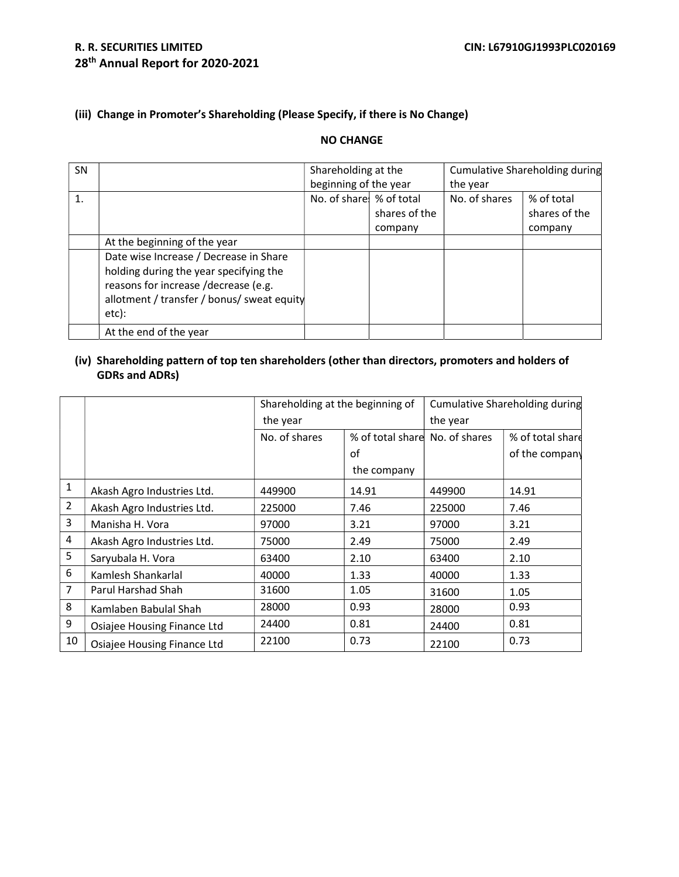### (iii) Change in Promoter's Shareholding (Please Specify, if there is No Change)

### NO CHANGE

| <b>SN</b> |                                                                                                                                                                                                                 | Shareholding at the<br>beginning of the year        |  | Cumulative Shareholding during<br>the year |                                        |  |
|-----------|-----------------------------------------------------------------------------------------------------------------------------------------------------------------------------------------------------------------|-----------------------------------------------------|--|--------------------------------------------|----------------------------------------|--|
| 1.        |                                                                                                                                                                                                                 | No. of share % of total<br>shares of the<br>company |  | No. of shares                              | % of total<br>shares of the<br>company |  |
|           | At the beginning of the year<br>Date wise Increase / Decrease in Share<br>holding during the year specifying the<br>reasons for increase /decrease (e.g.<br>allotment / transfer / bonus/ sweat equity<br>etc): |                                                     |  |                                            |                                        |  |
|           | At the end of the year                                                                                                                                                                                          |                                                     |  |                                            |                                        |  |

### (iv) Shareholding pattern of top ten shareholders (other than directors, promoters and holders of GDRs and ADRs)

|    |                             | Shareholding at the beginning of |                                | <b>Cumulative Shareholding during</b> |                  |
|----|-----------------------------|----------------------------------|--------------------------------|---------------------------------------|------------------|
|    |                             | the year                         |                                | the year                              |                  |
|    |                             | No. of shares                    | % of total share No. of shares |                                       | % of total share |
|    |                             |                                  | οf                             |                                       | of the company   |
|    |                             |                                  | the company                    |                                       |                  |
| 1  | Akash Agro Industries Ltd.  | 449900                           | 14.91                          | 449900                                | 14.91            |
| 2  | Akash Agro Industries Ltd.  | 225000                           | 7.46                           | 225000                                | 7.46             |
| 3  | Manisha H. Vora             | 97000                            | 3.21                           | 97000                                 | 3.21             |
| 4  | Akash Agro Industries Ltd.  | 75000                            | 2.49                           | 75000                                 | 2.49             |
| 5  | Saryubala H. Vora           | 63400                            | 2.10                           | 63400                                 | 2.10             |
| 6  | Kamlesh Shankarlal          | 40000                            | 1.33                           | 40000                                 | 1.33             |
| 7  | Parul Harshad Shah          | 31600                            | 1.05                           | 31600                                 | 1.05             |
| 8  | Kamlaben Babulal Shah       | 28000                            | 0.93                           | 28000                                 | 0.93             |
| 9  | Osiajee Housing Finance Ltd | 24400                            | 0.81                           | 24400                                 | 0.81             |
| 10 | Osiajee Housing Finance Ltd | 22100                            | 0.73                           | 22100                                 | 0.73             |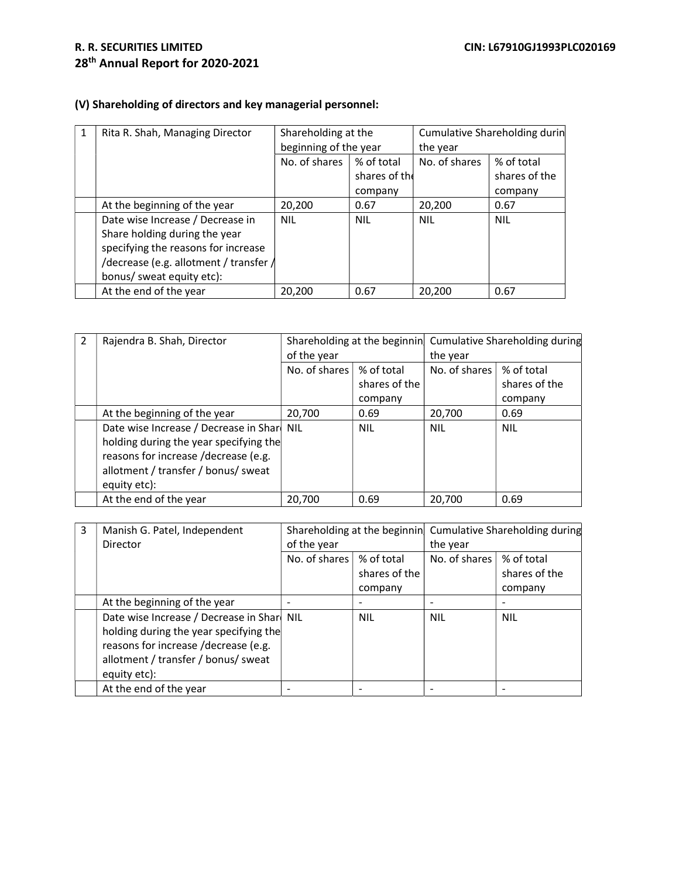### (V) Shareholding of directors and key managerial personnel:

| 1 | Rita R. Shah, Managing Director        | Shareholding at the   |               | Cumulative Shareholding durin |               |
|---|----------------------------------------|-----------------------|---------------|-------------------------------|---------------|
|   |                                        | beginning of the year |               | the year                      |               |
|   |                                        | No. of shares         | % of total    | No. of shares                 | % of total    |
|   |                                        |                       | shares of the |                               | shares of the |
|   |                                        |                       | company       |                               | company       |
|   | At the beginning of the year           | 20,200                | 0.67          | 20,200                        | 0.67          |
|   | Date wise Increase / Decrease in       | <b>NIL</b>            | <b>NIL</b>    | <b>NIL</b>                    | <b>NIL</b>    |
|   | Share holding during the year          |                       |               |                               |               |
|   | specifying the reasons for increase    |                       |               |                               |               |
|   | /decrease (e.g. allotment / transfer / |                       |               |                               |               |
|   | bonus/ sweat equity etc):              |                       |               |                               |               |
|   | At the end of the year                 | 20,200                | 0.67          | 20,200                        | 0.67          |

| Rajendra B. Shah, Director             | Shareholding at the beginnin |               | <b>Cumulative Shareholding during</b> |               |
|----------------------------------------|------------------------------|---------------|---------------------------------------|---------------|
|                                        | of the year                  |               | the year                              |               |
|                                        | No. of shares                | % of total    | No. of shares                         | % of total    |
|                                        |                              | shares of the |                                       | shares of the |
|                                        |                              | company       |                                       | company       |
| At the beginning of the year           | 20,700                       | 0.69          | 20,700                                | 0.69          |
| Date wise Increase / Decrease in Shar  | <b>NIL</b>                   | <b>NIL</b>    | <b>NIL</b>                            | <b>NIL</b>    |
| holding during the year specifying the |                              |               |                                       |               |
| reasons for increase /decrease (e.g.   |                              |               |                                       |               |
| allotment / transfer / bonus/ sweat    |                              |               |                                       |               |
| equity etc):                           |                              |               |                                       |               |
| At the end of the year                 | 20,700                       | 0.69          | 20,700                                | 0.69          |

| 3 | Manish G. Patel, Independent              |               |               | Shareholding at the beginnin Cumulative Shareholding during |               |
|---|-------------------------------------------|---------------|---------------|-------------------------------------------------------------|---------------|
|   | Director                                  | of the year   |               | the year                                                    |               |
|   |                                           | No. of shares | ∣% of total   | No. of shares                                               | % of total    |
|   |                                           |               | shares of the |                                                             | shares of the |
|   |                                           |               | company       |                                                             | company       |
|   | At the beginning of the year              |               |               |                                                             |               |
|   | Date wise Increase / Decrease in Shar NIL |               | <b>NIL</b>    | <b>NIL</b>                                                  | <b>NIL</b>    |
|   | holding during the year specifying the    |               |               |                                                             |               |
|   | reasons for increase /decrease (e.g.      |               |               |                                                             |               |
|   | allotment / transfer / bonus/ sweat       |               |               |                                                             |               |
|   | equity etc):                              |               |               |                                                             |               |
|   | At the end of the year                    |               |               |                                                             |               |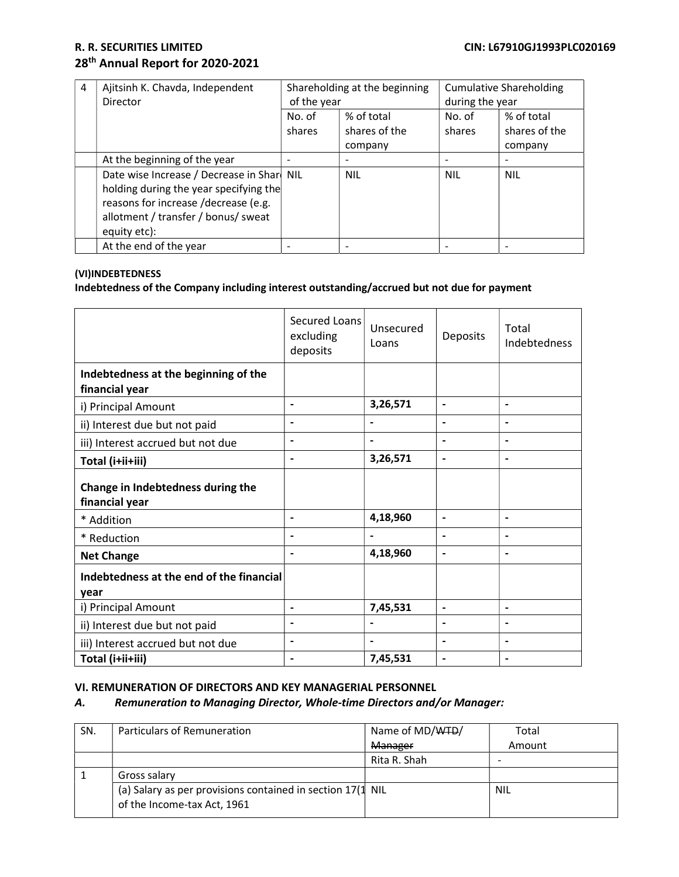| 4 | Ajitsinh K. Chavda, Independent<br>Director | Shareholding at the beginning<br>of the year |               | <b>Cumulative Shareholding</b><br>during the year |               |
|---|---------------------------------------------|----------------------------------------------|---------------|---------------------------------------------------|---------------|
|   |                                             | No. of                                       | % of total    | No. of                                            | % of total    |
|   |                                             | shares                                       | shares of the | shares                                            | shares of the |
|   |                                             |                                              | company       |                                                   | company       |
|   | At the beginning of the year                |                                              |               |                                                   |               |
|   | Date wise Increase / Decrease in Shar       | <b>NIL</b>                                   | <b>NIL</b>    | <b>NIL</b>                                        | NIL           |
|   | holding during the year specifying the      |                                              |               |                                                   |               |
|   | reasons for increase /decrease (e.g.        |                                              |               |                                                   |               |
|   | allotment / transfer / bonus/ sweat         |                                              |               |                                                   |               |
|   | equity etc):                                |                                              |               |                                                   |               |
|   | At the end of the year                      |                                              |               |                                                   |               |

### (VI)INDEBTEDNESS

### Indebtedness of the Company including interest outstanding/accrued but not due for payment

|                                                        | Secured Loans<br>excluding<br>deposits | Unsecured<br>Loans | Deposits                 | Total<br>Indebtedness |
|--------------------------------------------------------|----------------------------------------|--------------------|--------------------------|-----------------------|
| Indebtedness at the beginning of the<br>financial year |                                        |                    |                          |                       |
| i) Principal Amount                                    | $\blacksquare$                         | 3,26,571           | $\blacksquare$           | ٠                     |
| ii) Interest due but not paid                          | $\blacksquare$                         | $\blacksquare$     | $\blacksquare$           | ٠                     |
| iii) Interest accrued but not due                      | $\overline{\phantom{a}}$               |                    | $\blacksquare$           | ٠                     |
| Total (i+ii+iii)                                       | $\overline{\phantom{0}}$               | 3,26,571           | $\blacksquare$           | ۰                     |
| Change in Indebtedness during the<br>financial year    |                                        |                    |                          |                       |
| * Addition                                             | -                                      | 4,18,960           | $\blacksquare$           | ٠                     |
| * Reduction                                            | $\blacksquare$                         |                    | $\blacksquare$           | ٠                     |
| <b>Net Change</b>                                      | $\blacksquare$                         | 4,18,960           | $\overline{a}$           | ۰                     |
| Indebtedness at the end of the financial<br>year       |                                        |                    |                          |                       |
| i) Principal Amount                                    | $\blacksquare$                         | 7,45,531           | $\blacksquare$           | $\blacksquare$        |
| ii) Interest due but not paid                          | $\overline{a}$                         |                    | $\blacksquare$           | ٠                     |
| iii) Interest accrued but not due                      | $\overline{\phantom{a}}$               | $\blacksquare$     | $\blacksquare$           | ٠                     |
| Total (i+ii+iii)                                       |                                        | 7,45,531           | $\overline{\phantom{a}}$ |                       |

### VI. REMUNERATION OF DIRECTORS AND KEY MANAGERIAL PERSONNEL

### A. Remuneration to Managing Director, Whole-time Directors and/or Manager:

| SN. | Particulars of Remuneration                                                               | Name of MD/WTD/ | Total                    |
|-----|-------------------------------------------------------------------------------------------|-----------------|--------------------------|
|     |                                                                                           | Manager         | Amount                   |
|     |                                                                                           | Rita R. Shah    | $\overline{\phantom{0}}$ |
|     | Gross salary                                                                              |                 |                          |
|     | (a) Salary as per provisions contained in section 17(1 NIL<br>of the Income-tax Act, 1961 |                 | <b>NIL</b>               |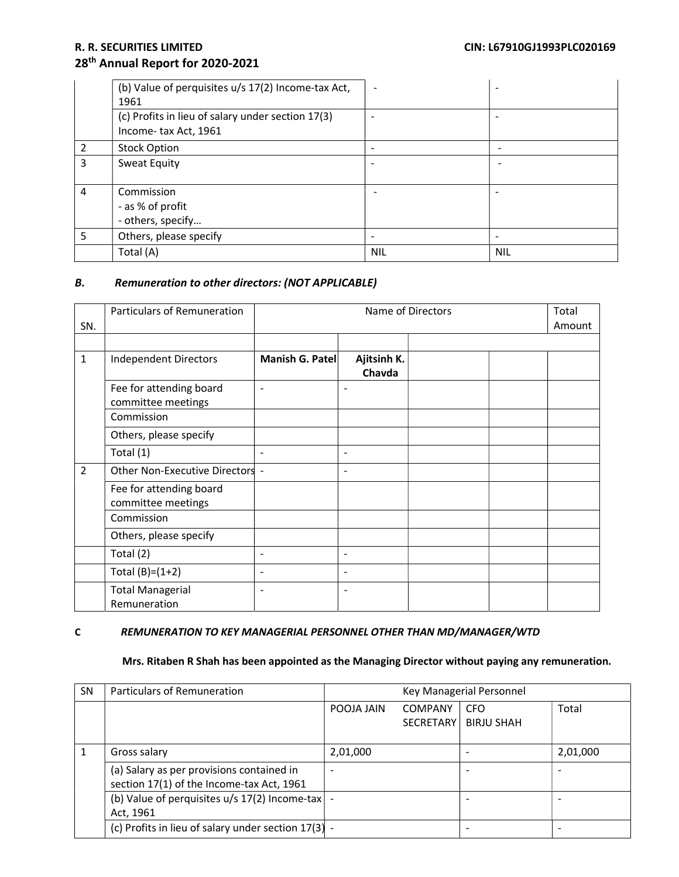|                | (b) Value of perquisites u/s 17(2) Income-tax Act,<br>1961                |            |            |
|----------------|---------------------------------------------------------------------------|------------|------------|
|                | (c) Profits in lieu of salary under section 17(3)<br>Income-tax Act, 1961 |            |            |
| $\overline{2}$ | <b>Stock Option</b>                                                       | -          | -          |
| 3              | Sweat Equity                                                              |            |            |
| $\overline{4}$ | Commission<br>- as % of profit<br>- others, specify                       |            |            |
| 5              | Others, please specify                                                    |            |            |
|                | Total (A)                                                                 | <b>NIL</b> | <b>NIL</b> |

### B. Remuneration to other directors: (NOT APPLICABLE)

|              | Particulars of Remuneration                   | Name of Directors            |                              |  | Total |  |
|--------------|-----------------------------------------------|------------------------------|------------------------------|--|-------|--|
| SN.          |                                               |                              |                              |  |       |  |
|              |                                               |                              |                              |  |       |  |
| $\mathbf{1}$ | <b>Independent Directors</b>                  | Manish G. Patel              | Ajitsinh K.<br>Chavda        |  |       |  |
|              | Fee for attending board<br>committee meetings | $\blacksquare$               | ÷                            |  |       |  |
|              | Commission                                    |                              |                              |  |       |  |
|              | Others, please specify                        |                              |                              |  |       |  |
|              | Total (1)                                     | $\overline{\phantom{a}}$     | $\qquad \qquad \blacksquare$ |  |       |  |
| 2            | Other Non-Executive Directors -               |                              | $\blacksquare$               |  |       |  |
|              | Fee for attending board<br>committee meetings |                              |                              |  |       |  |
|              | Commission                                    |                              |                              |  |       |  |
|              | Others, please specify                        |                              |                              |  |       |  |
|              | Total (2)                                     | $\overline{\phantom{a}}$     | $\overline{\phantom{0}}$     |  |       |  |
|              | Total $(B)=(1+2)$                             | $\qquad \qquad \blacksquare$ | $\blacksquare$               |  |       |  |
|              | <b>Total Managerial</b><br>Remuneration       | $\overline{\phantom{a}}$     | $\blacksquare$               |  |       |  |

### C REMUNERATION TO KEY MANAGERIAL PERSONNEL OTHER THAN MD/MANAGER/WTD

### Mrs. Ritaben R Shah has been appointed as the Managing Director without paying any remuneration.

| <b>SN</b> | Particulars of Remuneration                                                            | Key Managerial Personnel |                                    |                                 |          |
|-----------|----------------------------------------------------------------------------------------|--------------------------|------------------------------------|---------------------------------|----------|
|           |                                                                                        | POOJA JAIN               | <b>COMPANY</b><br><b>SECRETARY</b> | <b>CFO</b><br><b>BIRJU SHAH</b> | Total    |
|           | Gross salary                                                                           | 2,01,000                 |                                    |                                 | 2,01,000 |
|           | (a) Salary as per provisions contained in<br>section 17(1) of the Income-tax Act, 1961 | -                        |                                    |                                 |          |
|           | (b) Value of perquisites $u/s$ 17(2) Income-tax $\vert$ -<br>Act, 1961                 |                          |                                    |                                 |          |
|           | (c) Profits in lieu of salary under section 17(3) -                                    |                          |                                    |                                 |          |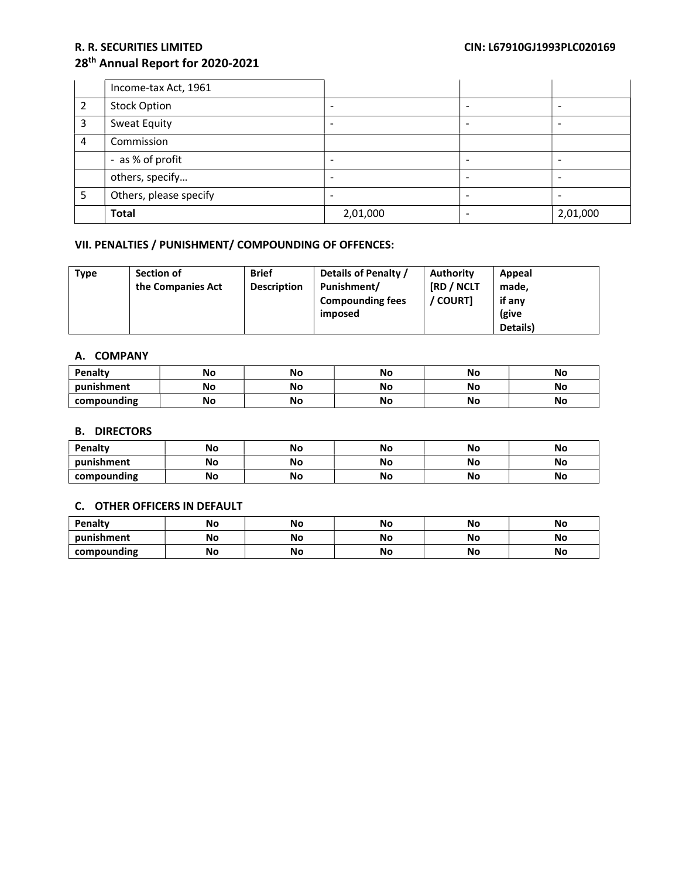# R. R. SECURITIES LIMITED **R. R. SECURITIES LIMITED CIN: L67910GJ1993PLC020169**

### 28th Annual Report for 2020-2021

|                | Income-tax Act, 1961   |          |          |
|----------------|------------------------|----------|----------|
| $\overline{2}$ | <b>Stock Option</b>    |          |          |
| 3              | Sweat Equity           |          |          |
| 4              | Commission             |          |          |
|                | - as % of profit       |          |          |
|                | others, specify        |          |          |
| 5              | Others, please specify |          |          |
|                | <b>Total</b>           | 2,01,000 | 2,01,000 |

### VII. PENALTIES / PUNISHMENT/ COMPOUNDING OF OFFENCES:

| Type | Section of        | <b>Brief</b>       | Details of Penalty /    | <b>Authority</b>  | Appeal   |
|------|-------------------|--------------------|-------------------------|-------------------|----------|
|      | the Companies Act | <b>Description</b> | Punishment/             | <b>IRD / NCLT</b> | made.    |
|      |                   |                    | <b>Compounding fees</b> | <b>COURTI</b>     | if anv   |
|      |                   |                    | imposed                 |                   | (give    |
|      |                   |                    |                         |                   | Details) |

### A. COMPANY

| Penalty     | No | No | No | No | No |
|-------------|----|----|----|----|----|
| punishment  | No | No | No | No | No |
| compounding | No | No | No | No | No |

### B. DIRECTORS

| Penalty     | No | No | No | No | No |
|-------------|----|----|----|----|----|
| punishment  | No | No | No | No | No |
| compounding | No | No | No | No | No |

### C. OTHER OFFICERS IN DEFAULT

| Penalty     | No | Νo | No | No | No |
|-------------|----|----|----|----|----|
| punishment  | No | Νo | No | No | No |
| compounding | No | Νo | No | No | No |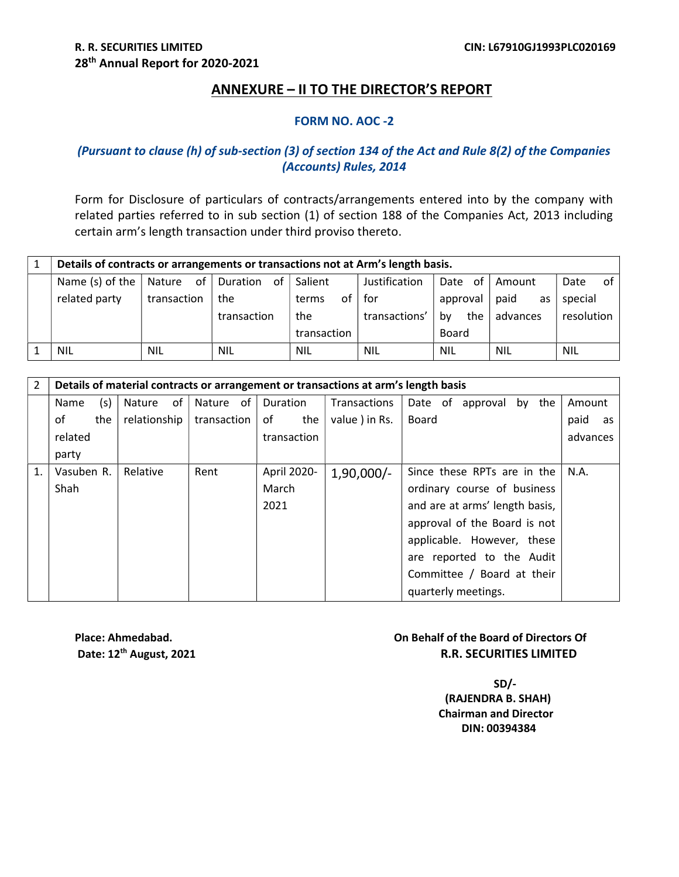### ANNEXURE – II TO THE DIRECTOR'S REPORT

### FORM NO. AOC -2

### (Pursuant to clause (h) of sub-section (3) of section 134 of the Act and Rule 8(2) of the Companies (Accounts) Rules, 2014

Form for Disclosure of particulars of contracts/arrangements entered into by the company with related parties referred to in sub section (1) of section 188 of the Companies Act, 2013 including certain arm's length transaction under third proviso thereto.

| Details of contracts or arrangements or transactions not at Arm's length basis. |              |                |             |               |              |            |            |
|---------------------------------------------------------------------------------|--------------|----------------|-------------|---------------|--------------|------------|------------|
| Name (s) of the                                                                 | of<br>Nature | of<br>Duration | Salient     | Justification | Date of $ $  | Amount     | 0f<br>Date |
| related party                                                                   | transaction  | the            | terms<br>οf | for           | approval     | paid<br>as | special    |
|                                                                                 |              | transaction    | the         | transactions' | the<br>bv    | advances   | resolution |
|                                                                                 |              |                | transaction |               | <b>Board</b> |            |            |
| <b>NIL</b>                                                                      | <b>NIL</b>   | <b>NIL</b>     | <b>NIL</b>  | <b>NIL</b>    | <b>NIL</b>   | <b>NIL</b> | NIL        |

| $\overline{2}$ | Details of material contracts or arrangement or transactions at arm's length basis |              |                 |             |                |                                |            |
|----------------|------------------------------------------------------------------------------------|--------------|-----------------|-------------|----------------|--------------------------------|------------|
|                | (s)<br>Name                                                                        | of<br>Nature | Nature of       | Duration    | Transactions   | Date of<br>by the<br>approval  | Amount     |
|                | of<br>the                                                                          | relationship | transaction $ $ | of<br>the   | value ) in Rs. | Board                          | paid<br>as |
|                | related                                                                            |              |                 | transaction |                |                                | advances   |
|                | party                                                                              |              |                 |             |                |                                |            |
| 1.             | Vasuben R.                                                                         | Relative     | Rent            | April 2020- | $1,90,000/-$   | Since these RPTs are in the    | N.A.       |
|                | Shah                                                                               |              |                 | March       |                | ordinary course of business    |            |
|                |                                                                                    |              |                 | 2021        |                | and are at arms' length basis, |            |
|                |                                                                                    |              |                 |             |                | approval of the Board is not   |            |
|                |                                                                                    |              |                 |             |                | applicable. However, these     |            |
|                |                                                                                    |              |                 |             |                | are reported to the Audit      |            |
|                |                                                                                    |              |                 |             |                | Committee / Board at their     |            |
|                |                                                                                    |              |                 |             |                | quarterly meetings.            |            |

### Place: Ahmedabad. On Behalf of the Board of Directors Of Date: 12<sup>th</sup> August, 2021 **R.R. SECURITIES LIMITED**

 $SD/-$  (RAJENDRA B. SHAH) Chairman and Director DIN: 00394384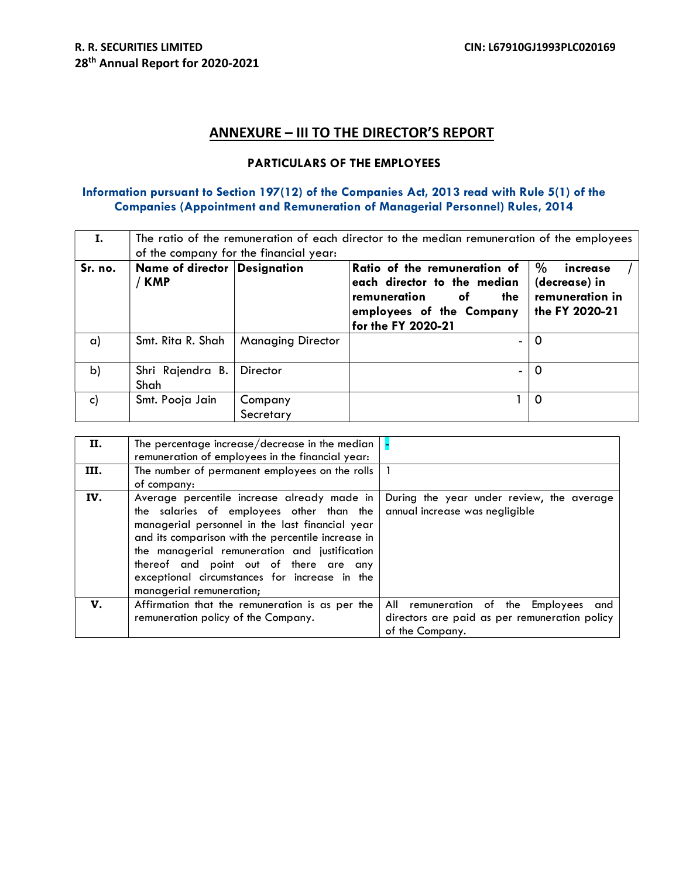### ANNEXURE – III TO THE DIRECTOR'S REPORT

### PARTICULARS OF THE EMPLOYEES

### Information pursuant to Section 197(12) of the Companies Act, 2013 read with Rule 5(1) of the Companies (Appointment and Remuneration of Managerial Personnel) Rules, 2014

| I.       | The ratio of the remuneration of each director to the median remuneration of the employees<br>of the company for the financial year: |                          |                                                                                                                                            |                                                                        |  |
|----------|--------------------------------------------------------------------------------------------------------------------------------------|--------------------------|--------------------------------------------------------------------------------------------------------------------------------------------|------------------------------------------------------------------------|--|
| Sr. no.  | Name of director Designation<br>/ KMP                                                                                                |                          | Ratio of the remuneration of<br>each director to the median<br>remuneration<br>the<br>оf<br>employees of the Company<br>for the FY 2020-21 | $\%$<br>increase<br>(decrease) in<br>remuneration in<br>the FY 2020-21 |  |
| $\alpha$ | Smt. Rita R. Shah                                                                                                                    | <b>Managing Director</b> |                                                                                                                                            | 0                                                                      |  |
| b)       | Shri Rajendra B.<br>Shah                                                                                                             | Director                 |                                                                                                                                            | $\Omega$                                                               |  |
| c)       | Smt. Pooja Jain                                                                                                                      | Company<br>Secretary     |                                                                                                                                            | 0                                                                      |  |

| П.   | The percentage increase/decrease in the median $\vert \cdot \vert$<br>remuneration of employees in the financial year:                                                                                                                                                                                                                                                   |                                                                                                                 |
|------|--------------------------------------------------------------------------------------------------------------------------------------------------------------------------------------------------------------------------------------------------------------------------------------------------------------------------------------------------------------------------|-----------------------------------------------------------------------------------------------------------------|
| III. | The number of permanent employees on the rolls<br>of company:                                                                                                                                                                                                                                                                                                            |                                                                                                                 |
| IV.  | Average percentile increase already made in<br>the salaries of employees other than the<br>managerial personnel in the last financial year<br>and its comparison with the percentile increase in<br>the managerial remuneration and justification<br>thereof and point out of there are any<br>exceptional circumstances for increase in the<br>managerial remuneration; | During the year under review, the average<br>annual increase was negligible                                     |
| V.   | Affirmation that the remuneration is as per the<br>remuneration policy of the Company.                                                                                                                                                                                                                                                                                   | All<br>remuneration of the Employees<br>and<br>directors are paid as per remuneration policy<br>of the Company. |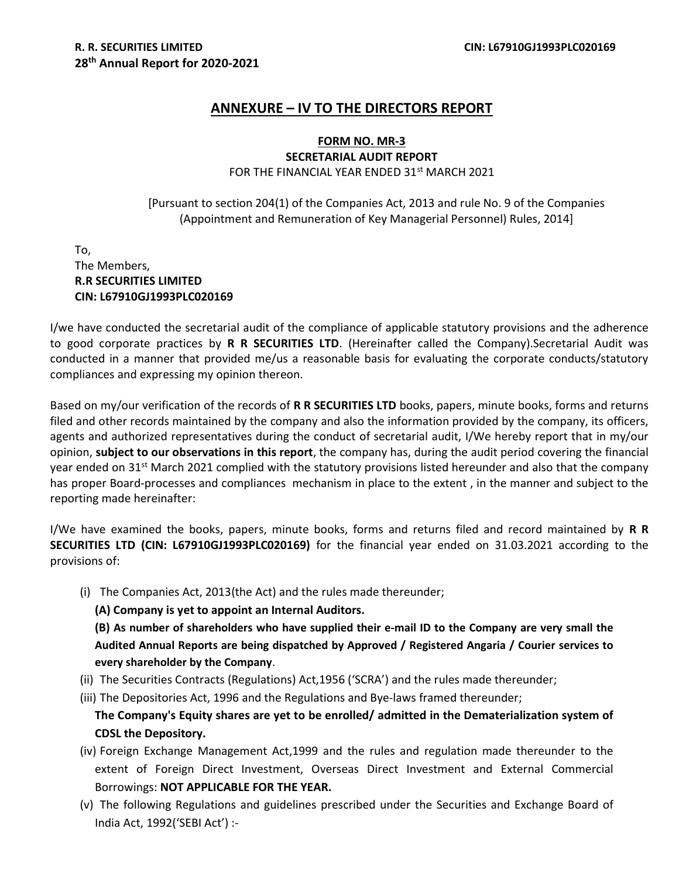### ANNEXURE – IV TO THE DIRECTORS REPORT

## FORM NO. MR-3 SECRETARIAL AUDIT REPORT

FOR THE FINANCIAL YEAR ENDED 31<sup>st</sup> MARCH 2021

[Pursuant to section 204(1) of the Companies Act, 2013 and rule No. 9 of the Companies (Appointment and Remuneration of Key Managerial Personnel) Rules, 2014]

### To, The Members, R.R SECURITIES LIMITED CIN: L67910GJ1993PLC020169

I/we have conducted the secretarial audit of the compliance of applicable statutory provisions and the adherence to good corporate practices by R R SECURITIES LTD. (Hereinafter called the Company). Secretarial Audit was conducted in a manner that provided me/us a reasonable basis for evaluating the corporate conducts/statutory compliances and expressing my opinion thereon.

Based on my/our verification of the records of R R SECURITIES LTD books, papers, minute books, forms and returns filed and other records maintained by the company and also the information provided by the company, its officers, agents and authorized representatives during the conduct of secretarial audit, I/We hereby report that in my/our opinion, subject to our observations in this report, the company has, during the audit period covering the financial year ended on 31<sup>st</sup> March 2021 complied with the statutory provisions listed hereunder and also that the company has proper Board-processes and compliances mechanism in place to the extent , in the manner and subject to the reporting made hereinafter:

I/We have examined the books, papers, minute books, forms and returns filed and record maintained by **R R** SECURITIES LTD (CIN: L67910GJ1993PLC020169) for the financial year ended on 31.03.2021 according to the provisions of:

(i) The Companies Act, 2013(the Act) and the rules made thereunder;

(A) Company is yet to appoint an Internal Auditors.

(B) As number of shareholders who have supplied their e-mail ID to the Company are very small the Audited Annual Reports are being dispatched by Approved / Registered Angaria / Courier services to every shareholder by the Company.

- (ii) The Securities Contracts (Regulations) Act,1956 ('SCRA') and the rules made thereunder;
- (iii) The Depositories Act, 1996 and the Regulations and Bye-laws framed thereunder;

The Company's Equity shares are yet to be enrolled/ admitted in the Dematerialization system of CDSL the Depository.

- (iv) Foreign Exchange Management Act,1999 and the rules and regulation made thereunder to the extent of Foreign Direct Investment, Overseas Direct Investment and External Commercial Borrowings: NOT APPLICABLE FOR THE YEAR.
- (v) The following Regulations and guidelines prescribed under the Securities and Exchange Board of India Act, 1992('SEBI Act') :-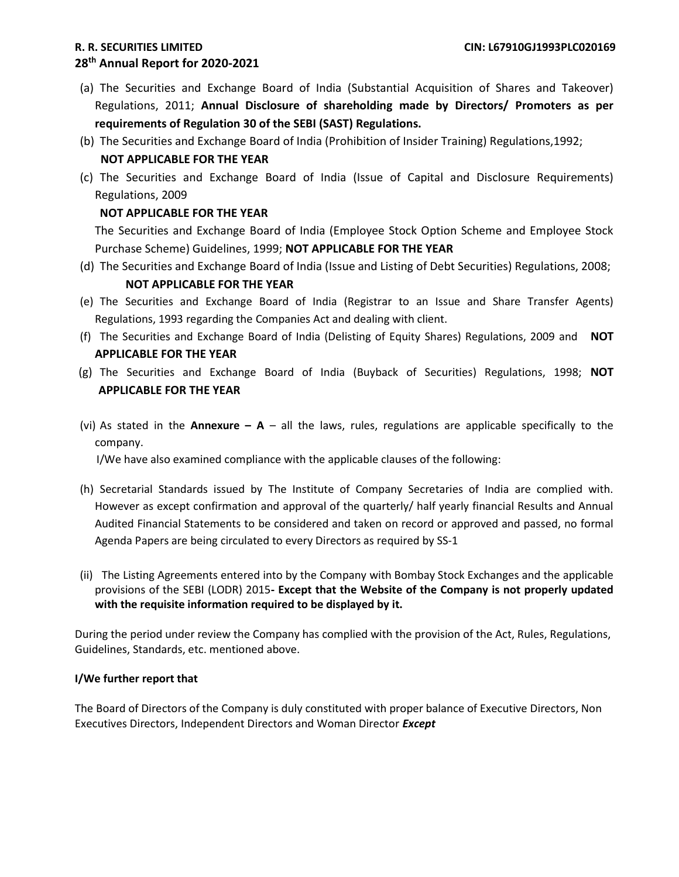### 28th Annual Report for 2020-2021

- (a) The Securities and Exchange Board of India (Substantial Acquisition of Shares and Takeover) Regulations, 2011; Annual Disclosure of shareholding made by Directors/ Promoters as per requirements of Regulation 30 of the SEBI (SAST) Regulations.
- (b) The Securities and Exchange Board of India (Prohibition of Insider Training) Regulations,1992;

### NOT APPLICABLE FOR THE YEAR

(c) The Securities and Exchange Board of India (Issue of Capital and Disclosure Requirements) Regulations, 2009

### NOT APPLICABLE FOR THE YEAR

The Securities and Exchange Board of India (Employee Stock Option Scheme and Employee Stock Purchase Scheme) Guidelines, 1999; NOT APPLICABLE FOR THE YEAR

- (d) The Securities and Exchange Board of India (Issue and Listing of Debt Securities) Regulations, 2008; NOT APPLICABLE FOR THE YEAR
- (e) The Securities and Exchange Board of India (Registrar to an Issue and Share Transfer Agents) Regulations, 1993 regarding the Companies Act and dealing with client.
- (f) The Securities and Exchange Board of India (Delisting of Equity Shares) Regulations, 2009 and NOT APPLICABLE FOR THE YEAR
- (g) The Securities and Exchange Board of India (Buyback of Securities) Regulations, 1998; NOT APPLICABLE FOR THE YEAR
- (vi) As stated in the Annexure  $A -$  all the laws, rules, regulations are applicable specifically to the company.

I/We have also examined compliance with the applicable clauses of the following:

- (h) Secretarial Standards issued by The Institute of Company Secretaries of India are complied with. However as except confirmation and approval of the quarterly/ half yearly financial Results and Annual Audited Financial Statements to be considered and taken on record or approved and passed, no formal Agenda Papers are being circulated to every Directors as required by SS-1
- (ii) The Listing Agreements entered into by the Company with Bombay Stock Exchanges and the applicable provisions of the SEBI (LODR) 2015- Except that the Website of the Company is not properly updated with the requisite information required to be displayed by it.

During the period under review the Company has complied with the provision of the Act, Rules, Regulations, Guidelines, Standards, etc. mentioned above.

### I/We further report that

The Board of Directors of the Company is duly constituted with proper balance of Executive Directors, Non Executives Directors, Independent Directors and Woman Director Except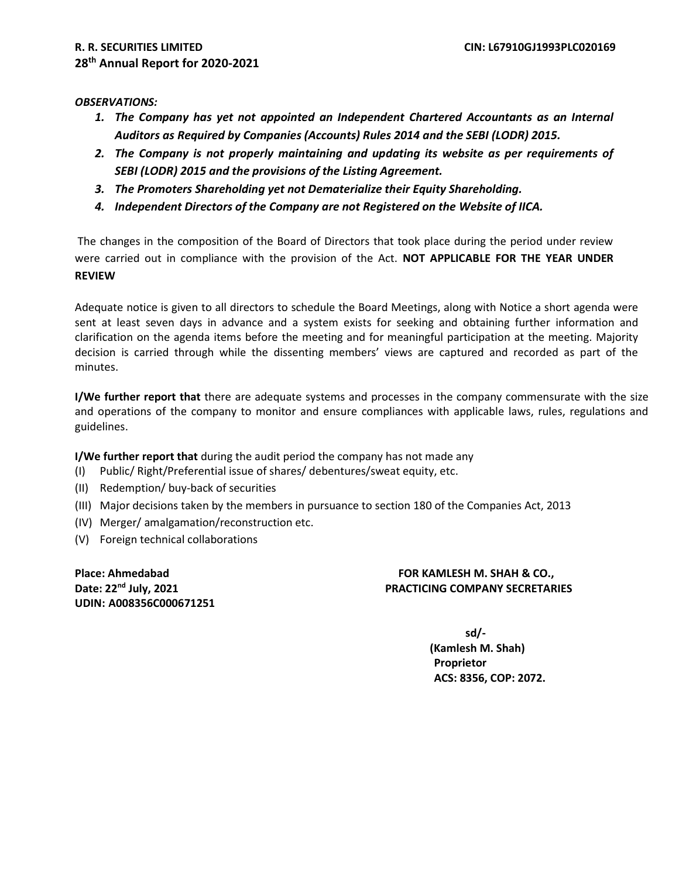#### OBSERVATIONS:

- 1. The Company has yet not appointed an Independent Chartered Accountants as an Internal Auditors as Required by Companies (Accounts) Rules 2014 and the SEBI (LODR) 2015.
- 2. The Company is not properly maintaining and updating its website as per requirements of SEBI (LODR) 2015 and the provisions of the Listing Agreement.
- 3. The Promoters Shareholding yet not Dematerialize their Equity Shareholding.
- 4. Independent Directors of the Company are not Registered on the Website of IICA.

 The changes in the composition of the Board of Directors that took place during the period under review were carried out in compliance with the provision of the Act. NOT APPLICABLE FOR THE YEAR UNDER REVIEW

Adequate notice is given to all directors to schedule the Board Meetings, along with Notice a short agenda were sent at least seven days in advance and a system exists for seeking and obtaining further information and clarification on the agenda items before the meeting and for meaningful participation at the meeting. Majority decision is carried through while the dissenting members' views are captured and recorded as part of the minutes.

I/We further report that there are adequate systems and processes in the company commensurate with the size and operations of the company to monitor and ensure compliances with applicable laws, rules, regulations and guidelines.

I/We further report that during the audit period the company has not made any

- (I) Public/ Right/Preferential issue of shares/ debentures/sweat equity, etc.
- (II) Redemption/ buy-back of securities
- (III) Major decisions taken by the members in pursuance to section 180 of the Companies Act, 2013
- (IV) Merger/ amalgamation/reconstruction etc.
- (V) Foreign technical collaborations

UDIN: A008356C000671251

### Place: Ahmedabad FOR KAMLESH M. SHAH & CO., Date: 22<sup>nd</sup> July, 2021 **PRACTICING COMPANY SECRETARIES**

 sd/- (Kamlesh M. Shah) Proprietor ACS: 8356, COP: 2072.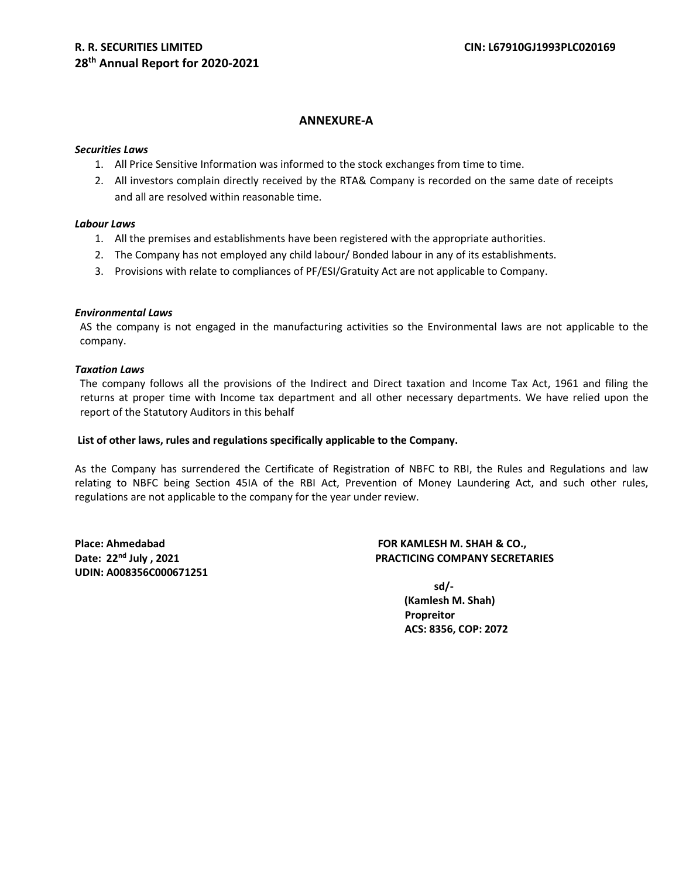### ANNEXURE-A

#### Securities Laws

- 1. All Price Sensitive Information was informed to the stock exchanges from time to time.
- 2. All investors complain directly received by the RTA& Company is recorded on the same date of receipts and all are resolved within reasonable time.

#### Labour Laws

- 1. All the premises and establishments have been registered with the appropriate authorities.
- 2. The Company has not employed any child labour/ Bonded labour in any of its establishments.
- 3. Provisions with relate to compliances of PF/ESI/Gratuity Act are not applicable to Company.

#### Environmental Laws

AS the company is not engaged in the manufacturing activities so the Environmental laws are not applicable to the company.

#### Taxation Laws

The company follows all the provisions of the Indirect and Direct taxation and Income Tax Act, 1961 and filing the returns at proper time with Income tax department and all other necessary departments. We have relied upon the report of the Statutory Auditors in this behalf

#### List of other laws, rules and regulations specifically applicable to the Company.

As the Company has surrendered the Certificate of Registration of NBFC to RBI, the Rules and Regulations and law relating to NBFC being Section 45IA of the RBI Act, Prevention of Money Laundering Act, and such other rules, regulations are not applicable to the company for the year under review.

UDIN: A008356C000671251

### Place: Ahmedabad FOR KAMLESH M. SHAH & CO., Date: 22<sup>nd</sup> July , 2021 **PRACTICING COMPANY SECRETARIES**

 sd/- (Kamlesh M. Shah) Propreitor ACS: 8356, COP: 2072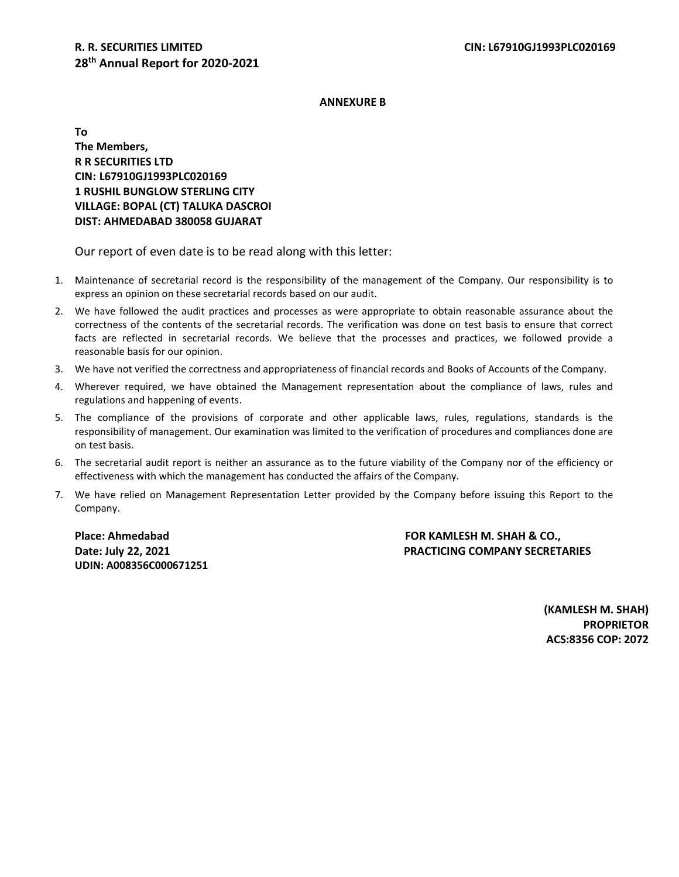#### ANNEXURE B

To The Members, R R SECURITIES LTD CIN: L67910GJ1993PLC020169 1 RUSHIL BUNGLOW STERLING CITY VILLAGE: BOPAL (CT) TALUKA DASCROI DIST: AHMEDABAD 380058 GUJARAT

Our report of even date is to be read along with this letter:

- 1. Maintenance of secretarial record is the responsibility of the management of the Company. Our responsibility is to express an opinion on these secretarial records based on our audit.
- 2. We have followed the audit practices and processes as were appropriate to obtain reasonable assurance about the correctness of the contents of the secretarial records. The verification was done on test basis to ensure that correct facts are reflected in secretarial records. We believe that the processes and practices, we followed provide a reasonable basis for our opinion.
- 3. We have not verified the correctness and appropriateness of financial records and Books of Accounts of the Company.
- 4. Wherever required, we have obtained the Management representation about the compliance of laws, rules and regulations and happening of events.
- 5. The compliance of the provisions of corporate and other applicable laws, rules, regulations, standards is the responsibility of management. Our examination was limited to the verification of procedures and compliances done are on test basis.
- 6. The secretarial audit report is neither an assurance as to the future viability of the Company nor of the efficiency or effectiveness with which the management has conducted the affairs of the Company.
- 7. We have relied on Management Representation Letter provided by the Company before issuing this Report to the Company.

UDIN: A008356C000671251

### Place: Ahmedabad FOR KAMLESH M. SHAH & CO., Date: July 22, 2021 PRACTICING COMPANY SECRETARIES

(KAMLESH M. SHAH) PROPRIETOR ACS:8356 COP: 2072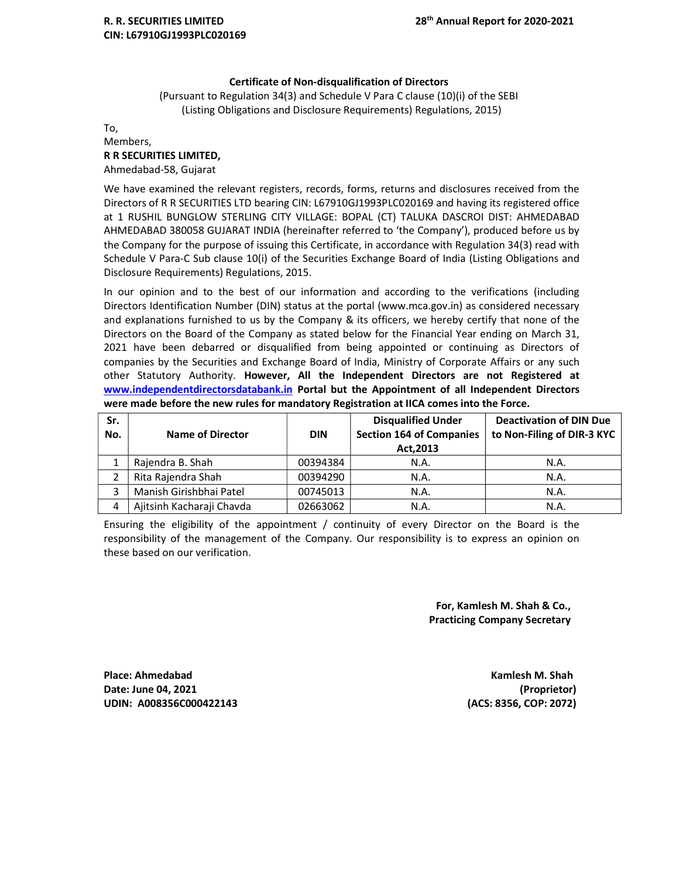#### Certificate of Non-disqualification of Directors

(Pursuant to Regulation 34(3) and Schedule V Para C clause (10)(i) of the SEBI (Listing Obligations and Disclosure Requirements) Regulations, 2015)

To, Members, R R SECURITIES LIMITED, Ahmedabad-58, Gujarat

We have examined the relevant registers, records, forms, returns and disclosures received from the Directors of R R SECURITIES LTD bearing CIN: L67910GJ1993PLC020169 and having its registered office at 1 RUSHIL BUNGLOW STERLING CITY VILLAGE: BOPAL (CT) TALUKA DASCROI DIST: AHMEDABAD AHMEDABAD 380058 GUJARAT INDIA (hereinafter referred to 'the Company'), produced before us by the Company for the purpose of issuing this Certificate, in accordance with Regulation 34(3) read with Schedule V Para-C Sub clause 10(i) of the Securities Exchange Board of India (Listing Obligations and Disclosure Requirements) Regulations, 2015.

In our opinion and to the best of our information and according to the verifications (including Directors Identification Number (DIN) status at the portal (www.mca.gov.in) as considered necessary and explanations furnished to us by the Company & its officers, we hereby certify that none of the Directors on the Board of the Company as stated below for the Financial Year ending on March 31, 2021 have been debarred or disqualified from being appointed or continuing as Directors of companies by the Securities and Exchange Board of India, Ministry of Corporate Affairs or any such other Statutory Authority. However, All the Independent Directors are not Registered at www.independentdirectorsdatabank.in Portal but the Appointment of all Independent Directors were made before the new rules for mandatory Registration at IICA comes into the Force.

| Sr.<br>No. | <b>Name of Director</b>   | <b>DIN</b> | <b>Disqualified Under</b><br><b>Section 164 of Companies</b><br>Act, 2013 | <b>Deactivation of DIN Due</b><br>to Non-Filing of DIR-3 KYC |
|------------|---------------------------|------------|---------------------------------------------------------------------------|--------------------------------------------------------------|
|            | Rajendra B. Shah          | 00394384   | N.A.                                                                      | N.A.                                                         |
|            | Rita Rajendra Shah        | 00394290   | N.A.                                                                      | N.A.                                                         |
| 3          | Manish Girishbhai Patel   | 00745013   | N.A.                                                                      | N.A.                                                         |
| 4          | Ajitsinh Kacharaji Chavda | 02663062   | N.A.                                                                      | N.A.                                                         |

Ensuring the eligibility of the appointment / continuity of every Director on the Board is the responsibility of the management of the Company. Our responsibility is to express an opinion on these based on our verification.

> For, Kamlesh M. Shah & Co., Practicing Company Secretary

Place: Ahmedabad Date: June 04, 2021 UDIN: A008356C000422143

 Kamlesh M. Shah (Proprietor) (ACS: 8356, COP: 2072)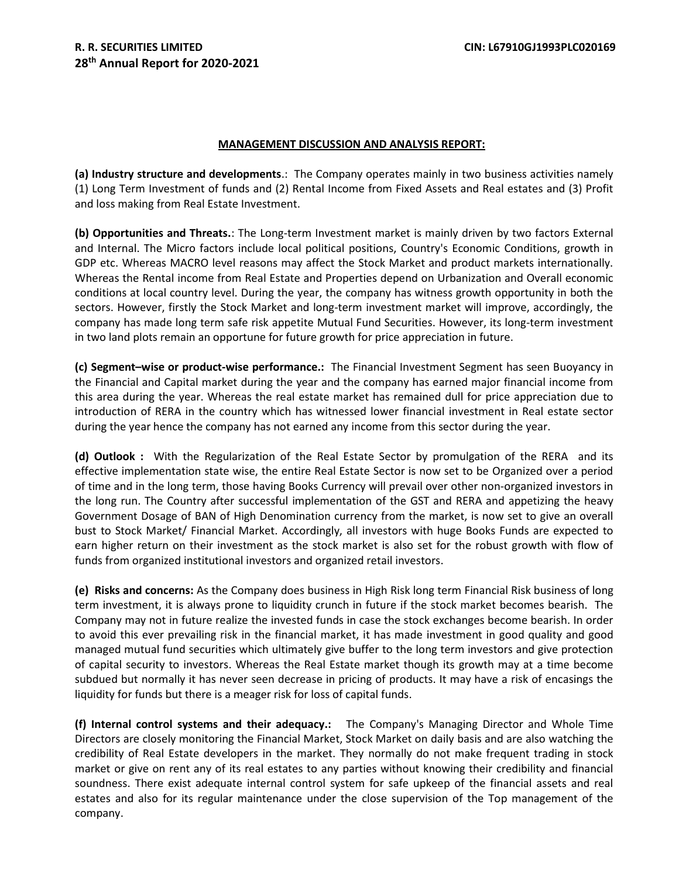### MANAGEMENT DISCUSSION AND ANALYSIS REPORT:

(a) Industry structure and developments.: The Company operates mainly in two business activities namely (1) Long Term Investment of funds and (2) Rental Income from Fixed Assets and Real estates and (3) Profit and loss making from Real Estate Investment.

(b) Opportunities and Threats.: The Long-term Investment market is mainly driven by two factors External and Internal. The Micro factors include local political positions, Country's Economic Conditions, growth in GDP etc. Whereas MACRO level reasons may affect the Stock Market and product markets internationally. Whereas the Rental income from Real Estate and Properties depend on Urbanization and Overall economic conditions at local country level. During the year, the company has witness growth opportunity in both the sectors. However, firstly the Stock Market and long-term investment market will improve, accordingly, the company has made long term safe risk appetite Mutual Fund Securities. However, its long-term investment in two land plots remain an opportune for future growth for price appreciation in future.

(c) Segment–wise or product-wise performance.: The Financial Investment Segment has seen Buoyancy in the Financial and Capital market during the year and the company has earned major financial income from this area during the year. Whereas the real estate market has remained dull for price appreciation due to introduction of RERA in the country which has witnessed lower financial investment in Real estate sector during the year hence the company has not earned any income from this sector during the year.

(d) Outlook : With the Regularization of the Real Estate Sector by promulgation of the RERA and its effective implementation state wise, the entire Real Estate Sector is now set to be Organized over a period of time and in the long term, those having Books Currency will prevail over other non-organized investors in the long run. The Country after successful implementation of the GST and RERA and appetizing the heavy Government Dosage of BAN of High Denomination currency from the market, is now set to give an overall bust to Stock Market/ Financial Market. Accordingly, all investors with huge Books Funds are expected to earn higher return on their investment as the stock market is also set for the robust growth with flow of funds from organized institutional investors and organized retail investors.

(e) Risks and concerns: As the Company does business in High Risk long term Financial Risk business of long term investment, it is always prone to liquidity crunch in future if the stock market becomes bearish. The Company may not in future realize the invested funds in case the stock exchanges become bearish. In order to avoid this ever prevailing risk in the financial market, it has made investment in good quality and good managed mutual fund securities which ultimately give buffer to the long term investors and give protection of capital security to investors. Whereas the Real Estate market though its growth may at a time become subdued but normally it has never seen decrease in pricing of products. It may have a risk of encasings the liquidity for funds but there is a meager risk for loss of capital funds.

(f) Internal control systems and their adequacy.: The Company's Managing Director and Whole Time Directors are closely monitoring the Financial Market, Stock Market on daily basis and are also watching the credibility of Real Estate developers in the market. They normally do not make frequent trading in stock market or give on rent any of its real estates to any parties without knowing their credibility and financial soundness. There exist adequate internal control system for safe upkeep of the financial assets and real estates and also for its regular maintenance under the close supervision of the Top management of the company.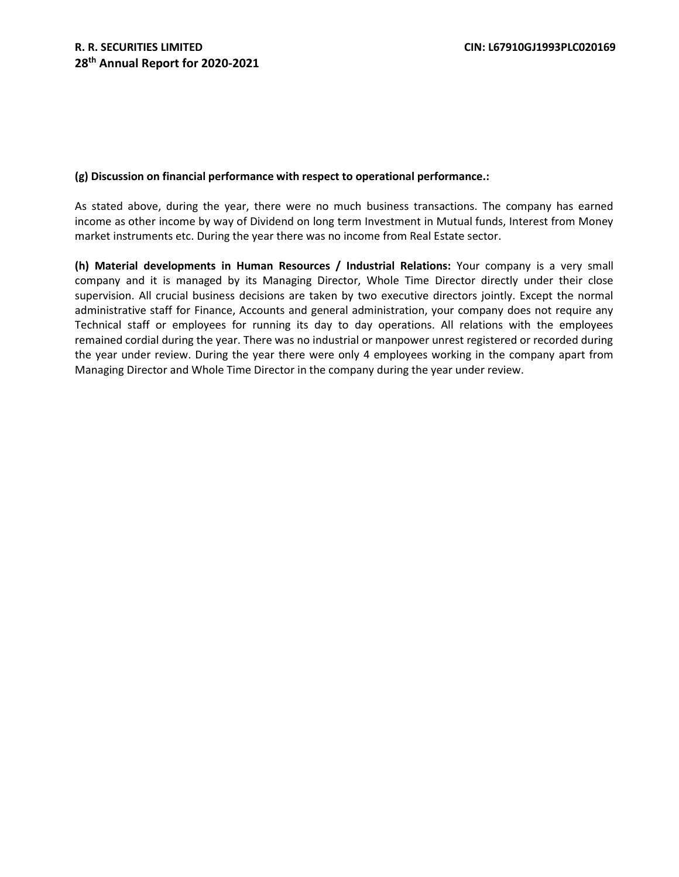### (g) Discussion on financial performance with respect to operational performance.:

As stated above, during the year, there were no much business transactions. The company has earned income as other income by way of Dividend on long term Investment in Mutual funds, Interest from Money market instruments etc. During the year there was no income from Real Estate sector.

(h) Material developments in Human Resources / Industrial Relations: Your company is a very small company and it is managed by its Managing Director, Whole Time Director directly under their close supervision. All crucial business decisions are taken by two executive directors jointly. Except the normal administrative staff for Finance, Accounts and general administration, your company does not require any Technical staff or employees for running its day to day operations. All relations with the employees remained cordial during the year. There was no industrial or manpower unrest registered or recorded during the year under review. During the year there were only 4 employees working in the company apart from Managing Director and Whole Time Director in the company during the year under review.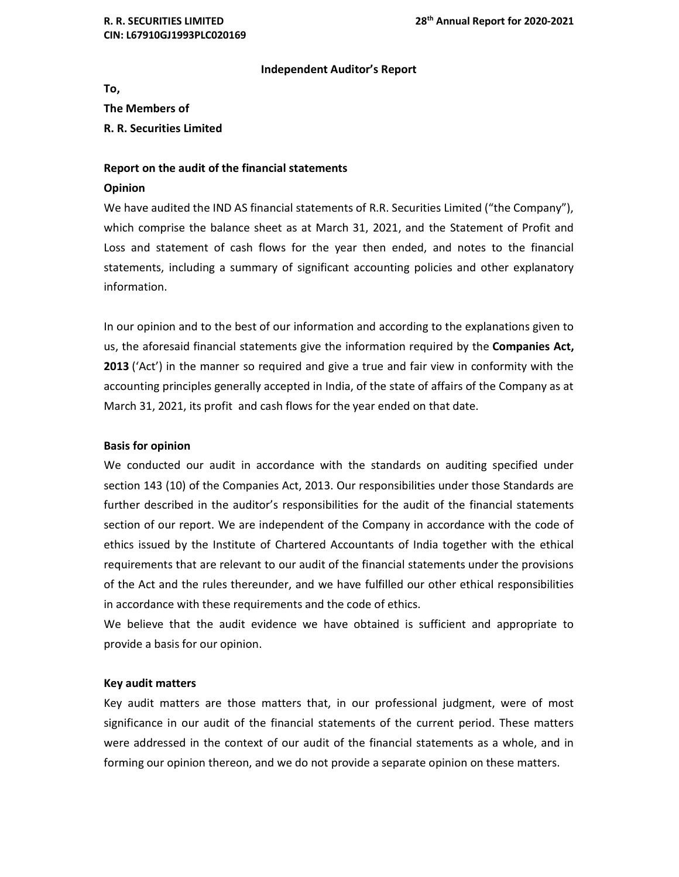#### Independent Auditor's Report

To,

The Members of R. R. Securities Limited

### Report on the audit of the financial statements

### Opinion

We have audited the IND AS financial statements of R.R. Securities Limited ("the Company"), which comprise the balance sheet as at March 31, 2021, and the Statement of Profit and Loss and statement of cash flows for the year then ended, and notes to the financial statements, including a summary of significant accounting policies and other explanatory information.

In our opinion and to the best of our information and according to the explanations given to us, the aforesaid financial statements give the information required by the Companies Act, 2013 ('Act') in the manner so required and give a true and fair view in conformity with the accounting principles generally accepted in India, of the state of affairs of the Company as at March 31, 2021, its profit and cash flows for the year ended on that date.

### Basis for opinion

We conducted our audit in accordance with the standards on auditing specified under section 143 (10) of the Companies Act, 2013. Our responsibilities under those Standards are further described in the auditor's responsibilities for the audit of the financial statements section of our report. We are independent of the Company in accordance with the code of ethics issued by the Institute of Chartered Accountants of India together with the ethical requirements that are relevant to our audit of the financial statements under the provisions of the Act and the rules thereunder, and we have fulfilled our other ethical responsibilities in accordance with these requirements and the code of ethics.

We believe that the audit evidence we have obtained is sufficient and appropriate to provide a basis for our opinion.

#### Key audit matters

Key audit matters are those matters that, in our professional judgment, were of most significance in our audit of the financial statements of the current period. These matters were addressed in the context of our audit of the financial statements as a whole, and in forming our opinion thereon, and we do not provide a separate opinion on these matters.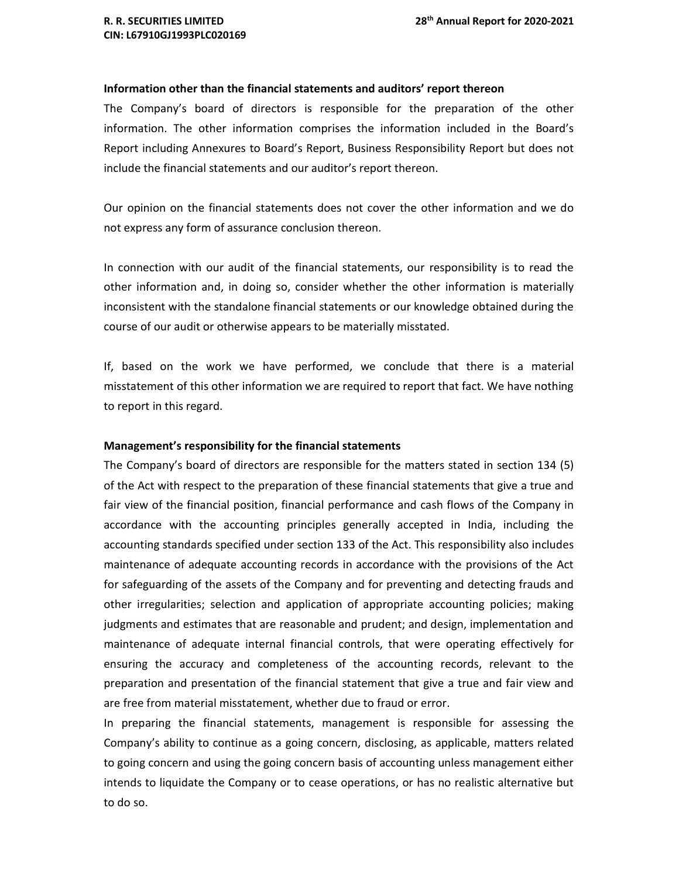#### Information other than the financial statements and auditors' report thereon

The Company's board of directors is responsible for the preparation of the other information. The other information comprises the information included in the Board's Report including Annexures to Board's Report, Business Responsibility Report but does not include the financial statements and our auditor's report thereon.

Our opinion on the financial statements does not cover the other information and we do not express any form of assurance conclusion thereon.

In connection with our audit of the financial statements, our responsibility is to read the other information and, in doing so, consider whether the other information is materially inconsistent with the standalone financial statements or our knowledge obtained during the course of our audit or otherwise appears to be materially misstated.

If, based on the work we have performed, we conclude that there is a material misstatement of this other information we are required to report that fact. We have nothing to report in this regard.

#### Management's responsibility for the financial statements

The Company's board of directors are responsible for the matters stated in section 134 (5) of the Act with respect to the preparation of these financial statements that give a true and fair view of the financial position, financial performance and cash flows of the Company in accordance with the accounting principles generally accepted in India, including the accounting standards specified under section 133 of the Act. This responsibility also includes maintenance of adequate accounting records in accordance with the provisions of the Act for safeguarding of the assets of the Company and for preventing and detecting frauds and other irregularities; selection and application of appropriate accounting policies; making judgments and estimates that are reasonable and prudent; and design, implementation and maintenance of adequate internal financial controls, that were operating effectively for ensuring the accuracy and completeness of the accounting records, relevant to the preparation and presentation of the financial statement that give a true and fair view and are free from material misstatement, whether due to fraud or error.

In preparing the financial statements, management is responsible for assessing the Company's ability to continue as a going concern, disclosing, as applicable, matters related to going concern and using the going concern basis of accounting unless management either intends to liquidate the Company or to cease operations, or has no realistic alternative but to do so.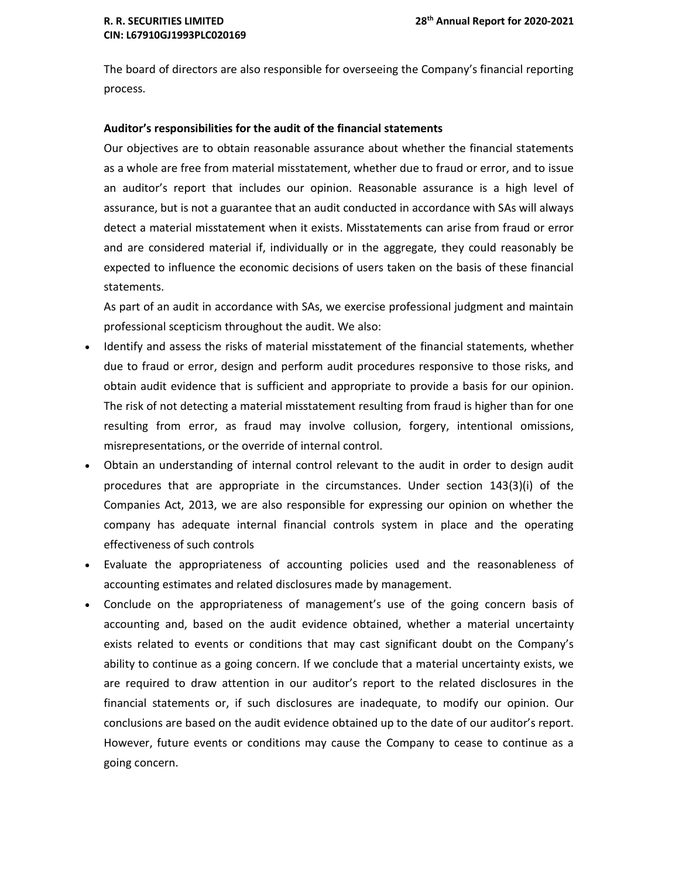# CIN: L67910GJ1993PLC020169

The board of directors are also responsible for overseeing the Company's financial reporting process.

### Auditor's responsibilities for the audit of the financial statements

Our objectives are to obtain reasonable assurance about whether the financial statements as a whole are free from material misstatement, whether due to fraud or error, and to issue an auditor's report that includes our opinion. Reasonable assurance is a high level of assurance, but is not a guarantee that an audit conducted in accordance with SAs will always detect a material misstatement when it exists. Misstatements can arise from fraud or error and are considered material if, individually or in the aggregate, they could reasonably be expected to influence the economic decisions of users taken on the basis of these financial statements.

As part of an audit in accordance with SAs, we exercise professional judgment and maintain professional scepticism throughout the audit. We also:

- Identify and assess the risks of material misstatement of the financial statements, whether due to fraud or error, design and perform audit procedures responsive to those risks, and obtain audit evidence that is sufficient and appropriate to provide a basis for our opinion. The risk of not detecting a material misstatement resulting from fraud is higher than for one resulting from error, as fraud may involve collusion, forgery, intentional omissions, misrepresentations, or the override of internal control.
- Obtain an understanding of internal control relevant to the audit in order to design audit procedures that are appropriate in the circumstances. Under section 143(3)(i) of the Companies Act, 2013, we are also responsible for expressing our opinion on whether the company has adequate internal financial controls system in place and the operating effectiveness of such controls
- Evaluate the appropriateness of accounting policies used and the reasonableness of accounting estimates and related disclosures made by management.
- Conclude on the appropriateness of management's use of the going concern basis of accounting and, based on the audit evidence obtained, whether a material uncertainty exists related to events or conditions that may cast significant doubt on the Company's ability to continue as a going concern. If we conclude that a material uncertainty exists, we are required to draw attention in our auditor's report to the related disclosures in the financial statements or, if such disclosures are inadequate, to modify our opinion. Our conclusions are based on the audit evidence obtained up to the date of our auditor's report. However, future events or conditions may cause the Company to cease to continue as a going concern.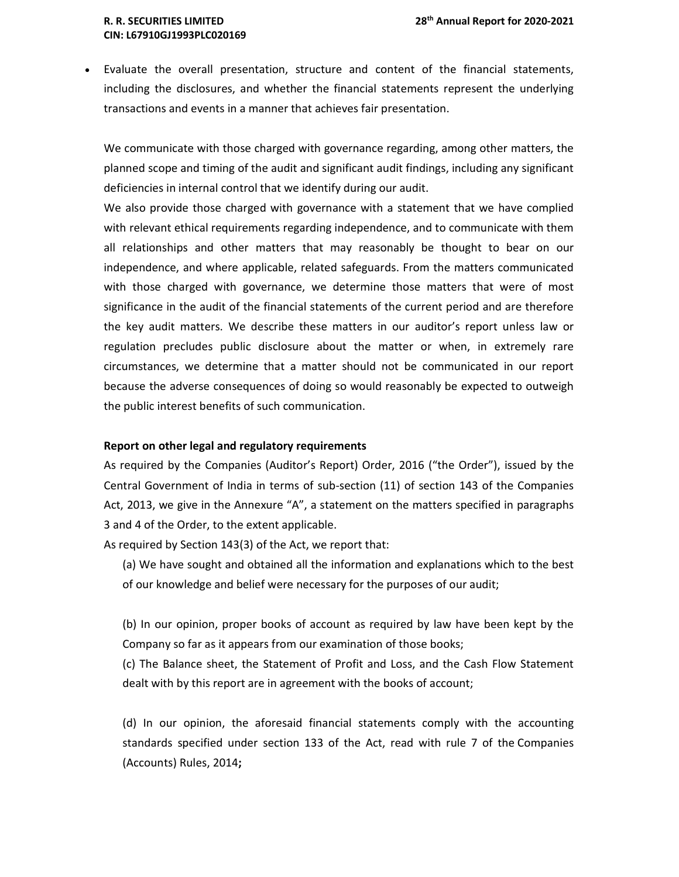Evaluate the overall presentation, structure and content of the financial statements, including the disclosures, and whether the financial statements represent the underlying transactions and events in a manner that achieves fair presentation.

We communicate with those charged with governance regarding, among other matters, the planned scope and timing of the audit and significant audit findings, including any significant deficiencies in internal control that we identify during our audit.

We also provide those charged with governance with a statement that we have complied with relevant ethical requirements regarding independence, and to communicate with them all relationships and other matters that may reasonably be thought to bear on our independence, and where applicable, related safeguards. From the matters communicated with those charged with governance, we determine those matters that were of most significance in the audit of the financial statements of the current period and are therefore the key audit matters. We describe these matters in our auditor's report unless law or regulation precludes public disclosure about the matter or when, in extremely rare circumstances, we determine that a matter should not be communicated in our report because the adverse consequences of doing so would reasonably be expected to outweigh the public interest benefits of such communication.

### Report on other legal and regulatory requirements

As required by the Companies (Auditor's Report) Order, 2016 ("the Order"), issued by the Central Government of India in terms of sub-section (11) of section 143 of the Companies Act, 2013, we give in the Annexure "A", a statement on the matters specified in paragraphs 3 and 4 of the Order, to the extent applicable.

As required by Section 143(3) of the Act, we report that:

(a) We have sought and obtained all the information and explanations which to the best of our knowledge and belief were necessary for the purposes of our audit;

(b) In our opinion, proper books of account as required by law have been kept by the Company so far as it appears from our examination of those books;

(c) The Balance sheet, the Statement of Profit and Loss, and the Cash Flow Statement dealt with by this report are in agreement with the books of account;

(d) In our opinion, the aforesaid financial statements comply with the accounting standards specified under section 133 of the Act, read with rule 7 of the Companies (Accounts) Rules, 2014;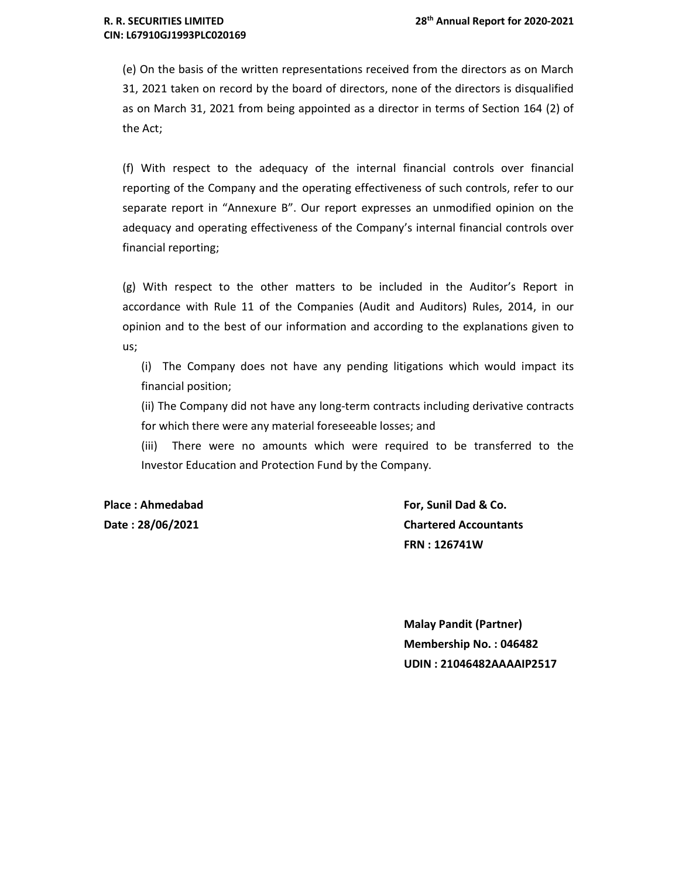(e) On the basis of the written representations received from the directors as on March 31, 2021 taken on record by the board of directors, none of the directors is disqualified as on March 31, 2021 from being appointed as a director in terms of Section 164 (2) of the Act;

(f) With respect to the adequacy of the internal financial controls over financial reporting of the Company and the operating effectiveness of such controls, refer to our separate report in "Annexure B". Our report expresses an unmodified opinion on the adequacy and operating effectiveness of the Company's internal financial controls over financial reporting;

(g) With respect to the other matters to be included in the Auditor's Report in accordance with Rule 11 of the Companies (Audit and Auditors) Rules, 2014, in our opinion and to the best of our information and according to the explanations given to us;

(i) The Company does not have any pending litigations which would impact its financial position;

(ii) The Company did not have any long-term contracts including derivative contracts for which there were any material foreseeable losses; and

(iii) There were no amounts which were required to be transferred to the Investor Education and Protection Fund by the Company.

Place : Ahmedabad For, Sunil Dad & Co. Date : 28/06/2021 **Chartered Accountants** FRN : 126741W

> Malay Pandit (Partner) Membership No. : 046482 UDIN : 21046482AAAAIP2517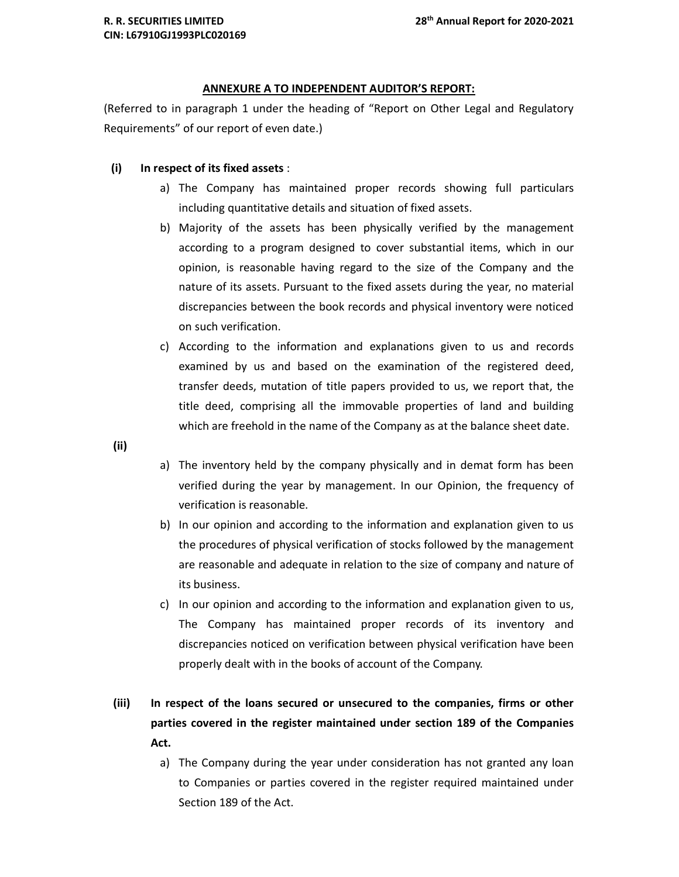### ANNEXURE A TO INDEPENDENT AUDITOR'S REPORT:

(Referred to in paragraph 1 under the heading of "Report on Other Legal and Regulatory Requirements" of our report of even date.)

### (i) In respect of its fixed assets :

- a) The Company has maintained proper records showing full particulars including quantitative details and situation of fixed assets.
- b) Majority of the assets has been physically verified by the management according to a program designed to cover substantial items, which in our opinion, is reasonable having regard to the size of the Company and the nature of its assets. Pursuant to the fixed assets during the year, no material discrepancies between the book records and physical inventory were noticed on such verification.
- c) According to the information and explanations given to us and records examined by us and based on the examination of the registered deed, transfer deeds, mutation of title papers provided to us, we report that, the title deed, comprising all the immovable properties of land and building which are freehold in the name of the Company as at the balance sheet date.

(ii)

- a) The inventory held by the company physically and in demat form has been verified during the year by management. In our Opinion, the frequency of verification is reasonable.
- b) In our opinion and according to the information and explanation given to us the procedures of physical verification of stocks followed by the management are reasonable and adequate in relation to the size of company and nature of its business.
- c) In our opinion and according to the information and explanation given to us, The Company has maintained proper records of its inventory and discrepancies noticed on verification between physical verification have been properly dealt with in the books of account of the Company.
- (iii) In respect of the loans secured or unsecured to the companies, firms or other parties covered in the register maintained under section 189 of the Companies Act.
	- a) The Company during the year under consideration has not granted any loan to Companies or parties covered in the register required maintained under Section 189 of the Act.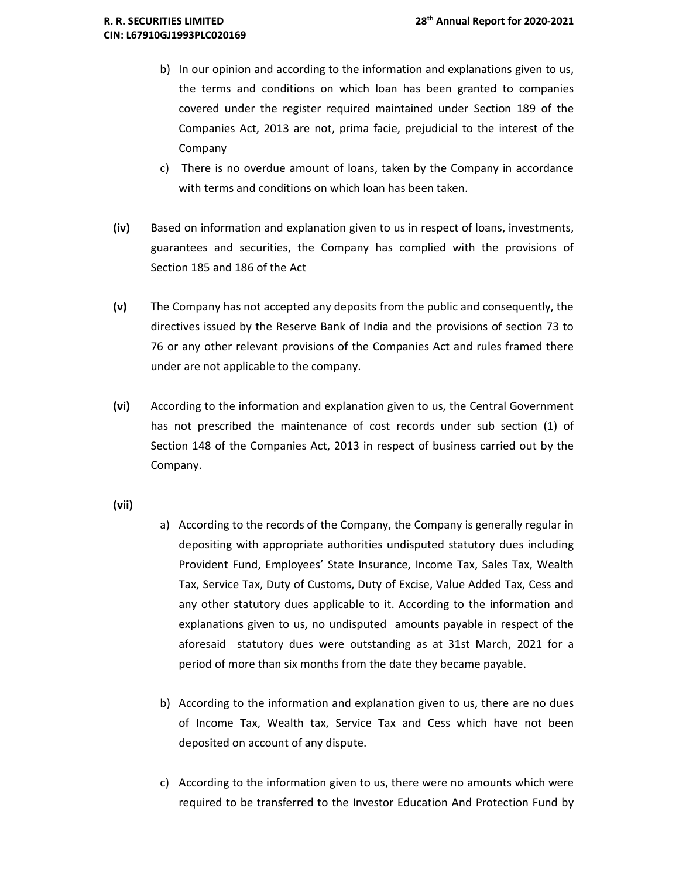- b) In our opinion and according to the information and explanations given to us, the terms and conditions on which loan has been granted to companies covered under the register required maintained under Section 189 of the Companies Act, 2013 are not, prima facie, prejudicial to the interest of the Company
- c) There is no overdue amount of loans, taken by the Company in accordance with terms and conditions on which loan has been taken.
- (iv) Based on information and explanation given to us in respect of loans, investments, guarantees and securities, the Company has complied with the provisions of Section 185 and 186 of the Act
- (v) The Company has not accepted any deposits from the public and consequently, the directives issued by the Reserve Bank of India and the provisions of section 73 to 76 or any other relevant provisions of the Companies Act and rules framed there under are not applicable to the company.
- (vi) According to the information and explanation given to us, the Central Government has not prescribed the maintenance of cost records under sub section (1) of Section 148 of the Companies Act, 2013 in respect of business carried out by the Company.
- (vii)
- a) According to the records of the Company, the Company is generally regular in depositing with appropriate authorities undisputed statutory dues including Provident Fund, Employees' State Insurance, Income Tax, Sales Tax, Wealth Tax, Service Tax, Duty of Customs, Duty of Excise, Value Added Tax, Cess and any other statutory dues applicable to it. According to the information and explanations given to us, no undisputed amounts payable in respect of the aforesaid statutory dues were outstanding as at 31st March, 2021 for a period of more than six months from the date they became payable.
- b) According to the information and explanation given to us, there are no dues of Income Tax, Wealth tax, Service Tax and Cess which have not been deposited on account of any dispute.
- c) According to the information given to us, there were no amounts which were required to be transferred to the Investor Education And Protection Fund by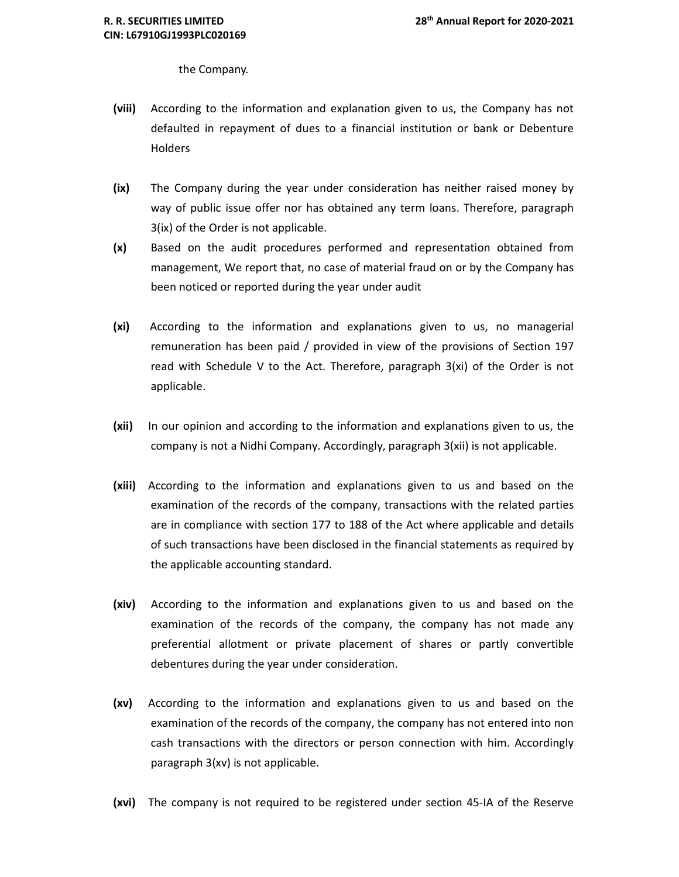the Company.

- (viii) According to the information and explanation given to us, the Company has not defaulted in repayment of dues to a financial institution or bank or Debenture Holders
- (ix) The Company during the year under consideration has neither raised money by way of public issue offer nor has obtained any term loans. Therefore, paragraph 3(ix) of the Order is not applicable.
- (x) Based on the audit procedures performed and representation obtained from management, We report that, no case of material fraud on or by the Company has been noticed or reported during the year under audit
- (xi) According to the information and explanations given to us, no managerial remuneration has been paid / provided in view of the provisions of Section 197 read with Schedule V to the Act. Therefore, paragraph 3(xi) of the Order is not applicable.
- (xii) In our opinion and according to the information and explanations given to us, the company is not a Nidhi Company. Accordingly, paragraph 3(xii) is not applicable.
- (xiii) According to the information and explanations given to us and based on the examination of the records of the company, transactions with the related parties are in compliance with section 177 to 188 of the Act where applicable and details of such transactions have been disclosed in the financial statements as required by the applicable accounting standard.
- (xiv) According to the information and explanations given to us and based on the examination of the records of the company, the company has not made any preferential allotment or private placement of shares or partly convertible debentures during the year under consideration.
- (xv) According to the information and explanations given to us and based on the examination of the records of the company, the company has not entered into non cash transactions with the directors or person connection with him. Accordingly paragraph 3(xv) is not applicable.
- (xvi) The company is not required to be registered under section 45-IA of the Reserve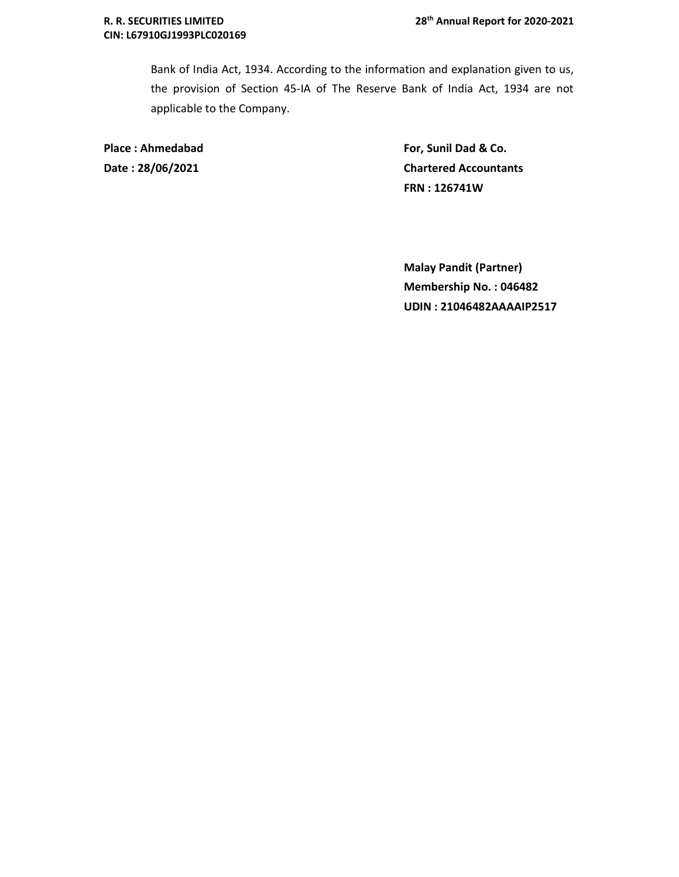Bank of India Act, 1934. According to the information and explanation given to us, the provision of Section 45-IA of The Reserve Bank of India Act, 1934 are not applicable to the Company.

Place : Ahmedabad For, Sunil Dad & Co. Date : 28/06/2021 Chartered Accountants FRN : 126741W

> Malay Pandit (Partner) Membership No. : 046482 UDIN : 21046482AAAAIP2517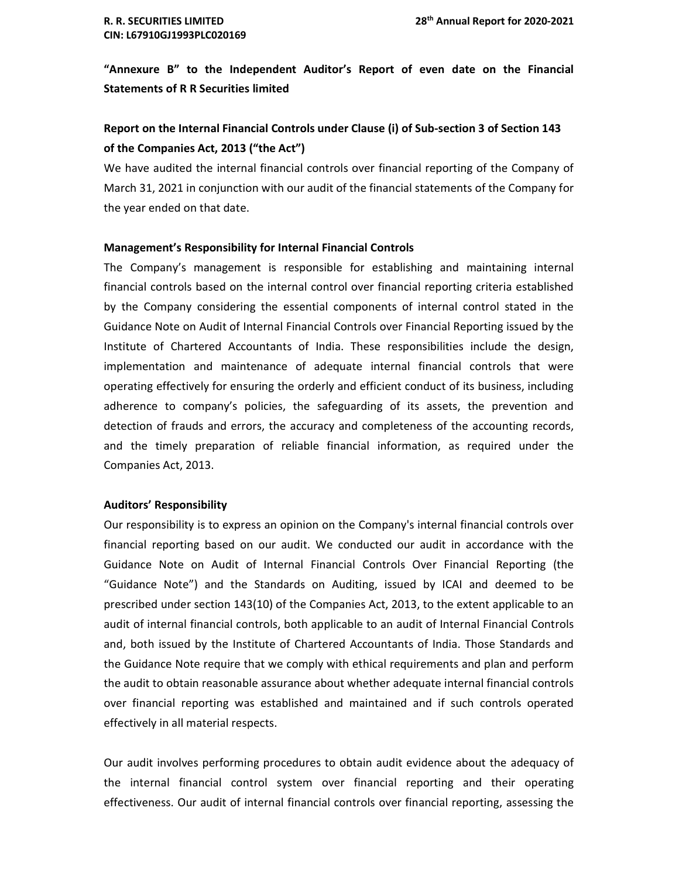"Annexure B" to the Independent Auditor's Report of even date on the Financial Statements of R R Securities limited

## Report on the Internal Financial Controls under Clause (i) of Sub-section 3 of Section 143 of the Companies Act, 2013 ("the Act")

We have audited the internal financial controls over financial reporting of the Company of March 31, 2021 in conjunction with our audit of the financial statements of the Company for the year ended on that date.

### Management's Responsibility for Internal Financial Controls

The Company's management is responsible for establishing and maintaining internal financial controls based on the internal control over financial reporting criteria established by the Company considering the essential components of internal control stated in the Guidance Note on Audit of Internal Financial Controls over Financial Reporting issued by the Institute of Chartered Accountants of India. These responsibilities include the design, implementation and maintenance of adequate internal financial controls that were operating effectively for ensuring the orderly and efficient conduct of its business, including adherence to company's policies, the safeguarding of its assets, the prevention and detection of frauds and errors, the accuracy and completeness of the accounting records, and the timely preparation of reliable financial information, as required under the Companies Act, 2013.

### Auditors' Responsibility

Our responsibility is to express an opinion on the Company's internal financial controls over financial reporting based on our audit. We conducted our audit in accordance with the Guidance Note on Audit of Internal Financial Controls Over Financial Reporting (the "Guidance Note") and the Standards on Auditing, issued by ICAI and deemed to be prescribed under section 143(10) of the Companies Act, 2013, to the extent applicable to an audit of internal financial controls, both applicable to an audit of Internal Financial Controls and, both issued by the Institute of Chartered Accountants of India. Those Standards and the Guidance Note require that we comply with ethical requirements and plan and perform the audit to obtain reasonable assurance about whether adequate internal financial controls over financial reporting was established and maintained and if such controls operated effectively in all material respects.

Our audit involves performing procedures to obtain audit evidence about the adequacy of the internal financial control system over financial reporting and their operating effectiveness. Our audit of internal financial controls over financial reporting, assessing the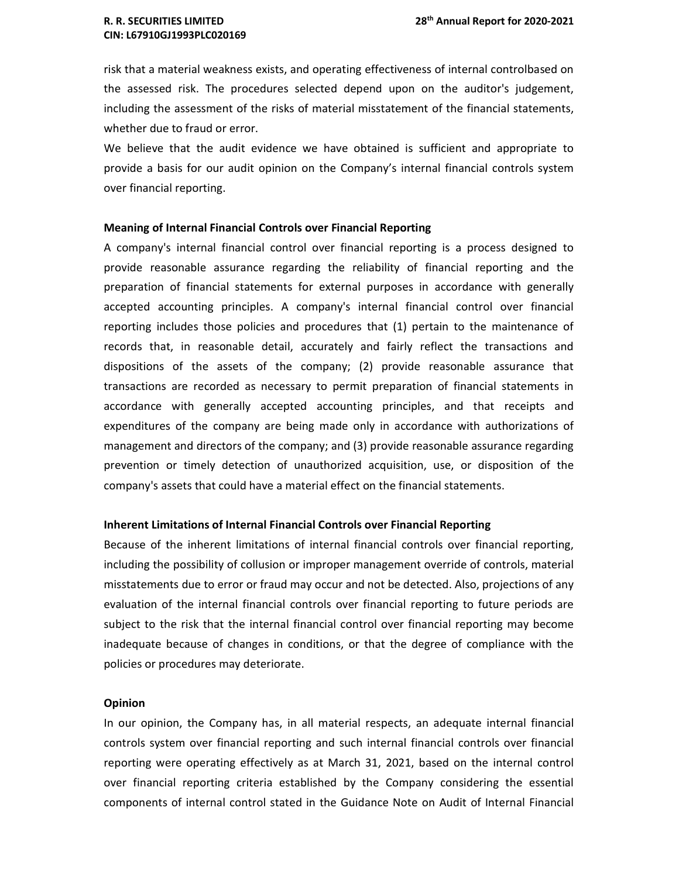risk that a material weakness exists, and operating effectiveness of internal controlbased on the assessed risk. The procedures selected depend upon on the auditor's judgement, including the assessment of the risks of material misstatement of the financial statements, whether due to fraud or error.

We believe that the audit evidence we have obtained is sufficient and appropriate to provide a basis for our audit opinion on the Company's internal financial controls system over financial reporting.

#### Meaning of Internal Financial Controls over Financial Reporting

A company's internal financial control over financial reporting is a process designed to provide reasonable assurance regarding the reliability of financial reporting and the preparation of financial statements for external purposes in accordance with generally accepted accounting principles. A company's internal financial control over financial reporting includes those policies and procedures that (1) pertain to the maintenance of records that, in reasonable detail, accurately and fairly reflect the transactions and dispositions of the assets of the company; (2) provide reasonable assurance that transactions are recorded as necessary to permit preparation of financial statements in accordance with generally accepted accounting principles, and that receipts and expenditures of the company are being made only in accordance with authorizations of management and directors of the company; and (3) provide reasonable assurance regarding prevention or timely detection of unauthorized acquisition, use, or disposition of the company's assets that could have a material effect on the financial statements.

#### Inherent Limitations of Internal Financial Controls over Financial Reporting

Because of the inherent limitations of internal financial controls over financial reporting, including the possibility of collusion or improper management override of controls, material misstatements due to error or fraud may occur and not be detected. Also, projections of any evaluation of the internal financial controls over financial reporting to future periods are subject to the risk that the internal financial control over financial reporting may become inadequate because of changes in conditions, or that the degree of compliance with the policies or procedures may deteriorate.

#### Opinion

In our opinion, the Company has, in all material respects, an adequate internal financial controls system over financial reporting and such internal financial controls over financial reporting were operating effectively as at March 31, 2021, based on the internal control over financial reporting criteria established by the Company considering the essential components of internal control stated in the Guidance Note on Audit of Internal Financial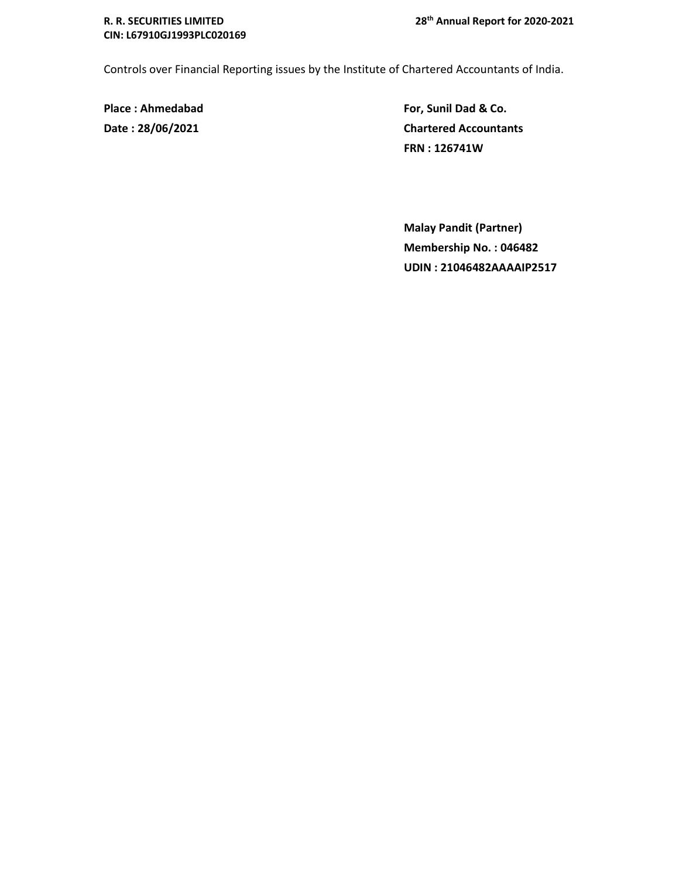# CIN: L67910GJ1993PLC020169

Controls over Financial Reporting issues by the Institute of Chartered Accountants of India.

Place : Ahmedabad For, Sunil Dad & Co. Date : 28/06/2021 **Chartered Accountants** FRN : 126741W

> Malay Pandit (Partner) Membership No. : 046482 UDIN : 21046482AAAAIP2517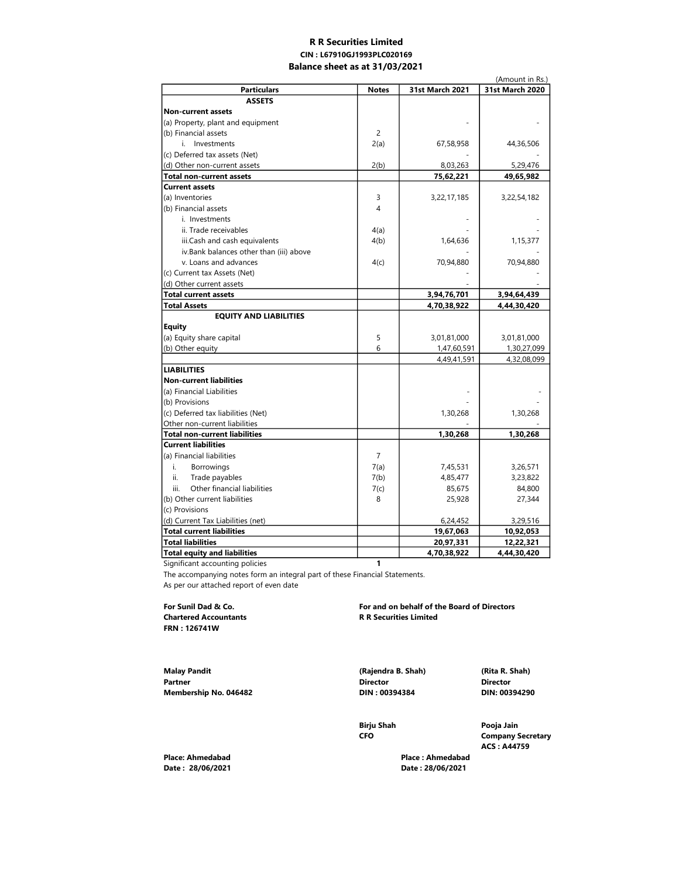#### Balance sheet as at 31/03/2021 R R Securities Limited CIN : L67910GJ1993PLC020169

| (Amount in Rs.)                         |                |                 |                 |  |
|-----------------------------------------|----------------|-----------------|-----------------|--|
| <b>Particulars</b>                      | <b>Notes</b>   | 31st March 2021 | 31st March 2020 |  |
| <b>ASSETS</b>                           |                |                 |                 |  |
| <b>Non-current assets</b>               |                |                 |                 |  |
| (a) Property, plant and equipment       |                |                 |                 |  |
| (b) Financial assets                    | $\overline{2}$ |                 |                 |  |
| i. Investments                          | 2(a)           | 67,58,958       | 44,36,506       |  |
| (c) Deferred tax assets (Net)           |                |                 |                 |  |
| (d) Other non-current assets            | 2(b)           | 8,03,263        | 5,29,476        |  |
| Total non-current assets                |                | 75,62,221       | 49,65,982       |  |
| <b>Current assets</b>                   |                |                 |                 |  |
| (a) Inventories                         | 3              | 3,22,17,185     | 3,22,54,182     |  |
| (b) Financial assets                    | 4              |                 |                 |  |
| i. Investments                          |                |                 |                 |  |
| ii. Trade receivables                   | 4(a)           |                 |                 |  |
| iii.Cash and cash equivalents           | 4(b)           | 1,64,636        | 1,15,377        |  |
| iv.Bank balances other than (iii) above |                |                 |                 |  |
| v. Loans and advances                   | 4(c)           | 70,94,880       | 70,94,880       |  |
| (c) Current tax Assets (Net)            |                |                 |                 |  |
| (d) Other current assets                |                |                 |                 |  |
| <b>Total current assets</b>             |                | 3,94,76,701     | 3,94,64,439     |  |
| <b>Total Assets</b>                     |                | 4,70,38,922     | 4,44,30,420     |  |
| <b>EQUITY AND LIABILITIES</b>           |                |                 |                 |  |
| <b>Equity</b>                           |                |                 |                 |  |
| (a) Equity share capital                | 5              | 3,01,81,000     | 3,01,81,000     |  |
| (b) Other equity                        | 6              | 1,47,60,591     | 1,30,27,099     |  |
|                                         |                | 4,49,41,591     | 4,32,08,099     |  |
| <b>LIABILITIES</b>                      |                |                 |                 |  |
| <b>Non-current liabilities</b>          |                |                 |                 |  |
| (a) Financial Liabilities               |                |                 |                 |  |
| (b) Provisions                          |                |                 |                 |  |
| (c) Deferred tax liabilities (Net)      |                | 1,30,268        | 1,30,268        |  |
| Other non-current liabilities           |                |                 |                 |  |
| <b>Total non-current liabilities</b>    |                | 1.30.268        | 1,30,268        |  |
| <b>Current liabilities</b>              |                |                 |                 |  |
| (a) Financial liabilities               | $\overline{7}$ |                 |                 |  |
| i.<br><b>Borrowings</b>                 | 7(a)           | 7,45,531        | 3,26,571        |  |
| Trade payables<br>ii.                   | 7(b)           | 4,85,477        | 3,23,822        |  |
| Other financial liabilities<br>iii.     | 7(c)           | 85,675          | 84,800          |  |
| (b) Other current liabilities           | 8              | 25,928          | 27,344          |  |
| (c) Provisions                          |                |                 |                 |  |
|                                         |                |                 |                 |  |
| (d) Current Tax Liabilities (net)       |                | 6,24,452        | 3,29,516        |  |
| <b>Total current liabilities</b>        |                | 19,67,063       | 10,92,053       |  |
| <b>Total liabilities</b>                |                | 20,97,331       | 12,22,321       |  |
| <b>Total equity and liabilities</b>     |                | 4,70,38,922     | 4,44,30,420     |  |
| Significant accounting policies         | 1              |                 |                 |  |

The accompanying notes form an integral part of these Financial Statements.

As per our attached report of even date

For Sunil Dad & Co. **For and on behalf of the Board of Directors** FRN : 126741W

Malay Pandit (Rajendra B. Shah) (Rita R. Shah) Partner Director Director Membership No. 046482 DIN : 00394384 DIN: 00394290

Chartered Accountants R R Securities Limited

Company Secretary ACS : A44759

Birju Shah Pooja Jain<br>CFO Company S

Place: Ahmedabad **Place: Ahmedabad** Place : Ahmedabad Place : Ahmedabad Place : Ahmedabad Place : 28/06/2021 Date : 28/06/2021 Date : 28/06/2021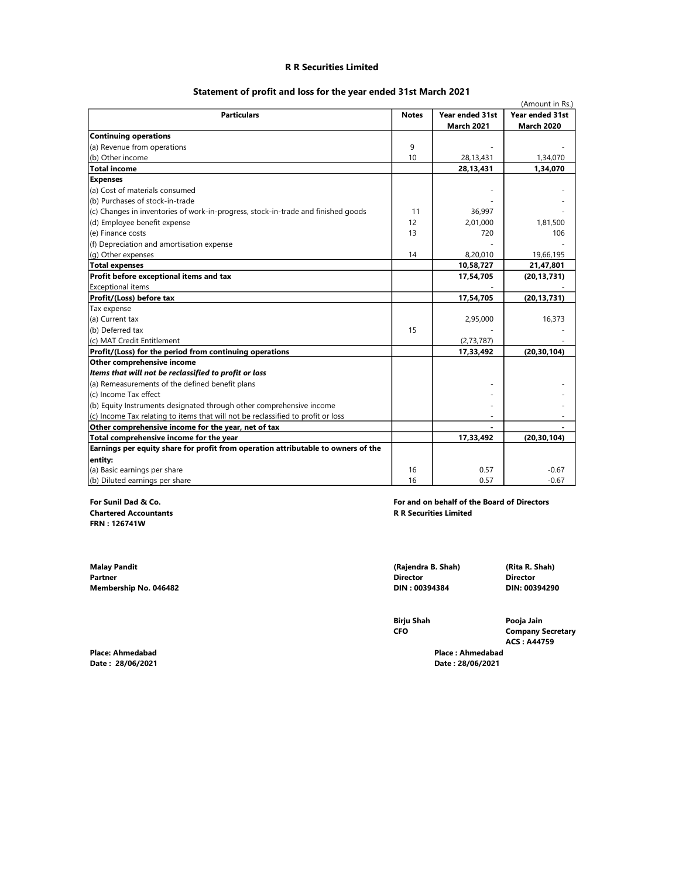#### R R Securities Limited

|                                                                                   |              |                   | (Amount in Rs.)   |
|-----------------------------------------------------------------------------------|--------------|-------------------|-------------------|
| <b>Particulars</b>                                                                | <b>Notes</b> | Year ended 31st   | Year ended 31st   |
|                                                                                   |              | <b>March 2021</b> | <b>March 2020</b> |
| <b>Continuing operations</b>                                                      |              |                   |                   |
| (a) Revenue from operations                                                       | 9            |                   |                   |
| (b) Other income                                                                  | 10           | 28,13,431         | 1,34,070          |
| Total income                                                                      |              | 28,13,431         | 1,34,070          |
| <b>Expenses</b>                                                                   |              |                   |                   |
| (a) Cost of materials consumed                                                    |              |                   |                   |
| (b) Purchases of stock-in-trade                                                   |              |                   |                   |
| (c) Changes in inventories of work-in-progress, stock-in-trade and finished goods | 11           | 36,997            |                   |
| (d) Employee benefit expense                                                      | 12           | 2,01,000          | 1,81,500          |
| (e) Finance costs                                                                 | 13           | 720               | 106               |
| (f) Depreciation and amortisation expense                                         |              |                   |                   |
| (g) Other expenses                                                                | 14           | 8,20,010          | 19,66,195         |
| <b>Total expenses</b>                                                             |              | 10,58,727         | 21,47,801         |
| Profit before exceptional items and tax                                           |              | 17,54,705         | (20, 13, 731)     |
| <b>Exceptional items</b>                                                          |              |                   |                   |
| Profit/(Loss) before tax                                                          |              | 17,54,705         | (20, 13, 731)     |
| Tax expense                                                                       |              |                   |                   |
| (a) Current tax                                                                   |              | 2,95,000          | 16.373            |
| (b) Deferred tax                                                                  | 15           |                   |                   |
| (c) MAT Credit Entitlement                                                        |              | (2, 73, 787)      |                   |
| Profit/(Loss) for the period from continuing operations                           |              | 17,33,492         | (20, 30, 104)     |
| Other comprehensive income                                                        |              |                   |                   |
| Items that will not be reclassified to profit or loss                             |              |                   |                   |
| (a) Remeasurements of the defined benefit plans                                   |              |                   |                   |
| (c) Income Tax effect                                                             |              |                   |                   |
| (b) Equity Instruments designated through other comprehensive income              |              |                   |                   |
| (c) Income Tax relating to items that will not be reclassified to profit or loss  |              |                   |                   |
| Other comprehensive income for the year, net of tax                               |              |                   |                   |
| Total comprehensive income for the year                                           |              | 17,33,492         | (20, 30, 104)     |
| Earnings per equity share for profit from operation attributable to owners of the |              |                   |                   |
| lentitv:                                                                          |              |                   |                   |
| (a) Basic earnings per share                                                      | 16           | 0.57              | $-0.67$           |
| (b) Diluted earnings per share                                                    | 16           | 0.57              | $-0.67$           |

#### Statement of profit and loss for the year ended 31st March 2021

**Chartered Accountants** FRN : 126741W

Malay Pandit (Rajendra B. Shah) (Rita R. Shah) Partner Director Director Director Director Director Director Director Director Director Director Director Director Membership No. 046482 DIN : 00394384 DIN: 00394290

For Sunil Dad & Co. For and on behalf of the Board of Directors<br>Chartered Accountants Charter of Chartered Accountants

Birju Shah Pooja Jain CFO Company Secretary ACS : A44759

Place: Ahmedabad Place : Ahmedabad Date : 28/06/2021 Date : 28/06/2021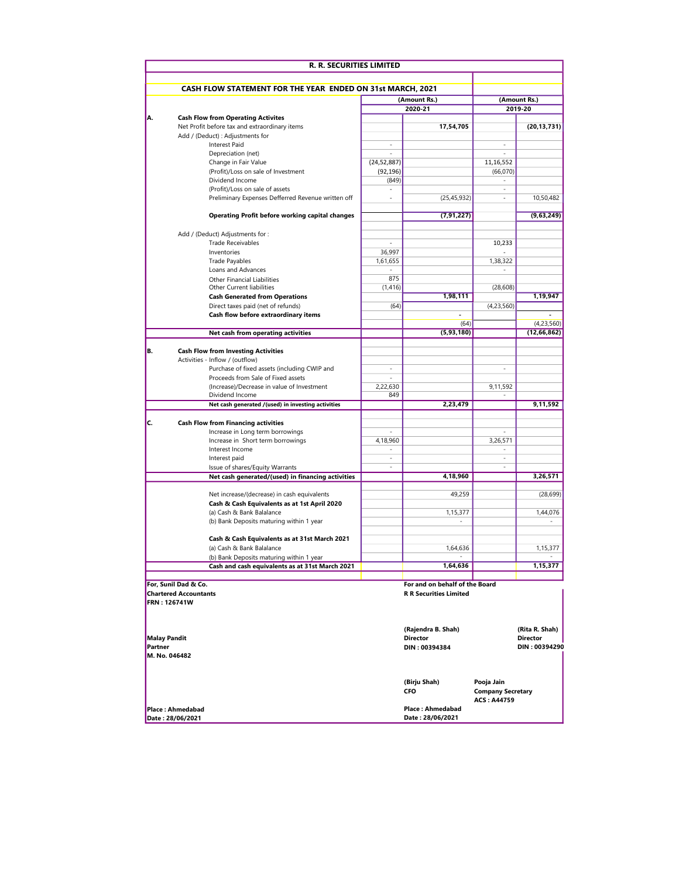|                     | R. R. SECURITIES LIMITED                                                   |                              |                                       |                                                |                            |
|---------------------|----------------------------------------------------------------------------|------------------------------|---------------------------------------|------------------------------------------------|----------------------------|
|                     | <b>CASH FLOW STATEMENT FOR THE YEAR ENDED ON 31st MARCH, 2021</b>          |                              |                                       |                                                |                            |
|                     |                                                                            |                              | (Amount Rs.)                          |                                                | (Amount Rs.)               |
|                     |                                                                            |                              | 2020-21                               |                                                | 2019-20                    |
| A.                  | <b>Cash Flow from Operating Activites</b>                                  |                              |                                       |                                                |                            |
|                     | Net Profit before tax and extraordinary items                              |                              | 17,54,705                             |                                                | (20, 13, 731)              |
|                     | Add / (Deduct): Adjustments for                                            |                              |                                       |                                                |                            |
|                     | <b>Interest Paid</b>                                                       | ÷.                           |                                       | $\bar{a}$                                      |                            |
|                     | Depreciation (net)<br>Change in Fair Value                                 | ÷,<br>(24, 52, 887)          |                                       | $\sim$<br>11,16,552                            |                            |
|                     | (Profit)/Loss on sale of Investment                                        | (92, 196)                    |                                       | (66,070)                                       |                            |
|                     | Dividend Income                                                            | (849)                        |                                       | $\overline{\phantom{a}}$                       |                            |
|                     | (Profit)/Loss on sale of assets                                            |                              |                                       | $\sim$                                         |                            |
|                     | Preliminary Expenses Defferred Revenue written off                         |                              | (25, 45, 932)                         | $\overline{\phantom{a}}$                       | 10,50,482                  |
|                     | Operating Profit before working capital changes                            |                              | (7, 91, 227)                          |                                                | (9,63,249)                 |
|                     | Add / (Deduct) Adjustments for :                                           |                              |                                       |                                                |                            |
|                     | <b>Trade Receivables</b>                                                   | ÷,                           |                                       | 10,233                                         |                            |
|                     | Inventories                                                                | 36,997                       |                                       |                                                |                            |
|                     | <b>Trade Payables</b>                                                      | 1,61,655                     |                                       | 1,38,322                                       |                            |
|                     | Loans and Advances                                                         | $\sim$                       |                                       | $\sim$                                         |                            |
|                     | Other Financial Liabilities                                                | 875                          |                                       |                                                |                            |
|                     | Other Current liabilities                                                  | (1, 416)                     |                                       | (28, 608)                                      |                            |
|                     | <b>Cash Generated from Operations</b>                                      |                              | 1,98,111                              |                                                | 1,19,947                   |
|                     | Direct taxes paid (net of refunds)<br>Cash flow before extraordinary items | (64)                         | $\overline{a}$                        | (4, 23, 560)                                   |                            |
|                     |                                                                            |                              | (64)                                  |                                                | (4, 23, 560)               |
|                     | Net cash from operating activities                                         |                              | (5,93,180)                            |                                                | (12,66,862)                |
|                     |                                                                            |                              |                                       |                                                |                            |
| B.                  | <b>Cash Flow from Investing Activities</b>                                 |                              |                                       |                                                |                            |
|                     | Activities - Inflow / (outflow)                                            |                              |                                       |                                                |                            |
|                     | Purchase of fixed assets (including CWIP and                               | $\qquad \qquad \blacksquare$ |                                       | $\overline{\phantom{a}}$                       |                            |
|                     | Proceeds from Sale of Fixed assets                                         | ÷,                           |                                       |                                                |                            |
|                     | (Increase)/Decrease in value of Investment                                 | 2,22,630                     |                                       | 9,11,592                                       |                            |
|                     | Dividend Income                                                            | 849                          |                                       |                                                |                            |
|                     | Net cash generated /(used) in investing activities                         |                              | 2,23,479                              |                                                | 9,11,592                   |
| IC.                 | <b>Cash Flow from Financing activities</b>                                 |                              |                                       |                                                |                            |
|                     | Increase in Long term borrowings                                           | ÷,                           |                                       | $\sim$                                         |                            |
|                     | Increase in Short term borrowings                                          | 4,18,960                     |                                       | 3,26,571                                       |                            |
|                     | Interest Income                                                            | ä,                           |                                       | ÷.                                             |                            |
|                     | Interest paid                                                              | $\overline{\phantom{a}}$     |                                       | $\sim$                                         |                            |
|                     | Issue of shares/Equity Warrants                                            |                              |                                       |                                                |                            |
|                     | Net cash generated/(used) in financing activities                          |                              | 4,18,960                              |                                                | 3,26,571                   |
|                     | Net increase/(decrease) in cash equivalents                                |                              | 49,259                                |                                                | (28, 699)                  |
|                     | Cash & Cash Equivalents as at 1st April 2020                               |                              |                                       |                                                |                            |
|                     | (a) Cash & Bank Balalance                                                  |                              | 1,15,377                              |                                                | 1,44,076                   |
|                     | (b) Bank Deposits maturing within 1 year                                   |                              | $\sim$                                |                                                | $\bar{a}$                  |
|                     |                                                                            |                              |                                       |                                                |                            |
|                     | Cash & Cash Equivalents as at 31st March 2021<br>(a) Cash & Bank Balalance |                              | 1,64,636                              |                                                | 1,15,377                   |
|                     | (b) Bank Deposits maturing within 1 year                                   |                              |                                       |                                                |                            |
|                     | Cash and cash equivalents as at 31st March 2021                            |                              | 1,64,636                              |                                                | 1,15,377                   |
|                     |                                                                            |                              |                                       |                                                |                            |
|                     | For, Sunil Dad & Co.                                                       |                              | For and on behalf of the Board        |                                                |                            |
|                     | <b>Chartered Accountants</b>                                               |                              | <b>R R Securities Limited</b>         |                                                |                            |
|                     | <b>FRN: 126741W</b>                                                        |                              |                                       |                                                |                            |
|                     |                                                                            |                              |                                       |                                                |                            |
|                     |                                                                            |                              |                                       |                                                |                            |
| <b>Malay Pandit</b> |                                                                            |                              | (Rajendra B. Shah)<br><b>Director</b> |                                                | (Rita R. Shah)<br>Director |
| Partner             |                                                                            |                              | DIN: 00394384                         |                                                | DIN: 00394290              |
|                     | M. No. 046482                                                              |                              |                                       |                                                |                            |
|                     |                                                                            |                              | (Birju Shah)                          | Pooja Jain                                     |                            |
|                     |                                                                            |                              | CFO                                   | <b>Company Secretary</b><br><b>ACS: A44759</b> |                            |
|                     | Place: Ahmedabad<br>Date: 28/06/2021                                       |                              | Place: Ahmedabad<br>Date: 28/06/2021  |                                                |                            |
|                     |                                                                            |                              |                                       |                                                |                            |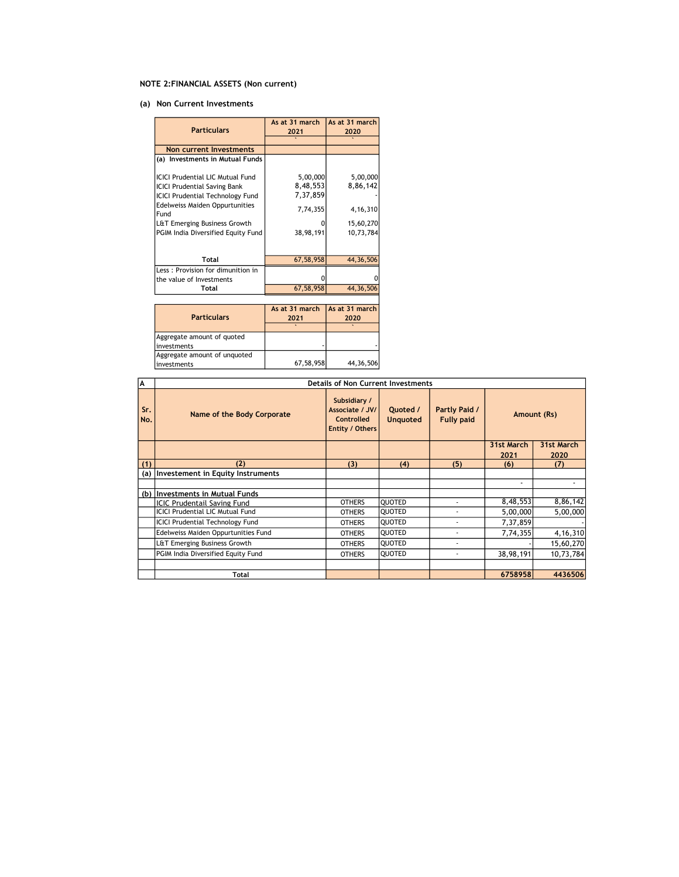#### NOTE 2:FINANCIAL ASSETS (Non current)

### (a) Non Current Investments

| <b>Particulars</b>                                                                                                                                                                                                                               | As at 31 march<br>2021                                    | As at 31 march<br>2020                                       |
|--------------------------------------------------------------------------------------------------------------------------------------------------------------------------------------------------------------------------------------------------|-----------------------------------------------------------|--------------------------------------------------------------|
| Non current Investments                                                                                                                                                                                                                          |                                                           |                                                              |
| <b>Investments in Mutual Funds</b><br>(a)                                                                                                                                                                                                        |                                                           |                                                              |
| <b>ICICI Prudential LIC Mutual Fund</b><br><b>ICICI Prudential Saving Bank</b><br><b>ICICI Prudential Technology Fund</b><br><b>Edelweiss Maiden Oppurtunities</b><br>Fund<br>L&T Emerging Business Growth<br>PGIM India Diversified Equity Fund | 5,00,000<br>8,48,553<br>7,37,859<br>7,74,355<br>38,98,191 | 5,00,000<br>8,86,142<br>4, 16, 310<br>15,60,270<br>10,73,784 |
| Total                                                                                                                                                                                                                                            | 67,58,958                                                 | 44, 36, 506                                                  |
| Less: Provision for dimunition in<br>the value of Investments                                                                                                                                                                                    |                                                           |                                                              |
| Total                                                                                                                                                                                                                                            | 67,58,958                                                 | 44, 36, 506                                                  |
|                                                                                                                                                                                                                                                  |                                                           |                                                              |

| <b>Particulars</b>           | As at 31 march   As at 31 march  <br>2021 | 2020        |
|------------------------------|-------------------------------------------|-------------|
|                              |                                           |             |
| Aggregate amount of quoted   |                                           |             |
| linvestments                 |                                           |             |
| Aggregate amount of unquoted |                                           |             |
| linvestments                 | 67,58,958                                 | 44, 36, 506 |

| A          | <b>Details of Non Current Investments</b> |                                                                                |                             |                                    |                          |             |
|------------|-------------------------------------------|--------------------------------------------------------------------------------|-----------------------------|------------------------------------|--------------------------|-------------|
| Sr.<br>No. | Name of the Body Corporate                | Subsidiary /<br>Associate / JV/<br><b>Controlled</b><br><b>Entity / Others</b> | Quoted /<br><b>Unquoted</b> | Partly Paid /<br><b>Fully paid</b> | Amount (Rs)              |             |
|            |                                           |                                                                                |                             |                                    | 31st March               | 31st March  |
| (1)        | (2)                                       | (3)                                                                            | (4)                         | (5)                                | 2021<br>(6)              | 2020<br>(7) |
| (a)        | Investement in Equity Instruments         |                                                                                |                             |                                    |                          |             |
|            |                                           |                                                                                |                             |                                    | $\overline{\phantom{a}}$ |             |
|            | (b) Investments in Mutual Funds           |                                                                                |                             |                                    |                          |             |
|            | ICIC Prudentail Saving Fund               | <b>OTHERS</b>                                                                  | <b>QUOTED</b>               | $\overline{a}$                     | 8,48,553                 | 8,86,142    |
|            | <b>ICICI Prudential LIC Mutual Fund</b>   | <b>OTHERS</b>                                                                  | QUOTED                      | ۰                                  | 5,00,000                 | 5,00,000    |
|            | <b>ICICI Prudential Technology Fund</b>   | <b>OTHERS</b>                                                                  | QUOTED                      | ٠                                  | 7,37,859                 |             |
|            | Edelweiss Maiden Oppurtunities Fund       | <b>OTHERS</b>                                                                  | <b>OUOTED</b>               | ٠                                  | 7,74,355                 | 4, 16, 310  |
|            | L&T Emerging Business Growth              | <b>OTHERS</b>                                                                  | <b>QUOTED</b>               | ٠                                  |                          | 15,60,270   |
|            | PGIM India Diversified Equity Fund        | <b>OTHERS</b>                                                                  | <b>QUOTED</b>               | ٠                                  | 38,98,191                | 10,73,784   |
|            |                                           |                                                                                |                             |                                    |                          |             |
|            | Total                                     |                                                                                |                             |                                    | 6758958                  | 4436506     |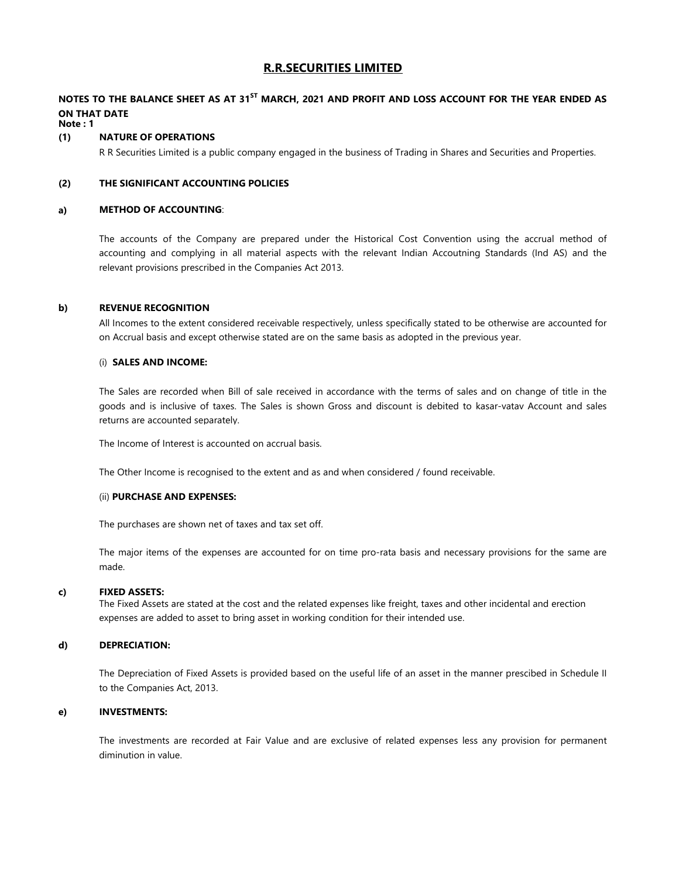### R.R.SECURITIES LIMITED

### NOTES TO THE BALANCE SHEET AS AT 31<sup>ST</sup> MARCH, 2021 AND PROFIT AND LOSS ACCOUNT FOR THE YEAR ENDED AS ON THAT DATE

Note : 1

#### (1) NATURE OF OPERATIONS

R R Securities Limited is a public company engaged in the business of Trading in Shares and Securities and Properties.

#### (2) THE SIGNIFICANT ACCOUNTING POLICIES

#### a) METHOD OF ACCOUNTING:

The accounts of the Company are prepared under the Historical Cost Convention using the accrual method of accounting and complying in all material aspects with the relevant Indian Accoutning Standards (Ind AS) and the relevant provisions prescribed in the Companies Act 2013.

#### b) REVENUE RECOGNITION

All Incomes to the extent considered receivable respectively, unless specifically stated to be otherwise are accounted for on Accrual basis and except otherwise stated are on the same basis as adopted in the previous year.

#### (i) SALES AND INCOME:

The Sales are recorded when Bill of sale received in accordance with the terms of sales and on change of title in the goods and is inclusive of taxes. The Sales is shown Gross and discount is debited to kasar-vatav Account and sales returns are accounted separately.

The Income of Interest is accounted on accrual basis.

The Other Income is recognised to the extent and as and when considered / found receivable.

#### (ii) PURCHASE AND EXPENSES:

The purchases are shown net of taxes and tax set off.

The major items of the expenses are accounted for on time pro-rata basis and necessary provisions for the same are made.

#### c) FIXED ASSETS:

The Fixed Assets are stated at the cost and the related expenses like freight, taxes and other incidental and erection expenses are added to asset to bring asset in working condition for their intended use.

#### d) DEPRECIATION:

The Depreciation of Fixed Assets is provided based on the useful life of an asset in the manner prescibed in Schedule II to the Companies Act, 2013.

#### e) INVESTMENTS:

The investments are recorded at Fair Value and are exclusive of related expenses less any provision for permanent diminution in value.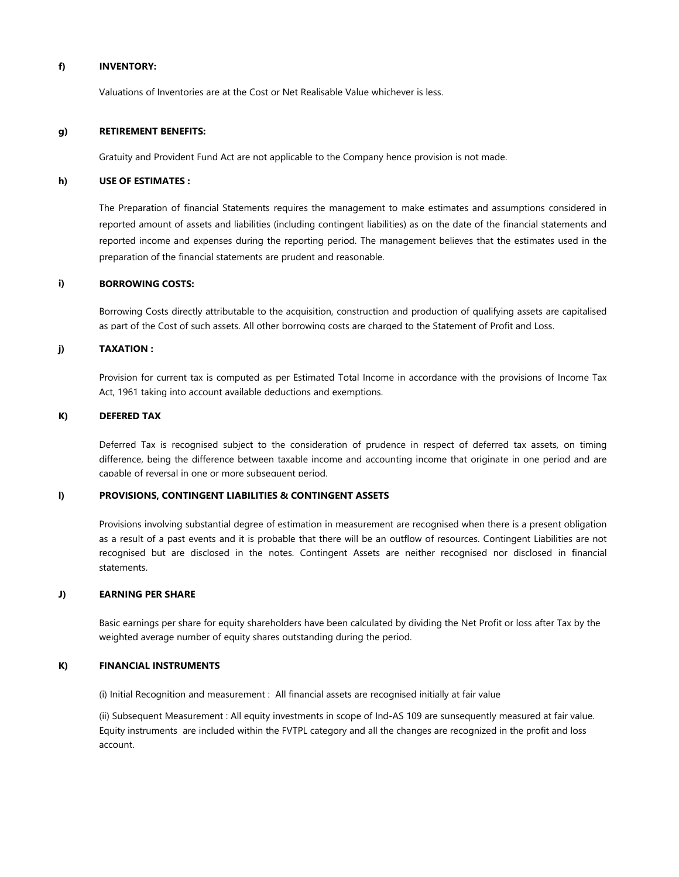#### f) INVENTORY:

Valuations of Inventories are at the Cost or Net Realisable Value whichever is less.

#### g) RETIREMENT BENEFITS:

Gratuity and Provident Fund Act are not applicable to the Company hence provision is not made.

#### h) USE OF ESTIMATES :

The Preparation of financial Statements requires the management to make estimates and assumptions considered in reported amount of assets and liabilities (including contingent liabilities) as on the date of the financial statements and reported income and expenses during the reporting period. The management believes that the estimates used in the preparation of the financial statements are prudent and reasonable.

#### i) BORROWING COSTS:

Borrowing Costs directly attributable to the acquisition, construction and production of qualifying assets are capitalised as part of the Cost of such assets. All other borrowing costs are charged to the Statement of Profit and Loss.

#### j) TAXATION :

Provision for current tax is computed as per Estimated Total Income in accordance with the provisions of Income Tax Act, 1961 taking into account available deductions and exemptions.

#### K) DEFERED TAX

Deferred Tax is recognised subject to the consideration of prudence in respect of deferred tax assets, on timing difference, being the difference between taxable income and accounting income that originate in one period and are capable of reversal in one or more subsequent period.

#### l) PROVISIONS, CONTINGENT LIABILITIES & CONTINGENT ASSETS

Provisions involving substantial degree of estimation in measurement are recognised when there is a present obligation as a result of a past events and it is probable that there will be an outflow of resources. Contingent Liabilities are not recognised but are disclosed in the notes. Contingent Assets are neither recognised nor disclosed in financial statements.

#### J) EARNING PER SHARE

Basic earnings per share for equity shareholders have been calculated by dividing the Net Profit or loss after Tax by the weighted average number of equity shares outstanding during the period.

#### K) FINANCIAL INSTRUMENTS

(i) Initial Recognition and measurement : All financial assets are recognised initially at fair value

(ii) Subsequent Measurement : All equity investments in scope of Ind-AS 109 are sunsequently measured at fair value. Equity instruments are included within the FVTPL category and all the changes are recognized in the profit and loss account.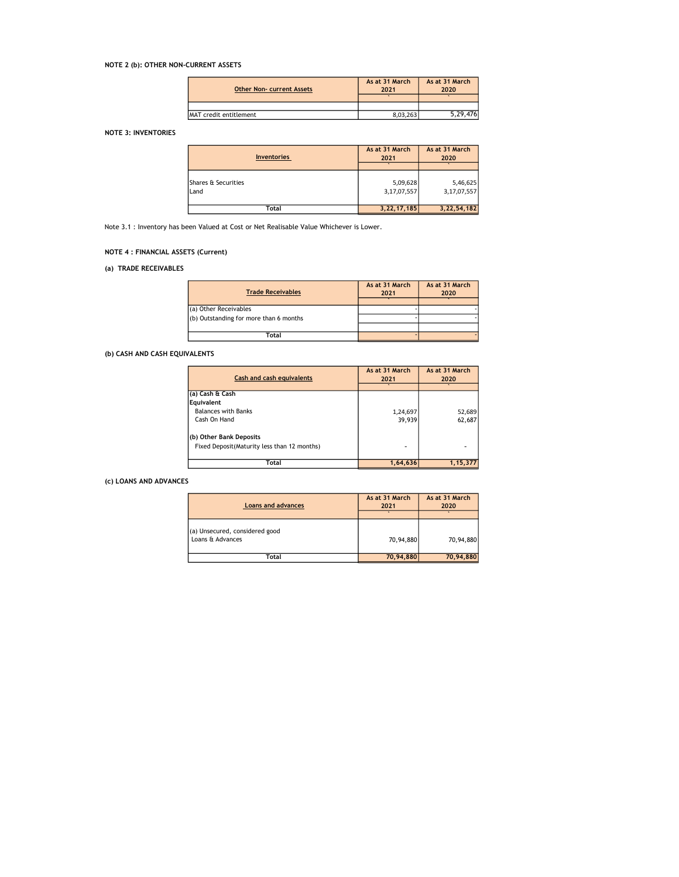#### NOTE 2 (b): OTHER NON-CURRENT ASSETS

| <b>Other Non- current Assets</b> | As at 31 March<br>2021 | As at 31 March<br>2020 |
|----------------------------------|------------------------|------------------------|
|                                  |                        |                        |
| <b>IMAT</b> credit entitlement   | 8.03.263               | 5.29.476               |

#### NOTE 3: INVENTORIES

| <b>Inventories</b>          | As at 31 March<br>2021  | As at 31 March<br>2020  |
|-----------------------------|-------------------------|-------------------------|
| Shares & Securities<br>Land | 5,09,628<br>3,17,07,557 | 5,46,625<br>3,17,07,557 |
| Total                       | 3, 22, 17, 185          | 3, 22, 54, 182          |

Note 3.1 : Inventory has been Valued at Cost or Net Realisable Value Whichever is Lower.

#### NOTE 4 : FINANCIAL ASSETS (Current)

#### (a) TRADE RECEIVABLES

| <b>Trade Receivables</b>               | As at 31 March<br>2021 | As at 31 March<br>2020 |
|----------------------------------------|------------------------|------------------------|
| (a) Other Receivables                  |                        |                        |
| (b) Outstanding for more than 6 months |                        |                        |
|                                        |                        |                        |
| Total                                  |                        |                        |

#### (b) CASH AND CASH EQUIVALENTS

| <b>Cash and cash equivalents</b>             | As at 31 March<br>2021 | As at 31 March<br>2020   |
|----------------------------------------------|------------------------|--------------------------|
|                                              |                        |                          |
| (a) Cash & Cash                              |                        |                          |
| Equivalent                                   |                        |                          |
| <b>Balances with Banks</b>                   | 1,24,697               | 52,689                   |
| Cash On Hand                                 | 39,939                 | 62,687                   |
| (b) Other Bank Deposits                      |                        |                          |
| Fixed Deposit (Maturity less than 12 months) |                        | $\overline{\phantom{0}}$ |
| Total                                        | 1,64,636               | 1, 15, 377               |

### (c) LOANS AND ADVANCES

| <b>Loans and advances</b>                          | As at 31 March<br>2021 | As at 31 March<br>2020 |
|----------------------------------------------------|------------------------|------------------------|
| (a) Unsecured, considered good<br>Loans & Advances | 70,94,880              | 70,94,880              |
| Total                                              | 70,94,880              | 70,94,880              |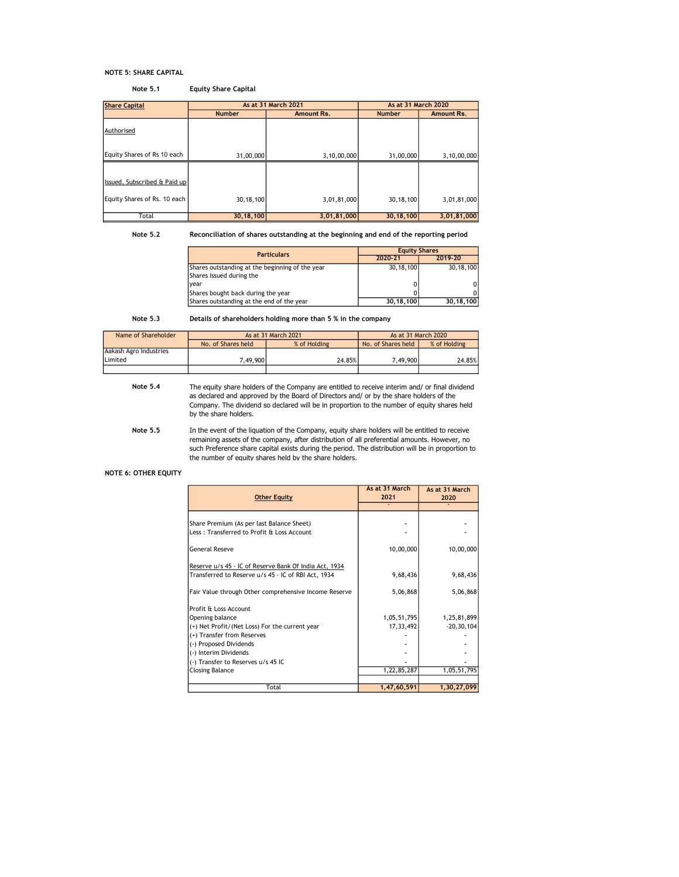#### NOTE 5: SHARE CAPITAL

Note 5.1 Equity Share Capital

| <b>Share Capital</b>         | As at 31 March 2021 |                   | As at 31 March 2020 |             |
|------------------------------|---------------------|-------------------|---------------------|-------------|
|                              | <b>Number</b>       | <b>Amount Rs.</b> | <b>Number</b>       | Amount Rs.  |
| Authorised                   |                     |                   |                     |             |
| Equity Shares of Rs 10 each  | 31,00,000           | 3,10,00,000       | 31,00,000           | 3,10,00,000 |
|                              |                     |                   |                     |             |
| Issued, Subscribed & Paid up |                     |                   |                     |             |
| Equity Shares of Rs. 10 each | 30, 18, 100         | 3,01,81,000       | 30, 18, 100         | 3,01,81,000 |
| Total                        | 30, 18, 100         | 3,01,81,000       | 30, 18, 100         | 3,01,81,000 |

#### Note 5.2

Reconciliation of shares outstanding at the beginning and end of the reporting period

| <b>Particulars</b>                                                          |             | <b>Equity Shares</b> |  |  |
|-----------------------------------------------------------------------------|-------------|----------------------|--|--|
|                                                                             | 2020-21     | 2019-20              |  |  |
| Shares outstanding at the beginning of the year<br>Shares Issued during the | 30, 18, 100 | 30, 18, 100          |  |  |
| vear                                                                        |             |                      |  |  |
| Shares bought back during the year                                          |             |                      |  |  |
| Shares outstanding at the end of the year                                   | 30,18,100   | 30, 18, 100          |  |  |

Note 5.3 Details of shareholders holding more than 5 % in the company

| Name of Shareholder    |                    | As at 31 March 2021 |                    | As at 31 March 2020 |
|------------------------|--------------------|---------------------|--------------------|---------------------|
|                        | No. of Shares held | % of Holding        | No. of Shares held | % of Holding        |
| Aakash Agro Industries |                    |                     |                    |                     |
| <b>Limited</b>         | 7,49,900           | 24.85%              | 7.49.900           | 24.85%              |
|                        |                    |                     |                    |                     |

Note 5.4 The equity share holders of the Company are entitled to receive interim and/ or final dividend as declared and approved by the Board of Directors and/ or by the share holders of the Company. The dividend so declared will be in proportion to the number of equity shares held by the share holders.

Note 5.5 In the event of the liquation of the Company, equity share holders will be entitled to receive remaining assets of the company, after distribution of all preferential amounts. However, no such Preference share capital exists during the period. The distribution will be in proportion to the number of equity shares held by the share holders.

#### NOTE 6: OTHER EQUITY

| <b>Other Equity</b>                                    | As at 31 March<br>2021 | As at 31 March<br>2020 |
|--------------------------------------------------------|------------------------|------------------------|
|                                                        |                        |                        |
| Share Premium (As per last Balance Sheet)              |                        |                        |
| lLess : Transferred to Profit & Loss Account           |                        |                        |
| l General Reseve                                       | 10,00,000              | 10,00,000              |
| Reserve u/s 45 - IC of Reserve Bank Of India Act, 1934 |                        |                        |
| Transferred to Reserve u/s 45 - IC of RBI Act, 1934    | 9,68,436               | 9,68,436               |
| Fair Value through Other comprehensive Income Reserve  | 5,06,868               | 5,06,868               |
| Profit & Loss Account                                  |                        |                        |
| Opening balance                                        | 1,05,51,795            | 1,25,81,899            |
| (+) Net Profit/(Net Loss) For the current year         | 17,33,492              | $-20, 30, 104$         |
| (+) Transfer from Reserves                             |                        |                        |
| (-) Proposed Dividends                                 |                        |                        |
| (-) Interim Dividends                                  |                        |                        |
| (-) Transfer to Reserves u/s 45 IC                     |                        |                        |
| <b>Closing Balance</b>                                 | 1,22,85,287            | 1,05,51,795            |
|                                                        |                        |                        |
| Total                                                  | 1,47,60,591            | 1,30,27,099            |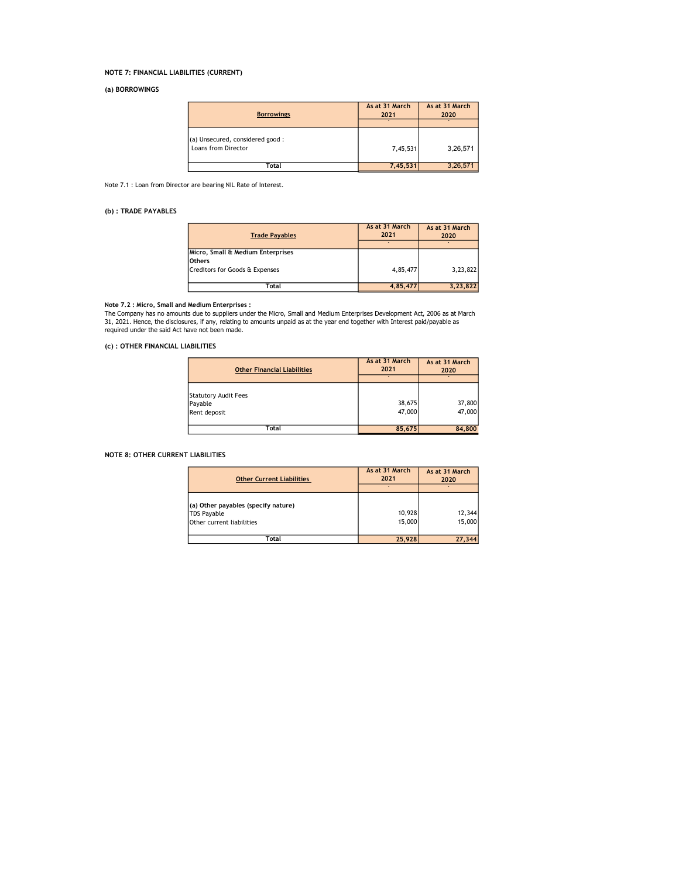#### NOTE 7: FINANCIAL LIABILITIES (CURRENT)

#### (a) BORROWINGS

| <b>Borrowings</b>                                      | As at 31 March<br>2021 | As at 31 March<br>2020 |
|--------------------------------------------------------|------------------------|------------------------|
| (a) Unsecured, considered good:<br>Loans from Director | 7,45,531               | 3,26,571               |
| Total                                                  | 7,45,531               | 3,26,571               |

Note 7.1 : Loan from Director are bearing NIL Rate of Interest.

#### (b) : TRADE PAYABLES

| <b>Trade Payables</b>             | As at 31 March<br>2021 | As at 31 March<br>2020 |
|-----------------------------------|------------------------|------------------------|
|                                   |                        |                        |
| Micro, Small & Medium Enterprises |                        |                        |
| <b>Others</b>                     |                        |                        |
| Creditors for Goods & Expenses    | 4,85,477               | 3,23,822               |
|                                   |                        |                        |
| Total                             | 4,85,477               | 3, 23, 822             |

Note 7.2 : Micro, Small and Medium Enterprises :<br>The Company has no amounts due to suppliers under the Micro, Small and Medium Enterprises Development Act, 2006 as at March<br>31, 2021. Hence, the disclosures, if any, relatin

#### (c) : OTHER FINANCIAL LIABILITIES

| <b>Other Financial Liabilities</b>                     | As at 31 March<br>2021 | As at 31 March<br>2020 |
|--------------------------------------------------------|------------------------|------------------------|
| <b>Statutory Audit Fees</b><br>Payable<br>Rent deposit | 38,675<br>47,000       | 37,800<br>47,000       |
| Total                                                  | 85,675                 | 84,800                 |

#### NOTE 8: OTHER CURRENT LIABILITIES

| <b>Other Current Liabilities</b>                                                       | As at 31 March<br>2021 | As at 31 March<br>2020 |
|----------------------------------------------------------------------------------------|------------------------|------------------------|
| (a) Other payables (specify nature)<br><b>TDS Payable</b><br>Other current liabilities | 10,928<br>15,000       | 12,344<br>15,000       |
| Total                                                                                  | 25,928                 | 27,344                 |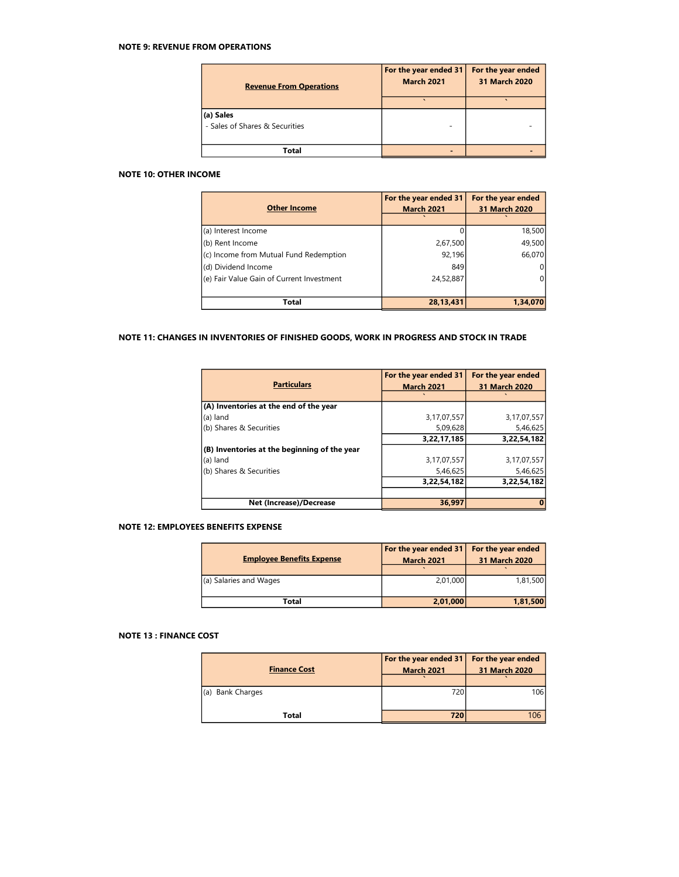#### NOTE 9: REVENUE FROM OPERATIONS

| <b>Revenue From Operations</b>              | For the year ended 31<br><b>March 2021</b> | For the year ended<br>31 March 2020 |
|---------------------------------------------|--------------------------------------------|-------------------------------------|
| (a) Sales<br>- Sales of Shares & Securities |                                            |                                     |
| Total                                       |                                            |                                     |

#### NOTE 10: OTHER INCOME

| <b>Other Income</b>                       | For the year ended 31<br><b>March 2021</b> | For the year ended<br>31 March 2020 |
|-------------------------------------------|--------------------------------------------|-------------------------------------|
| (a) Interest Income                       |                                            | 18,500                              |
| (b) Rent Income                           | 2,67,500                                   | 49,500                              |
| (c) Income from Mutual Fund Redemption    | 92,196                                     | 66,070                              |
| (d) Dividend Income                       | 849                                        |                                     |
| (e) Fair Value Gain of Current Investment | 24,52,887                                  |                                     |
| Total                                     | 28, 13, 431                                | 1,34,070                            |

#### NOTE 11: CHANGES IN INVENTORIES OF FINISHED GOODS, WORK IN PROGRESS AND STOCK IN TRADE

|                                              | For the year ended 31 | For the year ended |
|----------------------------------------------|-----------------------|--------------------|
| <b>Particulars</b>                           | <b>March 2021</b>     | 31 March 2020      |
|                                              |                       |                    |
| (A) Inventories at the end of the year       |                       |                    |
| (a) land                                     | 3,17,07,557           | 3,17,07,557        |
| (b) Shares & Securities                      | 5,09,628              | 5,46,625           |
|                                              | 3,22,17,185           | 3,22,54,182        |
| (B) Inventories at the beginning of the year |                       |                    |
| (a) land                                     | 3,17,07,557           | 3,17,07,557        |
| (b) Shares & Securities                      | 5,46,625              | 5,46,625           |
|                                              | 3,22,54,182           | 3,22,54,182        |
|                                              |                       |                    |
| Net (Increase)/Decrease                      | 36.997                |                    |

#### NOTE 12: EMPLOYEES BENEFITS EXPENSE

| <b>Employee Benefits Expense</b> | <b>For the year ended 31</b><br><b>March 2021</b> | For the year ended<br>31 March 2020 |
|----------------------------------|---------------------------------------------------|-------------------------------------|
|                                  |                                                   |                                     |
| (a) Salaries and Wages           | 2,01,000                                          | 1,81,500                            |
| Total                            | 2,01,000                                          | 1,81,500                            |

#### NOTE 13 : FINANCE COST

| <b>Finance Cost</b> | For the year ended $31$ For the year ended<br><b>March 2021</b> | 31 March 2020 |
|---------------------|-----------------------------------------------------------------|---------------|
| (a) Bank Charges    | 720                                                             | 106           |
| Total               | 720                                                             | 106           |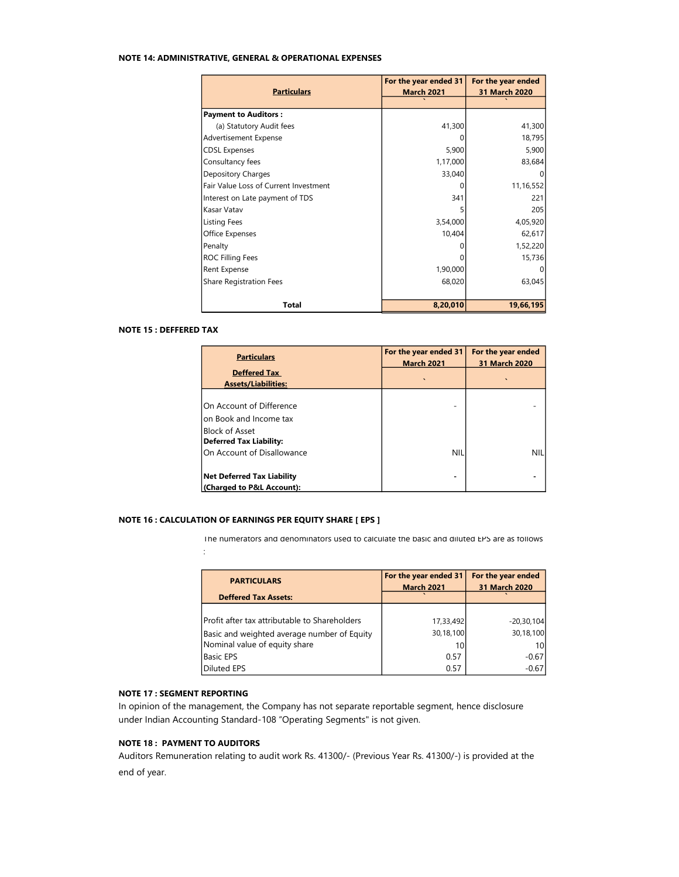#### NOTE 14: ADMINISTRATIVE, GENERAL & OPERATIONAL EXPENSES

| <b>Particulars</b>                    | For the year ended 31<br><b>March 2021</b> | For the year ended<br>31 March 2020 |
|---------------------------------------|--------------------------------------------|-------------------------------------|
| <b>Payment to Auditors:</b>           |                                            |                                     |
| (a) Statutory Audit fees              | 41,300                                     | 41,300                              |
| Advertisement Expense                 |                                            | 18,795                              |
| <b>CDSL Expenses</b>                  | 5,900                                      | 5,900                               |
| Consultancy fees                      | 1,17,000                                   | 83,684                              |
| Depository Charges                    | 33,040                                     |                                     |
| Fair Value Loss of Current Investment |                                            | 11,16,552                           |
| Interest on Late payment of TDS       | 341                                        | 221                                 |
| Kasar Vatav                           |                                            | 205                                 |
| Listing Fees                          | 3,54,000                                   | 4,05,920                            |
| Office Expenses                       | 10,404                                     | 62,617                              |
| Penalty                               |                                            | 1,52,220                            |
| <b>ROC Filling Fees</b>               |                                            | 15,736                              |
| Rent Expense                          | 1,90,000                                   |                                     |
| <b>Share Registration Fees</b>        | 68,020                                     | 63,045                              |
| Total                                 | 8,20,010                                   | 19,66,195                           |

#### NOTE 15 : DEFFERED TAX

| <b>Particulars</b>                                                        | For the year ended 31<br><b>March 2021</b> | For the year ended<br>31 March 2020 |
|---------------------------------------------------------------------------|--------------------------------------------|-------------------------------------|
| <b>Deffered Tax</b>                                                       | $\cdot$                                    |                                     |
| <b>Assets/Liabilities:</b>                                                |                                            |                                     |
| On Account of Difference                                                  |                                            |                                     |
| on Book and Income tax                                                    |                                            |                                     |
| <b>Block of Asset</b><br><b>Deferred Tax Liability:</b>                   |                                            |                                     |
| On Account of Disallowance                                                | <b>NIL</b>                                 | <b>NIL</b>                          |
| <b>Net Deferred Tax Liability</b><br><b>(Charged to P&amp;L Account):</b> |                                            |                                     |

#### NOTE 16 : CALCULATION OF EARNINGS PER EQUITY SHARE [ EPS ]

The numerators and denominators used to calculate the basic and diluted EPS are as follows :

| <b>PARTICULARS</b>                             | For the year ended 31<br><b>March 2021</b> | For the year ended<br>31 March 2020 |
|------------------------------------------------|--------------------------------------------|-------------------------------------|
| <b>Deffered Tax Assets:</b>                    |                                            |                                     |
|                                                |                                            |                                     |
| IProfit after tax attributable to Shareholders | 17,33,492                                  | $-20,30,104$                        |
| Basic and weighted average number of Equity    | 30,18,100                                  | 30,18,100                           |
| Nominal value of equity share                  | 10                                         |                                     |
| <b>Basic EPS</b>                               | 0.57                                       | $-0.67$                             |
| Diluted EPS                                    | 0.57                                       | $-0.67$                             |

#### NOTE 17 : SEGMENT REPORTING

In opinion of the management, the Company has not separate reportable segment, hence disclosure under Indian Accounting Standard-108 "Operating Segments" is not given.

#### NOTE 18 : PAYMENT TO AUDITORS

Auditors Remuneration relating to audit work Rs. 41300/- (Previous Year Rs. 41300/-) is provided at the end of year.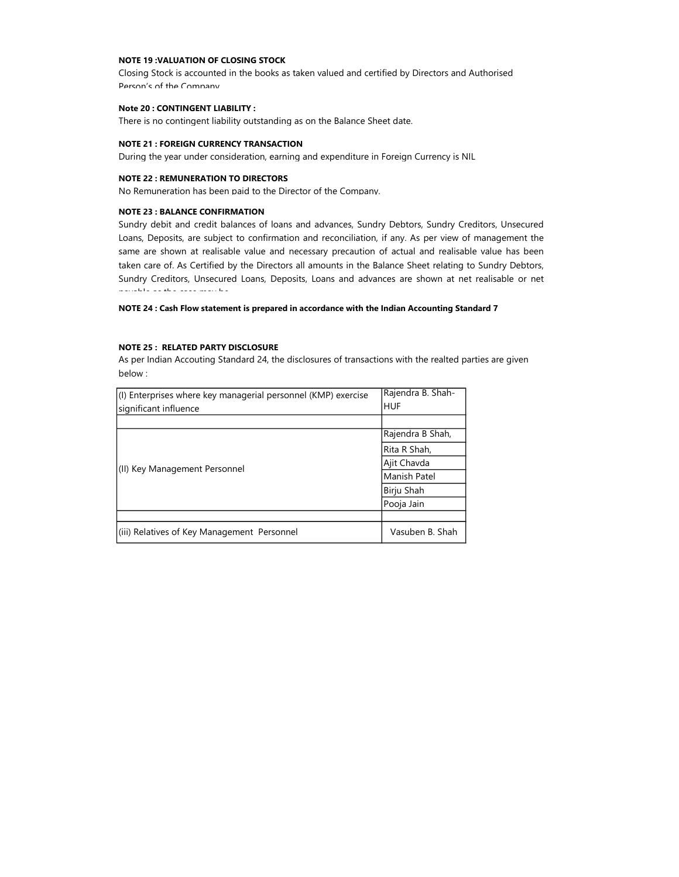#### NOTE 19 :VALUATION OF CLOSING STOCK

Closing Stock is accounted in the books as taken valued and certified by Directors and Authorised Person's of the Company.

#### Note 20 : CONTINGENT LIABILITY :

There is no contingent liability outstanding as on the Balance Sheet date.

#### NOTE 21 : FOREIGN CURRENCY TRANSACTION

During the year under consideration, earning and expenditure in Foreign Currency is NIL

#### NOTE 22 : REMUNERATION TO DIRECTORS

No Remuneration has been paid to the Director of the Company.

#### NOTE 23 : BALANCE CONFIRMATION

Sundry debit and credit balances of loans and advances, Sundry Debtors, Sundry Creditors, Unsecured Loans, Deposits, are subject to confirmation and reconciliation, if any. As per view of management the same are shown at realisable value and necessary precaution of actual and realisable value has been taken care of. As Certified by the Directors all amounts in the Balance Sheet relating to Sundry Debtors, Sundry Creditors, Unsecured Loans, Deposits, Loans and advances are shown at net realisable or net payable as the case may be.

#### NOTE 24 : Cash Flow statement is prepared in accordance with the Indian Accounting Standard 7

#### NOTE 25 : RELATED PARTY DISCLOSURE

As per Indian Accouting Standard 24, the disclosures of transactions with the realted parties are given below :

| (I) Enterprises where key managerial personnel (KMP) exercise | Rajendra B. Shah- |
|---------------------------------------------------------------|-------------------|
| significant influence                                         | <b>HUF</b>        |
|                                                               |                   |
|                                                               | Rajendra B Shah,  |
|                                                               | Rita R Shah,      |
| (II) Key Management Personnel                                 | Ajit Chavda       |
|                                                               | Manish Patel      |
|                                                               | Birju Shah        |
|                                                               | Pooja Jain        |
|                                                               |                   |
| (iii) Relatives of Key Management Personnel                   | Vasuben B. Shah   |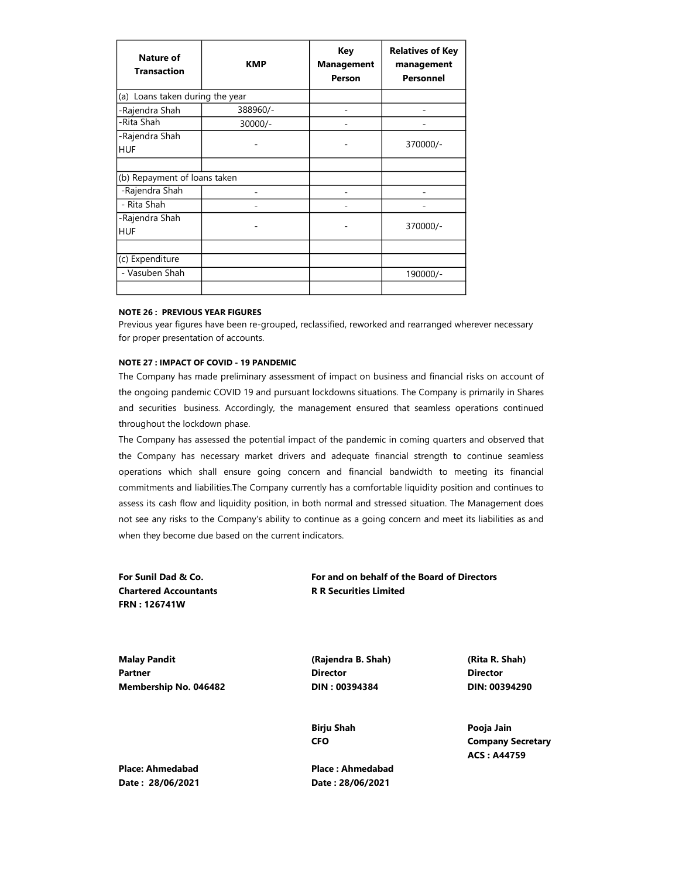| Nature of<br><b>Transaction</b> | <b>KMP</b> | Key<br><b>Management</b><br>Person | <b>Relatives of Key</b><br>management<br>Personnel |
|---------------------------------|------------|------------------------------------|----------------------------------------------------|
| (a) Loans taken during the year |            |                                    |                                                    |
| -Rajendra Shah                  | 388960/-   |                                    |                                                    |
| -Rita Shah                      | 30000/-    |                                    |                                                    |
| -Rajendra Shah<br><b>HUF</b>    |            |                                    | 370000/-                                           |
|                                 |            |                                    |                                                    |
| (b) Repayment of loans taken    |            |                                    |                                                    |
| -Rajendra Shah                  |            |                                    |                                                    |
| - Rita Shah                     |            |                                    |                                                    |
| -Rajendra Shah<br><b>HUF</b>    |            |                                    | 370000/-                                           |
| (c) Expenditure                 |            |                                    |                                                    |
| - Vasuben Shah                  |            |                                    | 190000/-                                           |
|                                 |            |                                    |                                                    |

#### NOTE 26 : PREVIOUS YEAR FIGURES

Previous year figures have been re-grouped, reclassified, reworked and rearranged wherever necessary for proper presentation of accounts.

#### NOTE 27 : IMPACT OF COVID - 19 PANDEMIC

The Company has made preliminary assessment of impact on business and financial risks on account of the ongoing pandemic COVID 19 and pursuant lockdowns situations. The Company is primarily in Shares and securities business. Accordingly, the management ensured that seamless operations continued throughout the lockdown phase.

The Company has assessed the potential impact of the pandemic in coming quarters and observed that the Company has necessary market drivers and adequate financial strength to continue seamless operations which shall ensure going concern and financial bandwidth to meeting its financial commitments and liabilities.The Company currently has a comfortable liquidity position and continues to assess its cash flow and liquidity position, in both normal and stressed situation. The Management does not see any risks to the Company's ability to continue as a going concern and meet its liabilities as and when they become due based on the current indicators.

Chartered Accountants R R Securities Limited FRN : 126741W

For Sunil Dad & Co. For and on behalf of the Board of Directors

Malay Pandit (Rajendra B. Shah) (Rita R. Shah) Partner **Director** Director **Director** Director **Director** Membership No. 046482 DIN : 00394384 DIN: 00394290

Birju Shah **Pooja Jain** 

Place: Ahmedabad Place : Ahmedabad

Date : 28/06/2021 Date : 28/06/2021

CFO Company Secretary ACS : A44759